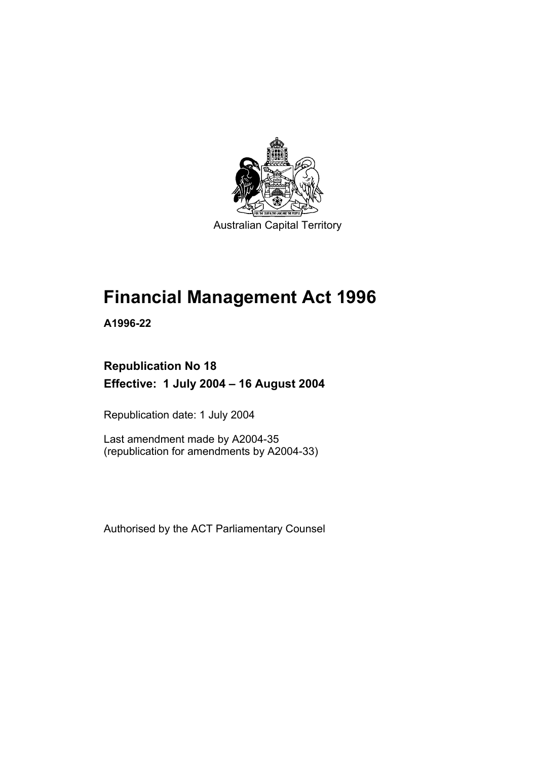

Australian Capital Territory

# **Financial Management Act 1996**

**A1996-22** 

# **Republication No 18 Effective: 1 July 2004 – 16 August 2004**

Republication date: 1 July 2004

Last amendment made by A2004-35 (republication for amendments by A2004-33)

Authorised by the ACT Parliamentary Counsel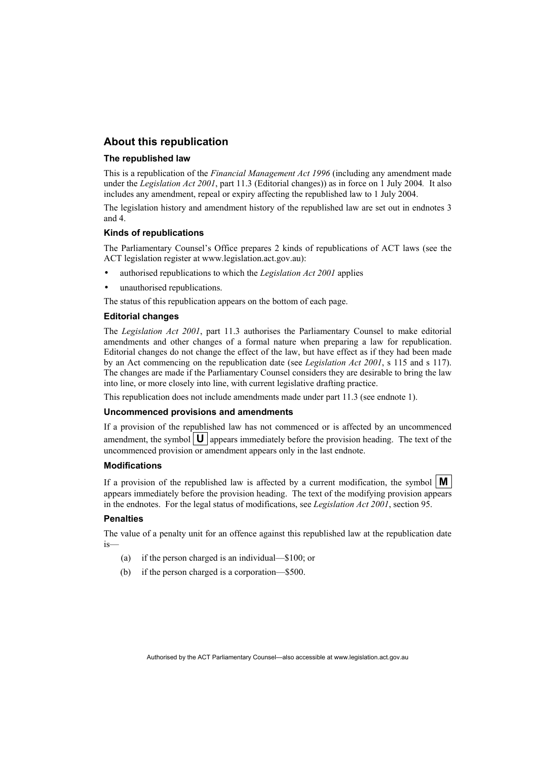#### **About this republication**

#### **The republished law**

This is a republication of the *Financial Management Act 1996* (including any amendment made under the *Legislation Act 2001*, part 11.3 (Editorial changes)) as in force on 1 July 2004*.* It also includes any amendment, repeal or expiry affecting the republished law to 1 July 2004.

The legislation history and amendment history of the republished law are set out in endnotes 3 and 4.

#### **Kinds of republications**

The Parliamentary Counsel's Office prepares 2 kinds of republications of ACT laws (see the ACT legislation register at www.legislation.act.gov.au):

- authorised republications to which the *Legislation Act 2001* applies
- unauthorised republications.

The status of this republication appears on the bottom of each page.

#### **Editorial changes**

The *Legislation Act 2001*, part 11.3 authorises the Parliamentary Counsel to make editorial amendments and other changes of a formal nature when preparing a law for republication. Editorial changes do not change the effect of the law, but have effect as if they had been made by an Act commencing on the republication date (see *Legislation Act 2001*, s 115 and s 117). The changes are made if the Parliamentary Counsel considers they are desirable to bring the law into line, or more closely into line, with current legislative drafting practice.

This republication does not include amendments made under part 11.3 (see endnote 1).

#### **Uncommenced provisions and amendments**

If a provision of the republished law has not commenced or is affected by an uncommenced amendment, the symbol  $\mathbf{U}$  appears immediately before the provision heading. The text of the uncommenced provision or amendment appears only in the last endnote.

#### **Modifications**

If a provision of the republished law is affected by a current modification, the symbol  $\mathbf{M}$ appears immediately before the provision heading. The text of the modifying provision appears in the endnotes. For the legal status of modifications, see *Legislation Act 2001*, section 95.

#### **Penalties**

The value of a penalty unit for an offence against this republished law at the republication date is—

- (a) if the person charged is an individual—\$100; or
- (b) if the person charged is a corporation—\$500.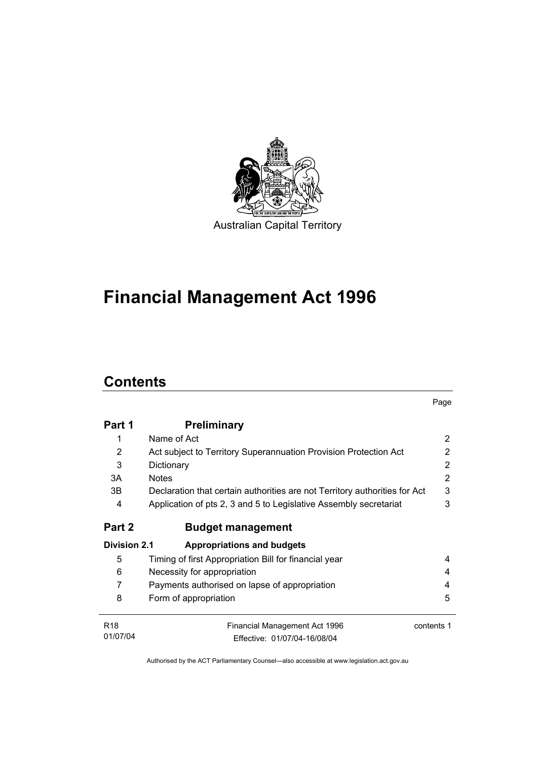

# **Financial Management Act 1996**

# **Contents**

|                     |                                                                            | Page       |
|---------------------|----------------------------------------------------------------------------|------------|
| Part 1              | <b>Preliminary</b>                                                         |            |
| 1                   | Name of Act                                                                | 2          |
| $\overline{2}$      | Act subject to Territory Superannuation Provision Protection Act           | 2          |
| 3                   | Dictionary                                                                 | 2          |
| 3A                  | <b>Notes</b>                                                               | 2          |
| 3B                  | Declaration that certain authorities are not Territory authorities for Act | 3          |
| 4                   | Application of pts 2, 3 and 5 to Legislative Assembly secretariat          | 3          |
| Part 2              | <b>Budget management</b>                                                   |            |
| <b>Division 2.1</b> | <b>Appropriations and budgets</b>                                          |            |
| 5                   | Timing of first Appropriation Bill for financial year                      | 4          |
| 6                   | Necessity for appropriation                                                | 4          |
| $\overline{7}$      | Payments authorised on lapse of appropriation                              | 4          |
| 8                   | Form of appropriation                                                      | 5          |
| <b>R18</b>          | Financial Management Act 1996                                              | contents 1 |
| 01/07/04            | Fffective: 01/07/04-16/08/04                                               |            |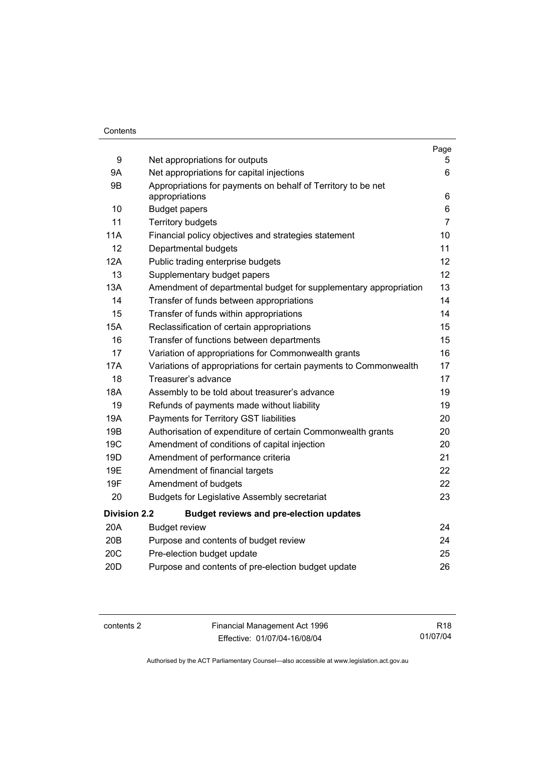#### **Contents**

|                     |                                                                                | Page           |
|---------------------|--------------------------------------------------------------------------------|----------------|
| 9                   | Net appropriations for outputs                                                 | 5.             |
| <b>9A</b>           | Net appropriations for capital injections                                      | 6              |
| 9B                  | Appropriations for payments on behalf of Territory to be net<br>appropriations | 6              |
| 10                  | <b>Budget papers</b>                                                           | 6              |
| 11                  | <b>Territory budgets</b>                                                       | $\overline{7}$ |
| <b>11A</b>          | Financial policy objectives and strategies statement                           | 10             |
| 12                  | Departmental budgets                                                           | 11             |
| 12A                 | Public trading enterprise budgets                                              | 12             |
| 13                  | Supplementary budget papers                                                    | 12             |
| 13A                 | Amendment of departmental budget for supplementary appropriation               | 13             |
| 14                  | Transfer of funds between appropriations                                       | 14             |
| 15                  | Transfer of funds within appropriations                                        | 14             |
| <b>15A</b>          | Reclassification of certain appropriations                                     | 15             |
| 16                  | Transfer of functions between departments                                      | 15             |
| 17                  | Variation of appropriations for Commonwealth grants                            | 16             |
| <b>17A</b>          | Variations of appropriations for certain payments to Commonwealth              | 17             |
| 18                  | Treasurer's advance                                                            | 17             |
| 18A                 | Assembly to be told about treasurer's advance                                  | 19             |
| 19                  | Refunds of payments made without liability                                     | 19             |
| 19A                 | Payments for Territory GST liabilities                                         | 20             |
| 19B                 | Authorisation of expenditure of certain Commonwealth grants                    | 20             |
| 19 <sub>C</sub>     | Amendment of conditions of capital injection                                   | 20             |
| 19D                 | Amendment of performance criteria                                              | 21             |
| 19E                 | Amendment of financial targets                                                 | 22             |
| 19F                 | Amendment of budgets                                                           | 22             |
| 20                  | <b>Budgets for Legislative Assembly secretariat</b>                            | 23             |
| <b>Division 2.2</b> | <b>Budget reviews and pre-election updates</b>                                 |                |
| 20A                 | <b>Budget review</b>                                                           | 24             |
| 20B                 | Purpose and contents of budget review                                          | 24             |
| 20C                 | Pre-election budget update                                                     | 25             |
| 20 <sub>D</sub>     | Purpose and contents of pre-election budget update                             | 26             |

contents 2 Financial Management Act 1996 Effective: 01/07/04-16/08/04

R18 01/07/04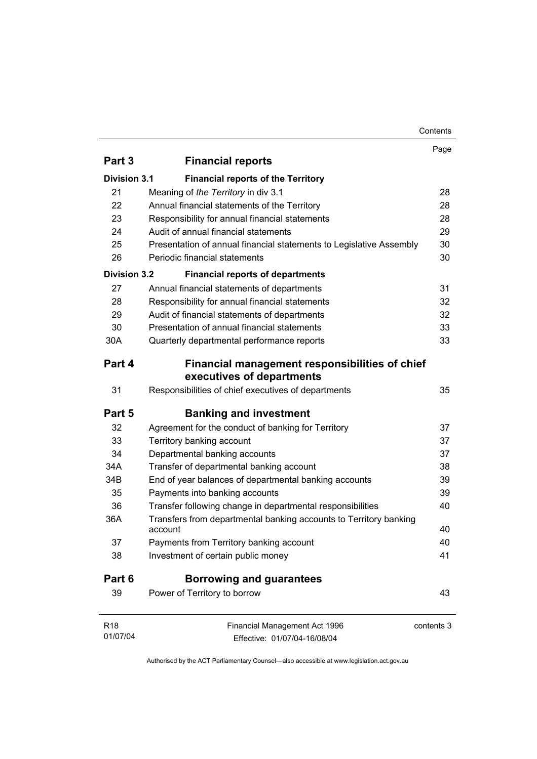#### Contents

|                                                                              | Page                                                                                                                                               |
|------------------------------------------------------------------------------|----------------------------------------------------------------------------------------------------------------------------------------------------|
|                                                                              |                                                                                                                                                    |
| <b>Financial reports of the Territory</b>                                    |                                                                                                                                                    |
| Meaning of the Territory in div 3.1                                          | 28                                                                                                                                                 |
| Annual financial statements of the Territory                                 | 28                                                                                                                                                 |
| Responsibility for annual financial statements                               | 28                                                                                                                                                 |
| Audit of annual financial statements                                         | 29                                                                                                                                                 |
| Presentation of annual financial statements to Legislative Assembly          | 30                                                                                                                                                 |
| Periodic financial statements                                                | 30                                                                                                                                                 |
| <b>Financial reports of departments</b>                                      |                                                                                                                                                    |
| Annual financial statements of departments                                   | 31                                                                                                                                                 |
| Responsibility for annual financial statements                               | 32                                                                                                                                                 |
| Audit of financial statements of departments                                 | 32                                                                                                                                                 |
| Presentation of annual financial statements                                  | 33                                                                                                                                                 |
| Quarterly departmental performance reports                                   | 33                                                                                                                                                 |
| Financial management responsibilities of chief<br>executives of departments  |                                                                                                                                                    |
| Responsibilities of chief executives of departments                          | 35                                                                                                                                                 |
| <b>Banking and investment</b>                                                |                                                                                                                                                    |
| Agreement for the conduct of banking for Territory                           | 37                                                                                                                                                 |
| Territory banking account                                                    | 37                                                                                                                                                 |
| Departmental banking accounts                                                | 37                                                                                                                                                 |
| Transfer of departmental banking account                                     | 38                                                                                                                                                 |
| End of year balances of departmental banking accounts                        | 39                                                                                                                                                 |
| Payments into banking accounts                                               | 39                                                                                                                                                 |
| Transfer following change in departmental responsibilities                   | 40                                                                                                                                                 |
| Transfers from departmental banking accounts to Territory banking<br>account | 40                                                                                                                                                 |
|                                                                              | 40                                                                                                                                                 |
| Investment of certain public money                                           | 41                                                                                                                                                 |
| <b>Borrowing and guarantees</b>                                              |                                                                                                                                                    |
| Power of Territory to borrow                                                 | 43                                                                                                                                                 |
|                                                                              | contents 3                                                                                                                                         |
|                                                                              |                                                                                                                                                    |
|                                                                              | <b>Financial reports</b><br><b>Division 3.1</b><br><b>Division 3.2</b><br>Payments from Territory banking account<br>Financial Management Act 1996 |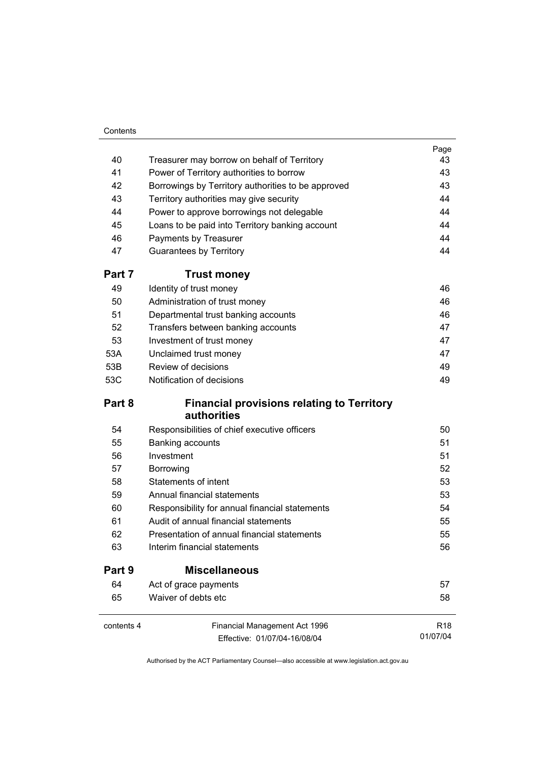#### **Contents**

|            |                                                                  | Page            |
|------------|------------------------------------------------------------------|-----------------|
| 40         | Treasurer may borrow on behalf of Territory                      | 43              |
| 41         | Power of Territory authorities to borrow                         | 43              |
| 42         | Borrowings by Territory authorities to be approved               | 43              |
| 43         | Territory authorities may give security                          | 44              |
| 44         | Power to approve borrowings not delegable                        | 44              |
| 45         | Loans to be paid into Territory banking account                  | 44              |
| 46         | Payments by Treasurer                                            | 44              |
| 47         | <b>Guarantees by Territory</b>                                   | 44              |
| Part 7     | <b>Trust money</b>                                               |                 |
| 49         | Identity of trust money                                          | 46              |
| 50         | Administration of trust money                                    | 46              |
| 51         | Departmental trust banking accounts                              | 46              |
| 52         | Transfers between banking accounts                               | 47              |
| 53         | Investment of trust money                                        | 47              |
| 53A        | Unclaimed trust money                                            | 47              |
| 53B        | Review of decisions                                              | 49              |
| 53C        | Notification of decisions                                        | 49              |
| Part 8     | <b>Financial provisions relating to Territory</b><br>authorities |                 |
| 54         | Responsibilities of chief executive officers                     | 50              |
| 55         | Banking accounts                                                 | 51              |
| 56         | Investment                                                       | 51              |
| 57         | Borrowing                                                        | 52              |
| 58         | <b>Statements of intent</b>                                      | 53              |
| 59         | Annual financial statements                                      | 53              |
| 60         | Responsibility for annual financial statements                   | 54              |
| 61         | Audit of annual financial statements                             | 55              |
| 62         | Presentation of annual financial statements                      | 55              |
| 63         | Interim financial statements                                     | 56              |
| Part 9     | <b>Miscellaneous</b>                                             |                 |
| 64         | Act of grace payments                                            | 57              |
| 65         | Waiver of debts etc                                              | 58              |
| contents 4 | Financial Management Act 1996                                    | R <sub>18</sub> |
|            | Effective: 01/07/04-16/08/04                                     | 01/07/04        |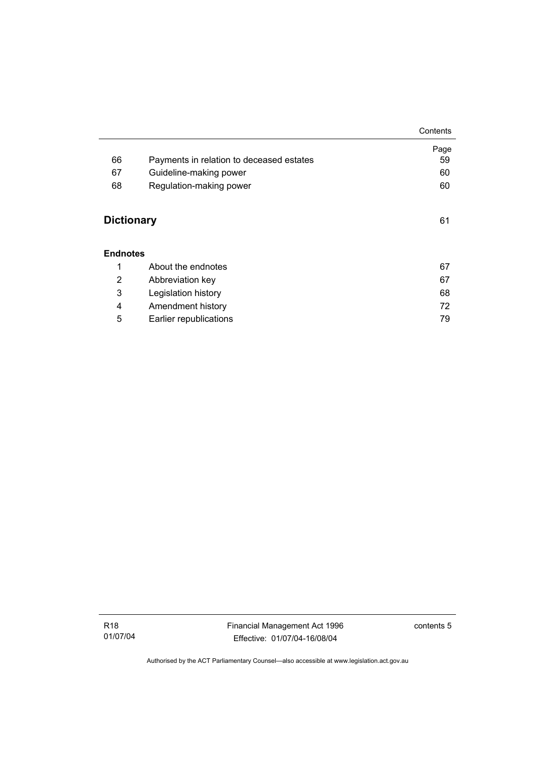|                   |                                          | Contents |
|-------------------|------------------------------------------|----------|
|                   |                                          | Page     |
| 66                | Payments in relation to deceased estates | 59       |
| 67                | Guideline-making power                   | 60       |
| 68                | Regulation-making power                  | 60       |
| <b>Dictionary</b> |                                          | 61       |
| <b>Endnotes</b>   |                                          |          |
| 1                 | About the endnotes                       | 67       |
| 2                 | Abbreviation key                         | 67       |
| 3                 | Legislation history                      | 68       |
| 4                 | Amendment history                        | 72       |
| 5                 | Earlier republications                   | 79       |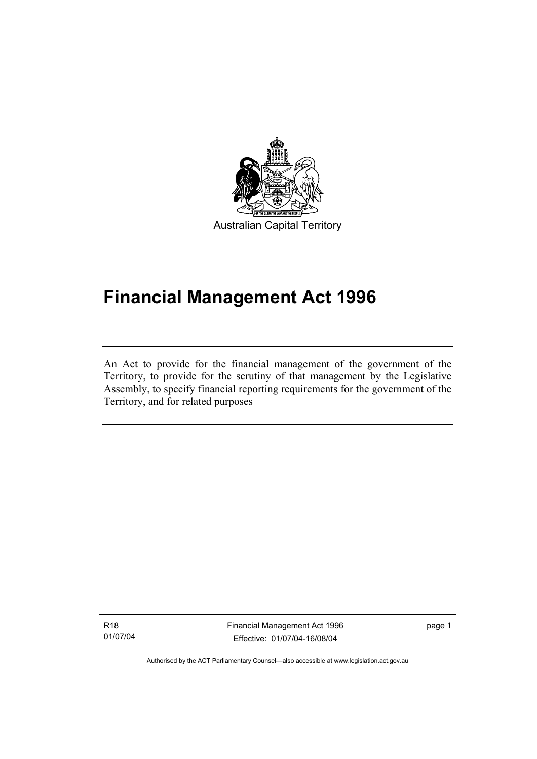

Australian Capital Territory

# **Financial Management Act 1996**

An Act to provide for the financial management of the government of the Territory, to provide for the scrutiny of that management by the Legislative Assembly, to specify financial reporting requirements for the government of the Territory, and for related purposes

R18 01/07/04

I

Financial Management Act 1996 Effective: 01/07/04-16/08/04

page 1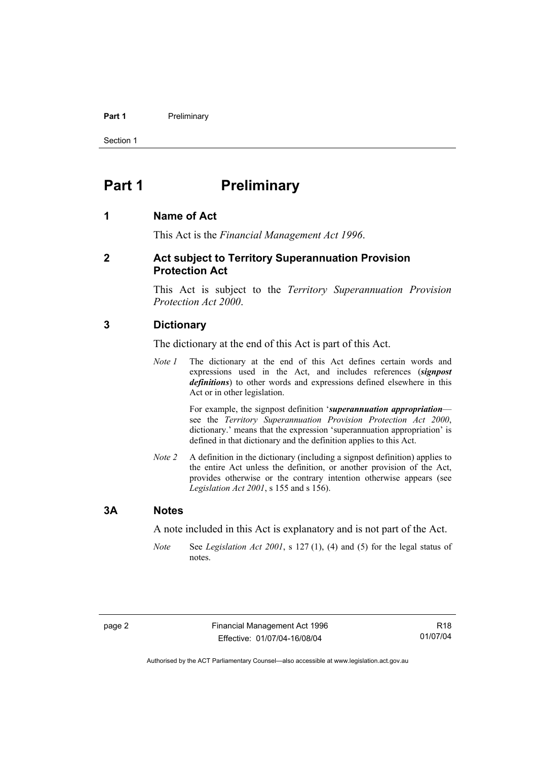#### **Part 1** Preliminary

Section 1

# **Part 1** Preliminary

#### **1 Name of Act**

This Act is the *Financial Management Act 1996*.

#### **2 Act subject to Territory Superannuation Provision Protection Act**

This Act is subject to the *Territory Superannuation Provision Protection Act 2000*.

#### **3 Dictionary**

The dictionary at the end of this Act is part of this Act.

*Note 1* The dictionary at the end of this Act defines certain words and expressions used in the Act, and includes references (*signpost definitions*) to other words and expressions defined elsewhere in this Act or in other legislation.

> For example, the signpost definition '*superannuation appropriation* see the *Territory Superannuation Provision Protection Act 2000*, dictionary.' means that the expression 'superannuation appropriation' is defined in that dictionary and the definition applies to this Act.

*Note 2* A definition in the dictionary (including a signpost definition) applies to the entire Act unless the definition, or another provision of the Act, provides otherwise or the contrary intention otherwise appears (see *Legislation Act 2001*, s 155 and s 156).

#### **3A Notes**

A note included in this Act is explanatory and is not part of the Act.

*Note* See *Legislation Act 2001*, s 127 (1), (4) and (5) for the legal status of notes.

R18 01/07/04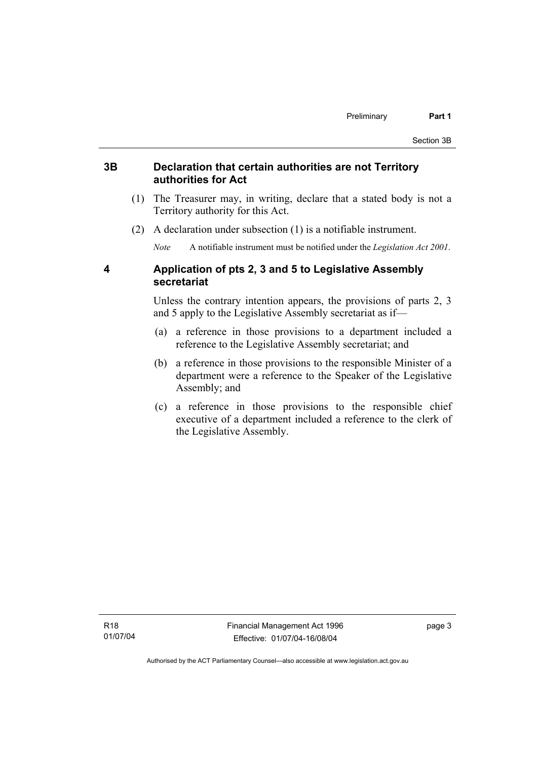#### **3B Declaration that certain authorities are not Territory authorities for Act**

- (1) The Treasurer may, in writing, declare that a stated body is not a Territory authority for this Act.
- (2) A declaration under subsection (1) is a notifiable instrument.

*Note* A notifiable instrument must be notified under the *Legislation Act 2001*.

#### **4 Application of pts 2, 3 and 5 to Legislative Assembly secretariat**

Unless the contrary intention appears, the provisions of parts 2, 3 and 5 apply to the Legislative Assembly secretariat as if—

- (a) a reference in those provisions to a department included a reference to the Legislative Assembly secretariat; and
- (b) a reference in those provisions to the responsible Minister of a department were a reference to the Speaker of the Legislative Assembly; and
- (c) a reference in those provisions to the responsible chief executive of a department included a reference to the clerk of the Legislative Assembly.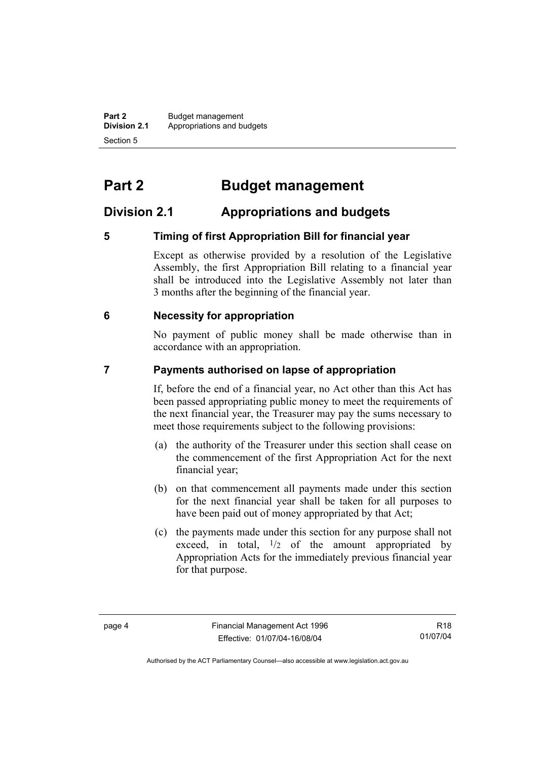**Part 2** Budget management<br>**Division 2.1** Appropriations and by **Division 2.1** Appropriations and budgets Section 5

# **Part 2 Budget management**

# **Division 2.1 Appropriations and budgets**

### **5 Timing of first Appropriation Bill for financial year**

Except as otherwise provided by a resolution of the Legislative Assembly, the first Appropriation Bill relating to a financial year shall be introduced into the Legislative Assembly not later than 3 months after the beginning of the financial year.

#### **6 Necessity for appropriation**

No payment of public money shall be made otherwise than in accordance with an appropriation.

#### **7 Payments authorised on lapse of appropriation**

If, before the end of a financial year, no Act other than this Act has been passed appropriating public money to meet the requirements of the next financial year, the Treasurer may pay the sums necessary to meet those requirements subject to the following provisions:

- (a) the authority of the Treasurer under this section shall cease on the commencement of the first Appropriation Act for the next financial year;
- (b) on that commencement all payments made under this section for the next financial year shall be taken for all purposes to have been paid out of money appropriated by that Act;
- (c) the payments made under this section for any purpose shall not exceed, in total,  $\frac{1}{2}$  of the amount appropriated by Appropriation Acts for the immediately previous financial year for that purpose.

R18 01/07/04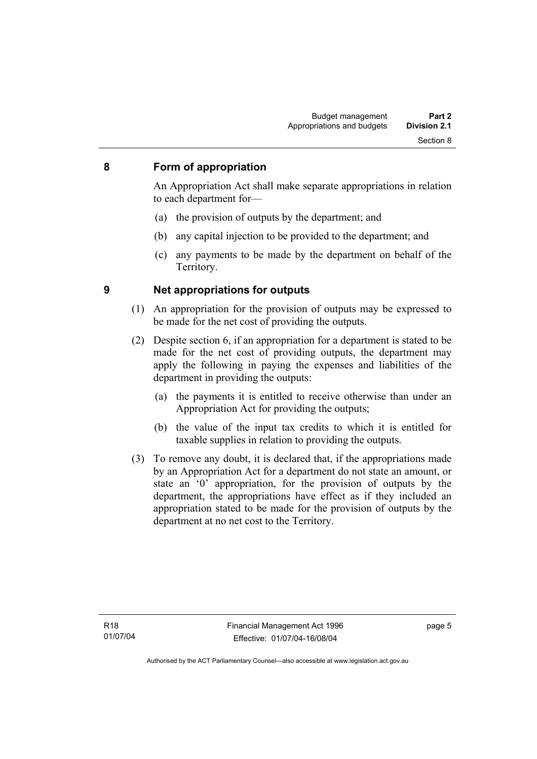#### **8 Form of appropriation**

An Appropriation Act shall make separate appropriations in relation to each department for—

- (a) the provision of outputs by the department; and
- (b) any capital injection to be provided to the department; and
- (c) any payments to be made by the department on behalf of the Territory.

- **9 Net appropriations for outputs** 
	- (1) An appropriation for the provision of outputs may be expressed to be made for the net cost of providing the outputs.
	- (2) Despite section 6, if an appropriation for a department is stated to be made for the net cost of providing outputs, the department may apply the following in paying the expenses and liabilities of the department in providing the outputs:
		- (a) the payments it is entitled to receive otherwise than under an Appropriation Act for providing the outputs;
		- (b) the value of the input tax credits to which it is entitled for taxable supplies in relation to providing the outputs.
	- (3) To remove any doubt, it is declared that, if the appropriations made by an Appropriation Act for a department do not state an amount, or state an '0' appropriation, for the provision of outputs by the department, the appropriations have effect as if they included an appropriation stated to be made for the provision of outputs by the department at no net cost to the Territory.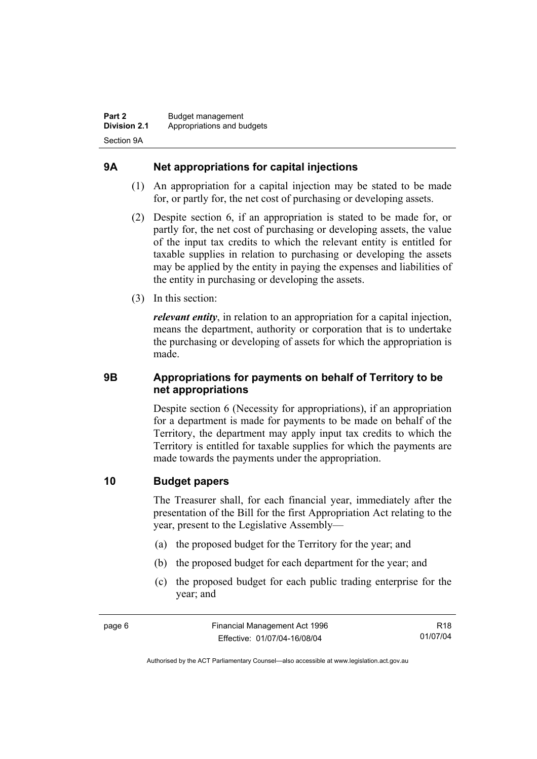### **9A Net appropriations for capital injections**

- (1) An appropriation for a capital injection may be stated to be made for, or partly for, the net cost of purchasing or developing assets.
- (2) Despite section 6, if an appropriation is stated to be made for, or partly for, the net cost of purchasing or developing assets, the value of the input tax credits to which the relevant entity is entitled for taxable supplies in relation to purchasing or developing the assets may be applied by the entity in paying the expenses and liabilities of the entity in purchasing or developing the assets.
- (3) In this section:

*relevant entity*, in relation to an appropriation for a capital injection, means the department, authority or corporation that is to undertake the purchasing or developing of assets for which the appropriation is made.

#### **9B Appropriations for payments on behalf of Territory to be net appropriations**

Despite section 6 (Necessity for appropriations), if an appropriation for a department is made for payments to be made on behalf of the Territory, the department may apply input tax credits to which the Territory is entitled for taxable supplies for which the payments are made towards the payments under the appropriation.

#### **10 Budget papers**

The Treasurer shall, for each financial year, immediately after the presentation of the Bill for the first Appropriation Act relating to the year, present to the Legislative Assembly—

- (a) the proposed budget for the Territory for the year; and
- (b) the proposed budget for each department for the year; and
- (c) the proposed budget for each public trading enterprise for the year; and

R18 01/07/04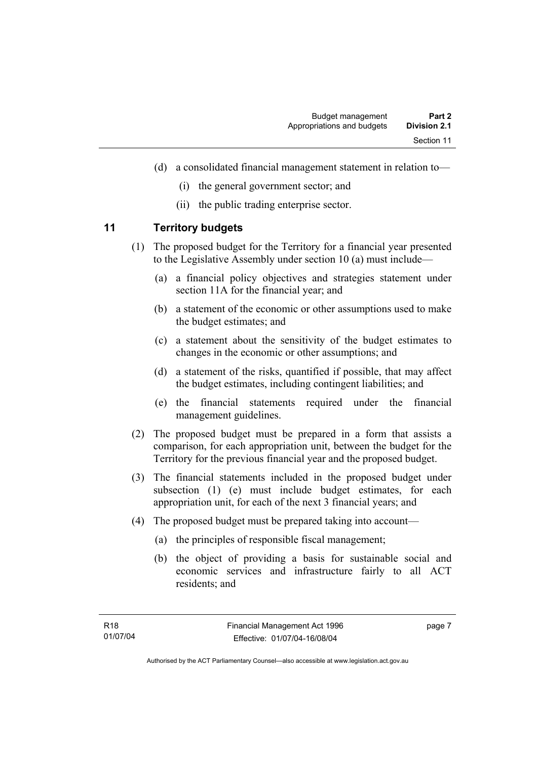- (d) a consolidated financial management statement in relation to—
	- (i) the general government sector; and
	- (ii) the public trading enterprise sector.

#### **11 Territory budgets**

- (1) The proposed budget for the Territory for a financial year presented to the Legislative Assembly under section 10 (a) must include—
	- (a) a financial policy objectives and strategies statement under section 11A for the financial year; and
	- (b) a statement of the economic or other assumptions used to make the budget estimates; and
	- (c) a statement about the sensitivity of the budget estimates to changes in the economic or other assumptions; and
	- (d) a statement of the risks, quantified if possible, that may affect the budget estimates, including contingent liabilities; and
	- (e) the financial statements required under the financial management guidelines.
- (2) The proposed budget must be prepared in a form that assists a comparison, for each appropriation unit, between the budget for the Territory for the previous financial year and the proposed budget.
- (3) The financial statements included in the proposed budget under subsection (1) (e) must include budget estimates, for each appropriation unit, for each of the next 3 financial years; and
- (4) The proposed budget must be prepared taking into account—
	- (a) the principles of responsible fiscal management;
	- (b) the object of providing a basis for sustainable social and economic services and infrastructure fairly to all ACT residents; and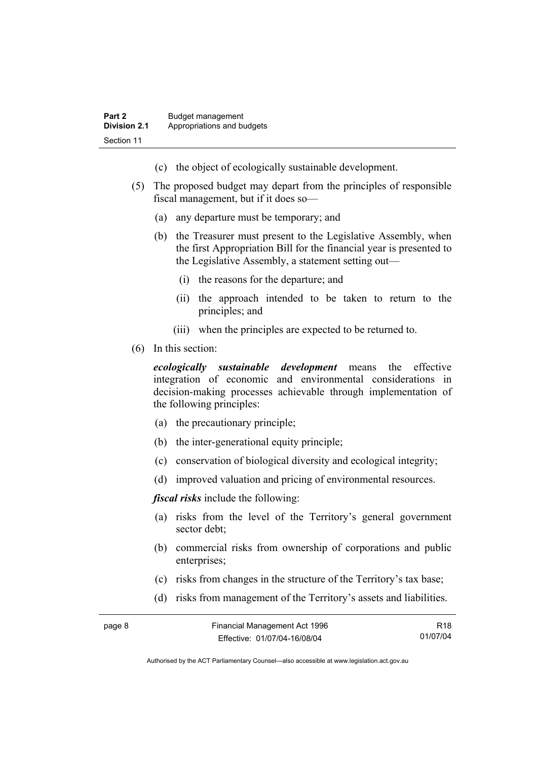- (c) the object of ecologically sustainable development.
- (5) The proposed budget may depart from the principles of responsible fiscal management, but if it does so—
	- (a) any departure must be temporary; and
	- (b) the Treasurer must present to the Legislative Assembly, when the first Appropriation Bill for the financial year is presented to the Legislative Assembly, a statement setting out—
		- (i) the reasons for the departure; and
		- (ii) the approach intended to be taken to return to the principles; and
		- (iii) when the principles are expected to be returned to.
- (6) In this section:

*ecologically sustainable development* means the effective integration of economic and environmental considerations in decision-making processes achievable through implementation of the following principles:

- (a) the precautionary principle;
- (b) the inter-generational equity principle;
- (c) conservation of biological diversity and ecological integrity;
- (d) improved valuation and pricing of environmental resources.

*fiscal risks* include the following:

- (a) risks from the level of the Territory's general government sector debt;
- (b) commercial risks from ownership of corporations and public enterprises:
- (c) risks from changes in the structure of the Territory's tax base;
- (d) risks from management of the Territory's assets and liabilities.

| page 8 | Financial Management Act 1996 | R <sub>18</sub> |
|--------|-------------------------------|-----------------|
|        | Effective: 01/07/04-16/08/04  | 01/07/04        |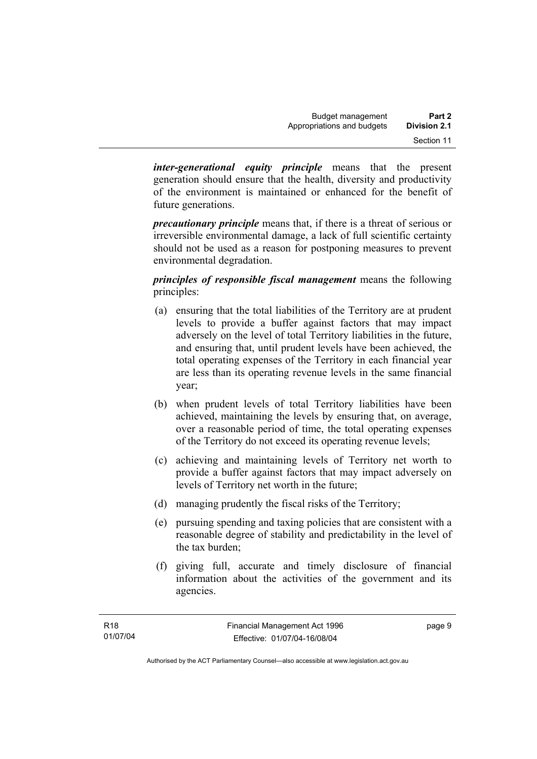*inter-generational equity principle* means that the present generation should ensure that the health, diversity and productivity of the environment is maintained or enhanced for the benefit of future generations.

*precautionary principle* means that, if there is a threat of serious or irreversible environmental damage, a lack of full scientific certainty should not be used as a reason for postponing measures to prevent environmental degradation.

*principles of responsible fiscal management* means the following principles:

- (a) ensuring that the total liabilities of the Territory are at prudent levels to provide a buffer against factors that may impact adversely on the level of total Territory liabilities in the future, and ensuring that, until prudent levels have been achieved, the total operating expenses of the Territory in each financial year are less than its operating revenue levels in the same financial year;
- (b) when prudent levels of total Territory liabilities have been achieved, maintaining the levels by ensuring that, on average, over a reasonable period of time, the total operating expenses of the Territory do not exceed its operating revenue levels;
- (c) achieving and maintaining levels of Territory net worth to provide a buffer against factors that may impact adversely on levels of Territory net worth in the future;
- (d) managing prudently the fiscal risks of the Territory;
- (e) pursuing spending and taxing policies that are consistent with a reasonable degree of stability and predictability in the level of the tax burden;
- (f) giving full, accurate and timely disclosure of financial information about the activities of the government and its agencies.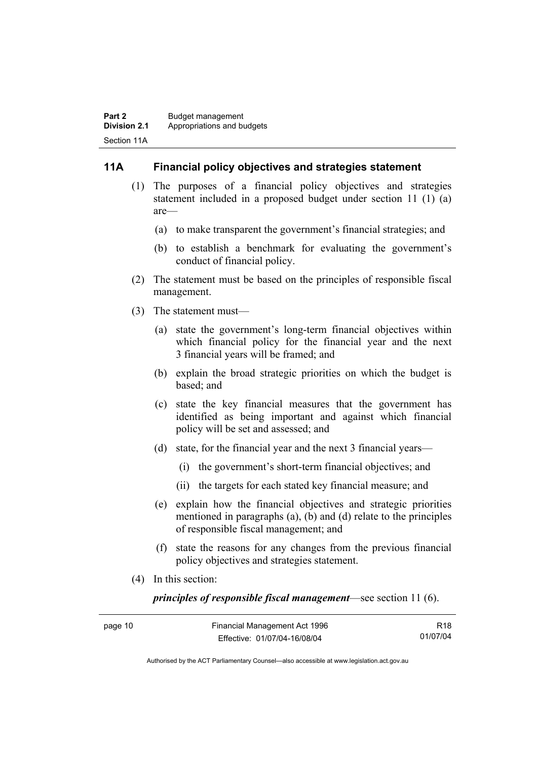#### **11A Financial policy objectives and strategies statement**

- (1) The purposes of a financial policy objectives and strategies statement included in a proposed budget under section 11 (1) (a) are—
	- (a) to make transparent the government's financial strategies; and
	- (b) to establish a benchmark for evaluating the government's conduct of financial policy.
- (2) The statement must be based on the principles of responsible fiscal management.
- (3) The statement must—
	- (a) state the government's long-term financial objectives within which financial policy for the financial year and the next 3 financial years will be framed; and
	- (b) explain the broad strategic priorities on which the budget is based; and
	- (c) state the key financial measures that the government has identified as being important and against which financial policy will be set and assessed; and
	- (d) state, for the financial year and the next 3 financial years—
		- (i) the government's short-term financial objectives; and
		- (ii) the targets for each stated key financial measure; and
	- (e) explain how the financial objectives and strategic priorities mentioned in paragraphs (a), (b) and (d) relate to the principles of responsible fiscal management; and
	- (f) state the reasons for any changes from the previous financial policy objectives and strategies statement.
- (4) In this section:

*principles of responsible fiscal management*—see section 11 (6).

| page 10 | Financial Management Act 1996 | R <sub>18</sub> |
|---------|-------------------------------|-----------------|
|         | Effective: 01/07/04-16/08/04  | 01/07/04        |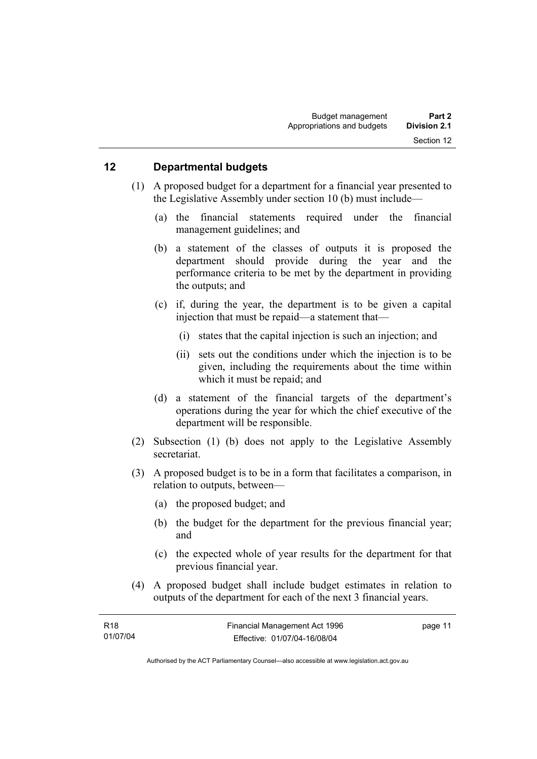#### **12 Departmental budgets**

- (1) A proposed budget for a department for a financial year presented to the Legislative Assembly under section 10 (b) must include—
	- (a) the financial statements required under the financial management guidelines; and
	- (b) a statement of the classes of outputs it is proposed the department should provide during the year and the performance criteria to be met by the department in providing the outputs; and
	- (c) if, during the year, the department is to be given a capital injection that must be repaid—a statement that—
		- (i) states that the capital injection is such an injection; and
		- (ii) sets out the conditions under which the injection is to be given, including the requirements about the time within which it must be repaid; and
	- (d) a statement of the financial targets of the department's operations during the year for which the chief executive of the department will be responsible.
- (2) Subsection (1) (b) does not apply to the Legislative Assembly secretariat.
- (3) A proposed budget is to be in a form that facilitates a comparison, in relation to outputs, between—
	- (a) the proposed budget; and
	- (b) the budget for the department for the previous financial year; and
	- (c) the expected whole of year results for the department for that previous financial year.
- (4) A proposed budget shall include budget estimates in relation to outputs of the department for each of the next 3 financial years.

| R18      | Financial Management Act 1996 | page 11 |
|----------|-------------------------------|---------|
| 01/07/04 | Effective: 01/07/04-16/08/04  |         |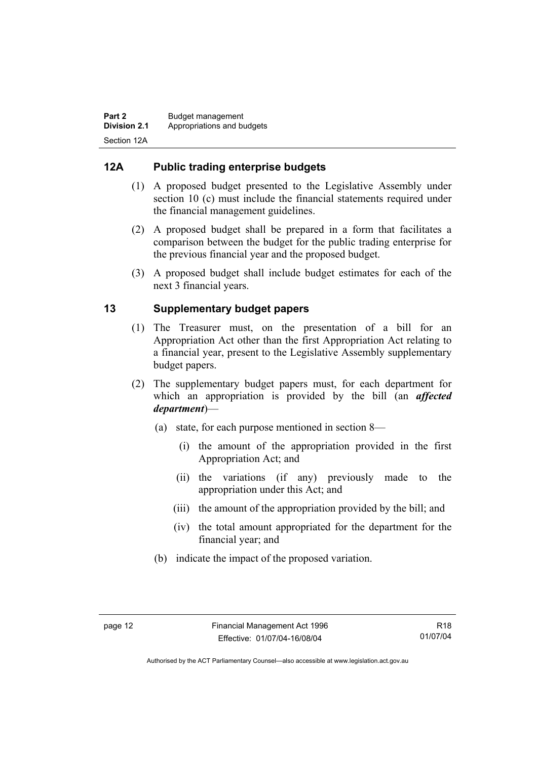### **12A Public trading enterprise budgets**

- (1) A proposed budget presented to the Legislative Assembly under section 10 (c) must include the financial statements required under the financial management guidelines.
- (2) A proposed budget shall be prepared in a form that facilitates a comparison between the budget for the public trading enterprise for the previous financial year and the proposed budget.
- (3) A proposed budget shall include budget estimates for each of the next 3 financial years.

### **13 Supplementary budget papers**

- (1) The Treasurer must, on the presentation of a bill for an Appropriation Act other than the first Appropriation Act relating to a financial year, present to the Legislative Assembly supplementary budget papers.
- (2) The supplementary budget papers must, for each department for which an appropriation is provided by the bill (an *affected department*)—
	- (a) state, for each purpose mentioned in section 8—
		- (i) the amount of the appropriation provided in the first Appropriation Act; and
		- (ii) the variations (if any) previously made to the appropriation under this Act; and
		- (iii) the amount of the appropriation provided by the bill; and
		- (iv) the total amount appropriated for the department for the financial year; and
	- (b) indicate the impact of the proposed variation.

Authorised by the ACT Parliamentary Counsel—also accessible at www.legislation.act.gov.au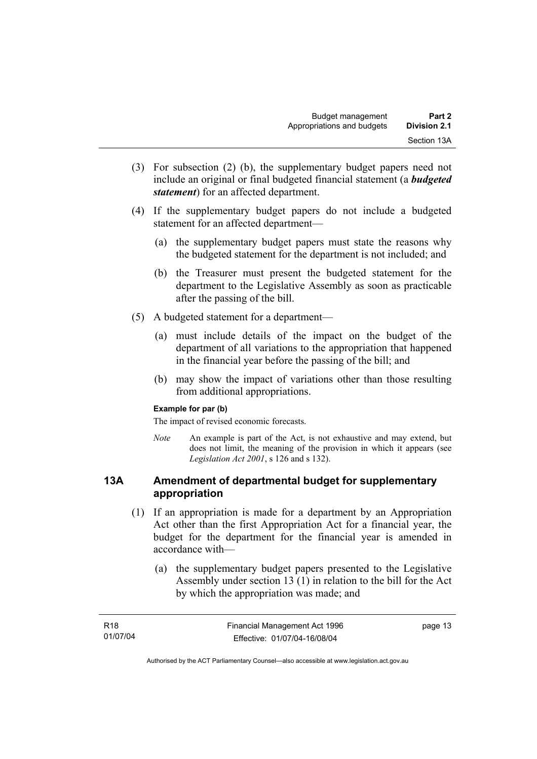- (3) For subsection (2) (b), the supplementary budget papers need not include an original or final budgeted financial statement (a *budgeted statement*) for an affected department.
- (4) If the supplementary budget papers do not include a budgeted statement for an affected department—
	- (a) the supplementary budget papers must state the reasons why the budgeted statement for the department is not included; and
	- (b) the Treasurer must present the budgeted statement for the department to the Legislative Assembly as soon as practicable after the passing of the bill.
- (5) A budgeted statement for a department—
	- (a) must include details of the impact on the budget of the department of all variations to the appropriation that happened in the financial year before the passing of the bill; and
	- (b) may show the impact of variations other than those resulting from additional appropriations.

#### **Example for par (b)**

The impact of revised economic forecasts.

*Note* An example is part of the Act, is not exhaustive and may extend, but does not limit, the meaning of the provision in which it appears (see *Legislation Act 2001*, s 126 and s 132).

#### **13A Amendment of departmental budget for supplementary appropriation**

- (1) If an appropriation is made for a department by an Appropriation Act other than the first Appropriation Act for a financial year, the budget for the department for the financial year is amended in accordance with—
	- (a) the supplementary budget papers presented to the Legislative Assembly under section 13 (1) in relation to the bill for the Act by which the appropriation was made; and

| R <sub>18</sub> | Financial Management Act 1996 | page 13 |
|-----------------|-------------------------------|---------|
| 01/07/04        | Effective: 01/07/04-16/08/04  |         |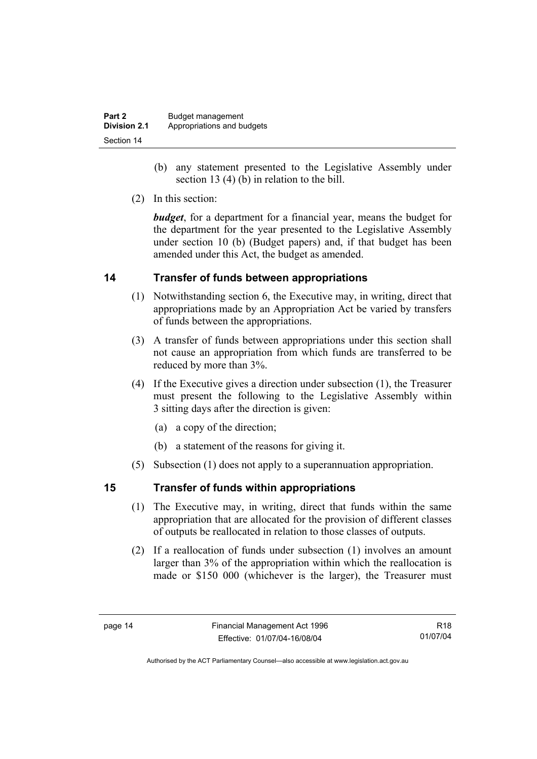| Part 2              | Budget management          |
|---------------------|----------------------------|
| <b>Division 2.1</b> | Appropriations and budgets |
| Section 14          |                            |

- (b) any statement presented to the Legislative Assembly under section 13 (4) (b) in relation to the bill.
- (2) In this section:

*budget*, for a department for a financial year, means the budget for the department for the year presented to the Legislative Assembly under section 10 (b) (Budget papers) and, if that budget has been amended under this Act, the budget as amended.

#### **14 Transfer of funds between appropriations**

- (1) Notwithstanding section 6, the Executive may, in writing, direct that appropriations made by an Appropriation Act be varied by transfers of funds between the appropriations.
- (3) A transfer of funds between appropriations under this section shall not cause an appropriation from which funds are transferred to be reduced by more than 3%.
- (4) If the Executive gives a direction under subsection (1), the Treasurer must present the following to the Legislative Assembly within 3 sitting days after the direction is given:
	- (a) a copy of the direction;
	- (b) a statement of the reasons for giving it.
- (5) Subsection (1) does not apply to a superannuation appropriation.

#### **15 Transfer of funds within appropriations**

- (1) The Executive may, in writing, direct that funds within the same appropriation that are allocated for the provision of different classes of outputs be reallocated in relation to those classes of outputs.
- (2) If a reallocation of funds under subsection (1) involves an amount larger than 3% of the appropriation within which the reallocation is made or \$150 000 (whichever is the larger), the Treasurer must

R18 01/07/04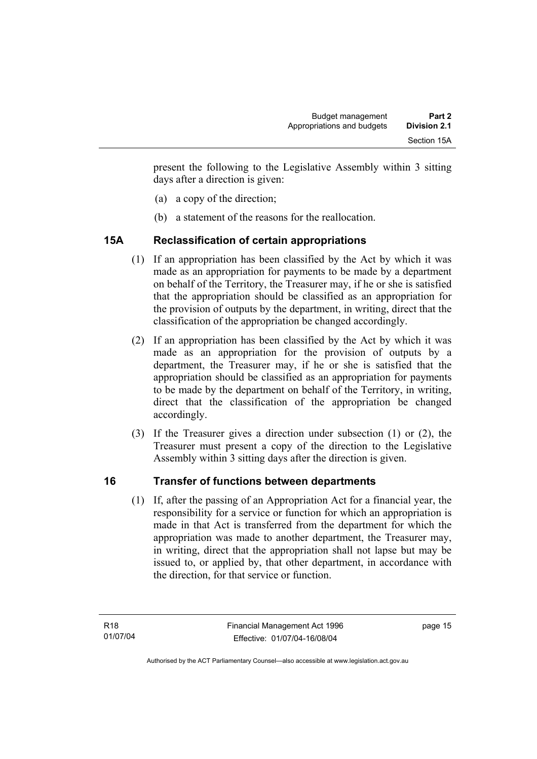present the following to the Legislative Assembly within 3 sitting days after a direction is given:

- (a) a copy of the direction;
- (b) a statement of the reasons for the reallocation.

# **15A Reclassification of certain appropriations**

- (1) If an appropriation has been classified by the Act by which it was made as an appropriation for payments to be made by a department on behalf of the Territory, the Treasurer may, if he or she is satisfied that the appropriation should be classified as an appropriation for the provision of outputs by the department, in writing, direct that the classification of the appropriation be changed accordingly.
- (2) If an appropriation has been classified by the Act by which it was made as an appropriation for the provision of outputs by a department, the Treasurer may, if he or she is satisfied that the appropriation should be classified as an appropriation for payments to be made by the department on behalf of the Territory, in writing, direct that the classification of the appropriation be changed accordingly.
- (3) If the Treasurer gives a direction under subsection (1) or (2), the Treasurer must present a copy of the direction to the Legislative Assembly within 3 sitting days after the direction is given.

# **16 Transfer of functions between departments**

 (1) If, after the passing of an Appropriation Act for a financial year, the responsibility for a service or function for which an appropriation is made in that Act is transferred from the department for which the appropriation was made to another department, the Treasurer may, in writing, direct that the appropriation shall not lapse but may be issued to, or applied by, that other department, in accordance with the direction, for that service or function.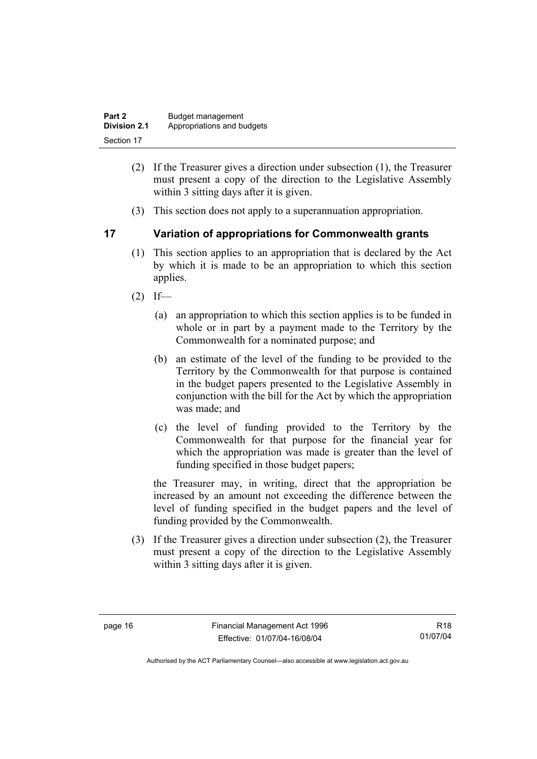| Part 2              | Budget management          |
|---------------------|----------------------------|
| <b>Division 2.1</b> | Appropriations and budgets |
| Section 17          |                            |

- (2) If the Treasurer gives a direction under subsection (1), the Treasurer must present a copy of the direction to the Legislative Assembly within 3 sitting days after it is given.
- (3) This section does not apply to a superannuation appropriation.

#### **17 Variation of appropriations for Commonwealth grants**

- (1) This section applies to an appropriation that is declared by the Act by which it is made to be an appropriation to which this section applies.
- $(2)$  If—
	- (a) an appropriation to which this section applies is to be funded in whole or in part by a payment made to the Territory by the Commonwealth for a nominated purpose; and
	- (b) an estimate of the level of the funding to be provided to the Territory by the Commonwealth for that purpose is contained in the budget papers presented to the Legislative Assembly in conjunction with the bill for the Act by which the appropriation was made; and
	- (c) the level of funding provided to the Territory by the Commonwealth for that purpose for the financial year for which the appropriation was made is greater than the level of funding specified in those budget papers;

the Treasurer may, in writing, direct that the appropriation be increased by an amount not exceeding the difference between the level of funding specified in the budget papers and the level of funding provided by the Commonwealth.

 (3) If the Treasurer gives a direction under subsection (2), the Treasurer must present a copy of the direction to the Legislative Assembly within 3 sitting days after it is given.

R18 01/07/04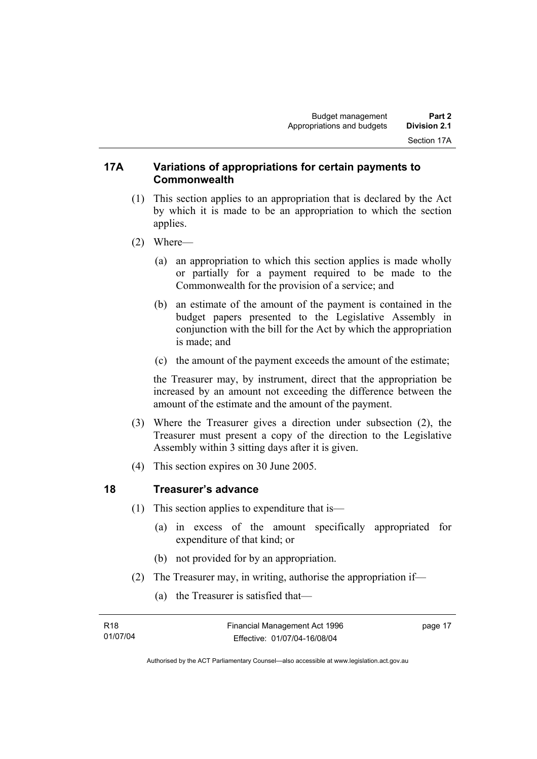#### **17A Variations of appropriations for certain payments to Commonwealth**

- (1) This section applies to an appropriation that is declared by the Act by which it is made to be an appropriation to which the section applies.
- (2) Where—
	- (a) an appropriation to which this section applies is made wholly or partially for a payment required to be made to the Commonwealth for the provision of a service; and
	- (b) an estimate of the amount of the payment is contained in the budget papers presented to the Legislative Assembly in conjunction with the bill for the Act by which the appropriation is made; and
	- (c) the amount of the payment exceeds the amount of the estimate;

the Treasurer may, by instrument, direct that the appropriation be increased by an amount not exceeding the difference between the amount of the estimate and the amount of the payment.

- (3) Where the Treasurer gives a direction under subsection (2), the Treasurer must present a copy of the direction to the Legislative Assembly within 3 sitting days after it is given.
- (4) This section expires on 30 June 2005.

#### **18 Treasurer's advance**

- (1) This section applies to expenditure that is—
	- (a) in excess of the amount specifically appropriated for expenditure of that kind; or
	- (b) not provided for by an appropriation.
- (2) The Treasurer may, in writing, authorise the appropriation if—
	- (a) the Treasurer is satisfied that—

| R18      | Financial Management Act 1996 | page 17 |
|----------|-------------------------------|---------|
| 01/07/04 | Effective: 01/07/04-16/08/04  |         |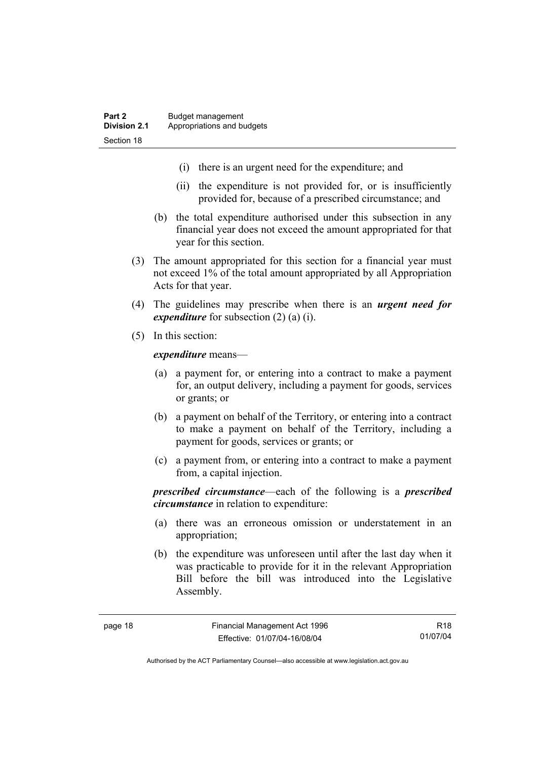- (i) there is an urgent need for the expenditure; and
- (ii) the expenditure is not provided for, or is insufficiently provided for, because of a prescribed circumstance; and
- (b) the total expenditure authorised under this subsection in any financial year does not exceed the amount appropriated for that year for this section.
- (3) The amount appropriated for this section for a financial year must not exceed 1% of the total amount appropriated by all Appropriation Acts for that year.
- (4) The guidelines may prescribe when there is an *urgent need for expenditure* for subsection (2) (a) (i).
- (5) In this section:

*expenditure* means—

- (a) a payment for, or entering into a contract to make a payment for, an output delivery, including a payment for goods, services or grants; or
- (b) a payment on behalf of the Territory, or entering into a contract to make a payment on behalf of the Territory, including a payment for goods, services or grants; or
- (c) a payment from, or entering into a contract to make a payment from, a capital injection.

*prescribed circumstance*—each of the following is a *prescribed circumstance* in relation to expenditure:

- (a) there was an erroneous omission or understatement in an appropriation;
- (b) the expenditure was unforeseen until after the last day when it was practicable to provide for it in the relevant Appropriation Bill before the bill was introduced into the Legislative Assembly.

R18 01/07/04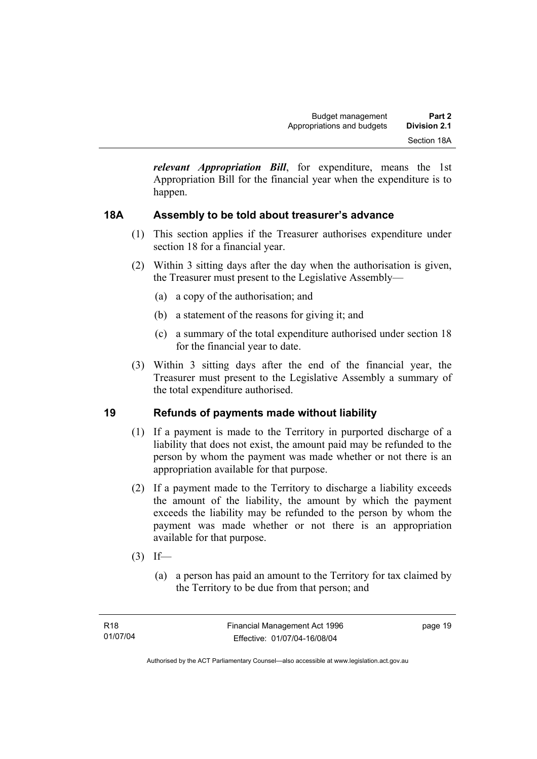*relevant Appropriation Bill*, for expenditure, means the 1st Appropriation Bill for the financial year when the expenditure is to happen.

### **18A Assembly to be told about treasurer's advance**

- (1) This section applies if the Treasurer authorises expenditure under section 18 for a financial year.
- (2) Within 3 sitting days after the day when the authorisation is given, the Treasurer must present to the Legislative Assembly—
	- (a) a copy of the authorisation; and
	- (b) a statement of the reasons for giving it; and
	- (c) a summary of the total expenditure authorised under section 18 for the financial year to date.
- (3) Within 3 sitting days after the end of the financial year, the Treasurer must present to the Legislative Assembly a summary of the total expenditure authorised.

#### **19 Refunds of payments made without liability**

- (1) If a payment is made to the Territory in purported discharge of a liability that does not exist, the amount paid may be refunded to the person by whom the payment was made whether or not there is an appropriation available for that purpose.
- (2) If a payment made to the Territory to discharge a liability exceeds the amount of the liability, the amount by which the payment exceeds the liability may be refunded to the person by whom the payment was made whether or not there is an appropriation available for that purpose.
- $(3)$  If—
	- (a) a person has paid an amount to the Territory for tax claimed by the Territory to be due from that person; and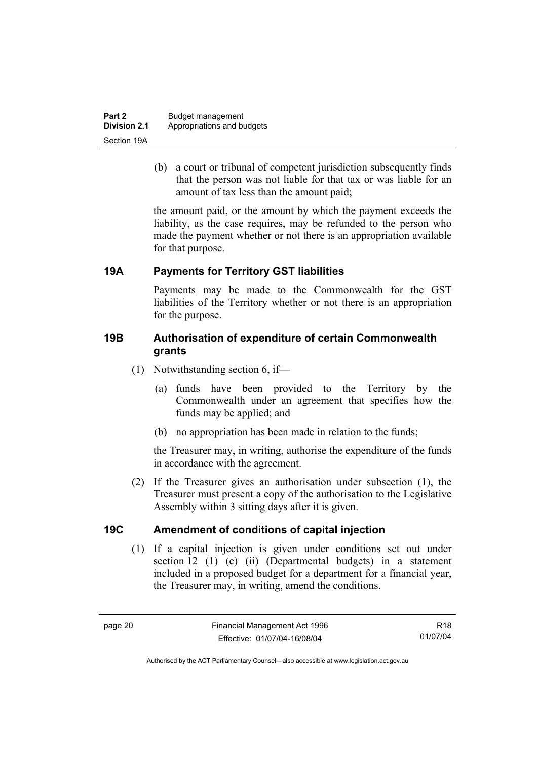| Part 2              | Budget management          |
|---------------------|----------------------------|
| <b>Division 2.1</b> | Appropriations and budgets |
| Section 19A         |                            |

 (b) a court or tribunal of competent jurisdiction subsequently finds that the person was not liable for that tax or was liable for an amount of tax less than the amount paid;

the amount paid, or the amount by which the payment exceeds the liability, as the case requires, may be refunded to the person who made the payment whether or not there is an appropriation available for that purpose.

#### **19A Payments for Territory GST liabilities**

Payments may be made to the Commonwealth for the GST liabilities of the Territory whether or not there is an appropriation for the purpose.

#### **19B Authorisation of expenditure of certain Commonwealth grants**

- (1) Notwithstanding section 6, if—
	- (a) funds have been provided to the Territory by the Commonwealth under an agreement that specifies how the funds may be applied; and
	- (b) no appropriation has been made in relation to the funds;

the Treasurer may, in writing, authorise the expenditure of the funds in accordance with the agreement.

 (2) If the Treasurer gives an authorisation under subsection (1), the Treasurer must present a copy of the authorisation to the Legislative Assembly within 3 sitting days after it is given.

#### **19C Amendment of conditions of capital injection**

 (1) If a capital injection is given under conditions set out under section 12 (1) (c) (ii) (Departmental budgets) in a statement included in a proposed budget for a department for a financial year, the Treasurer may, in writing, amend the conditions.

R18 01/07/04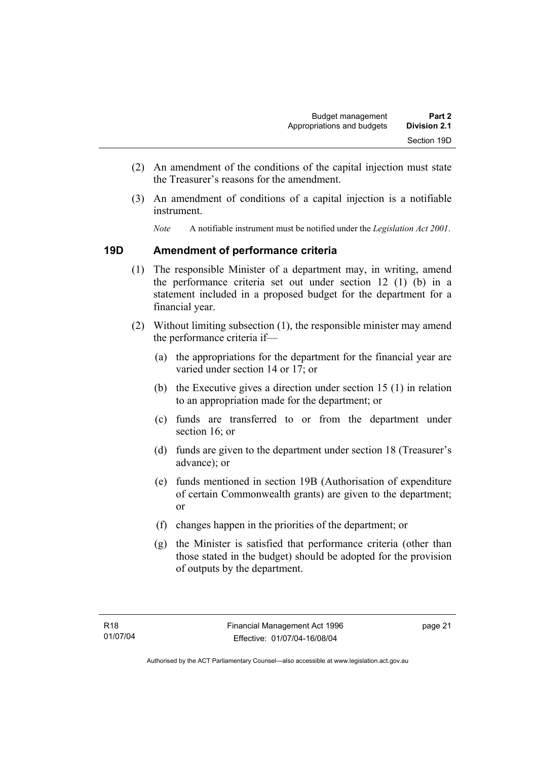- (2) An amendment of the conditions of the capital injection must state the Treasurer's reasons for the amendment.
- (3) An amendment of conditions of a capital injection is a notifiable instrument.
	- *Note* A notifiable instrument must be notified under the *Legislation Act 2001*.

#### **19D Amendment of performance criteria**

- (1) The responsible Minister of a department may, in writing, amend the performance criteria set out under section 12 (1) (b) in a statement included in a proposed budget for the department for a financial year.
- (2) Without limiting subsection (1), the responsible minister may amend the performance criteria if—
	- (a) the appropriations for the department for the financial year are varied under section 14 or 17; or
	- (b) the Executive gives a direction under section 15 (1) in relation to an appropriation made for the department; or
	- (c) funds are transferred to or from the department under section 16; or
	- (d) funds are given to the department under section 18 (Treasurer's advance); or
	- (e) funds mentioned in section 19B (Authorisation of expenditure of certain Commonwealth grants) are given to the department; or
	- (f) changes happen in the priorities of the department; or
	- (g) the Minister is satisfied that performance criteria (other than those stated in the budget) should be adopted for the provision of outputs by the department.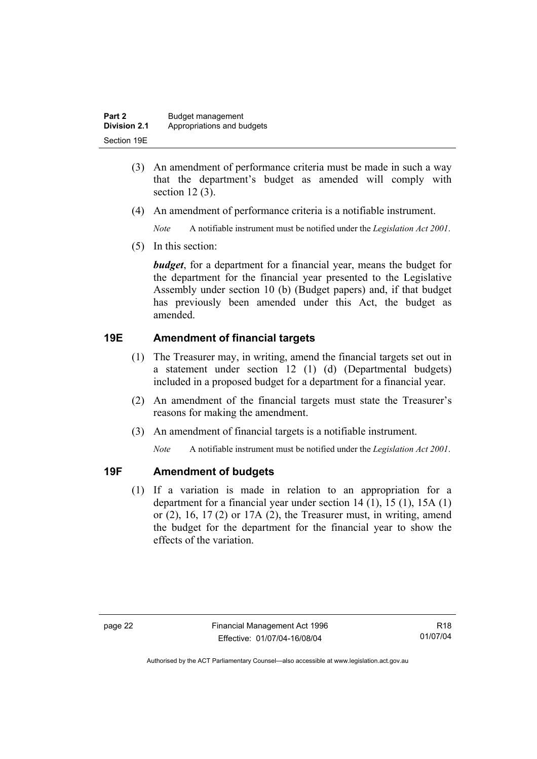| Part 2       | Budget management          |
|--------------|----------------------------|
| Division 2.1 | Appropriations and budgets |
| Section 19E  |                            |

- (3) An amendment of performance criteria must be made in such a way that the department's budget as amended will comply with section 12 (3).
- (4) An amendment of performance criteria is a notifiable instrument.

*Note* A notifiable instrument must be notified under the *Legislation Act 2001*.

(5) In this section:

*budget*, for a department for a financial year, means the budget for the department for the financial year presented to the Legislative Assembly under section 10 (b) (Budget papers) and, if that budget has previously been amended under this Act, the budget as amended.

### **19E Amendment of financial targets**

- (1) The Treasurer may, in writing, amend the financial targets set out in a statement under section 12 (1) (d) (Departmental budgets) included in a proposed budget for a department for a financial year.
- (2) An amendment of the financial targets must state the Treasurer's reasons for making the amendment.
- (3) An amendment of financial targets is a notifiable instrument.

*Note* A notifiable instrument must be notified under the *Legislation Act 2001*.

#### **19F Amendment of budgets**

 (1) If a variation is made in relation to an appropriation for a department for a financial year under section 14 (1), 15 (1), 15A (1) or  $(2)$ ,  $16$ ,  $17(2)$  or  $17A(2)$ , the Treasurer must, in writing, amend the budget for the department for the financial year to show the effects of the variation.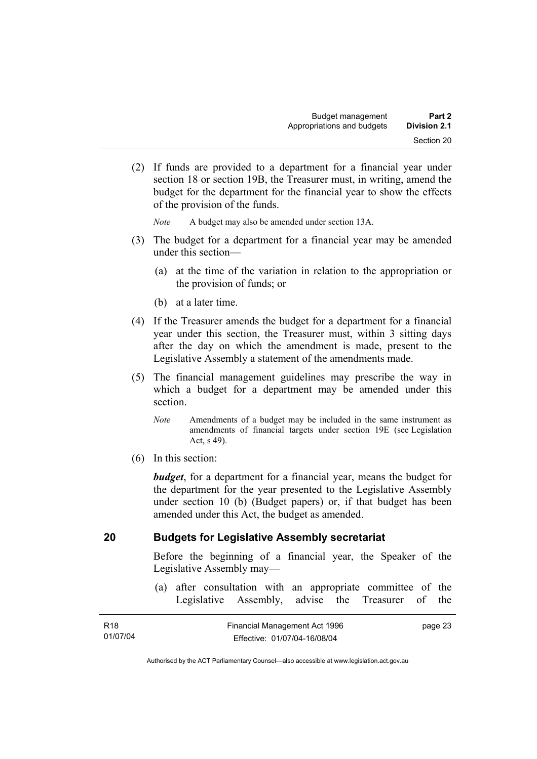(2) If funds are provided to a department for a financial year under section 18 or section 19B, the Treasurer must, in writing, amend the budget for the department for the financial year to show the effects of the provision of the funds.

*Note* A budget may also be amended under section 13A.

- (3) The budget for a department for a financial year may be amended under this section—
	- (a) at the time of the variation in relation to the appropriation or the provision of funds; or
	- (b) at a later time.
- (4) If the Treasurer amends the budget for a department for a financial year under this section, the Treasurer must, within 3 sitting days after the day on which the amendment is made, present to the Legislative Assembly a statement of the amendments made.
- (5) The financial management guidelines may prescribe the way in which a budget for a department may be amended under this section.
	- *Note* Amendments of a budget may be included in the same instrument as amendments of financial targets under section 19E (see Legislation Act, s 49).
- (6) In this section:

*budget*, for a department for a financial year, means the budget for the department for the year presented to the Legislative Assembly under section 10 (b) (Budget papers) or, if that budget has been amended under this Act, the budget as amended.

#### **20 Budgets for Legislative Assembly secretariat**

Before the beginning of a financial year, the Speaker of the Legislative Assembly may—

 (a) after consultation with an appropriate committee of the Legislative Assembly, advise the Treasurer of the

| R <sub>18</sub> | Financial Management Act 1996 | page 23 |
|-----------------|-------------------------------|---------|
| 01/07/04        | Effective: 01/07/04-16/08/04  |         |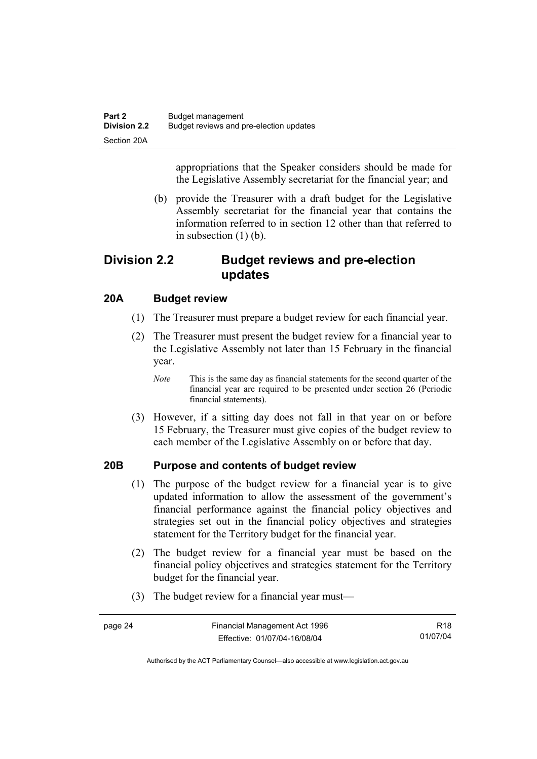appropriations that the Speaker considers should be made for the Legislative Assembly secretariat for the financial year; and

 (b) provide the Treasurer with a draft budget for the Legislative Assembly secretariat for the financial year that contains the information referred to in section 12 other than that referred to in subsection (1) (b).

# **Division 2.2 Budget reviews and pre-election updates**

#### **20A Budget review**

- (1) The Treasurer must prepare a budget review for each financial year.
- (2) The Treasurer must present the budget review for a financial year to the Legislative Assembly not later than 15 February in the financial year.
	- *Note* This is the same day as financial statements for the second quarter of the financial year are required to be presented under section 26 (Periodic financial statements).
- (3) However, if a sitting day does not fall in that year on or before 15 February, the Treasurer must give copies of the budget review to each member of the Legislative Assembly on or before that day.

#### **20B Purpose and contents of budget review**

- (1) The purpose of the budget review for a financial year is to give updated information to allow the assessment of the government's financial performance against the financial policy objectives and strategies set out in the financial policy objectives and strategies statement for the Territory budget for the financial year.
- (2) The budget review for a financial year must be based on the financial policy objectives and strategies statement for the Territory budget for the financial year.
- (3) The budget review for a financial year must—

| page 24 | Financial Management Act 1996 | R18      |
|---------|-------------------------------|----------|
|         | Effective: 01/07/04-16/08/04  | 01/07/04 |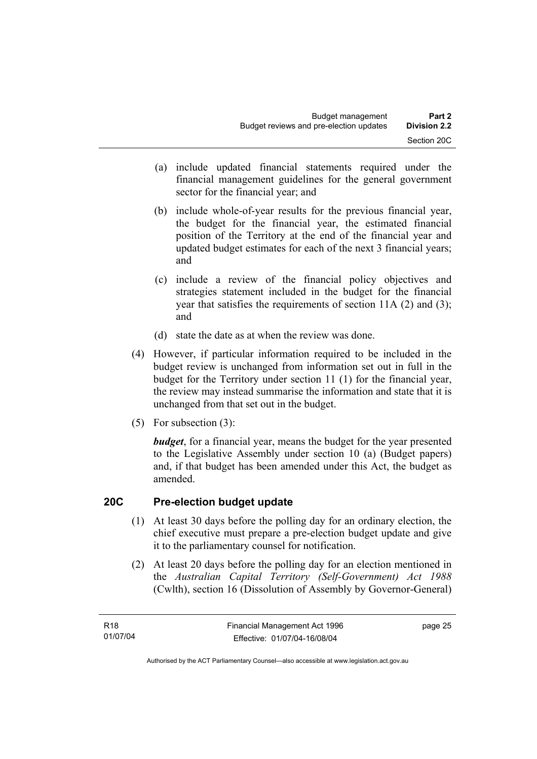- (a) include updated financial statements required under the financial management guidelines for the general government sector for the financial year; and
- (b) include whole-of-year results for the previous financial year, the budget for the financial year, the estimated financial position of the Territory at the end of the financial year and updated budget estimates for each of the next 3 financial years; and
- (c) include a review of the financial policy objectives and strategies statement included in the budget for the financial year that satisfies the requirements of section 11A (2) and (3); and
- (d) state the date as at when the review was done.
- (4) However, if particular information required to be included in the budget review is unchanged from information set out in full in the budget for the Territory under section 11 (1) for the financial year, the review may instead summarise the information and state that it is unchanged from that set out in the budget.
- (5) For subsection (3):

*budget*, for a financial year, means the budget for the year presented to the Legislative Assembly under section 10 (a) (Budget papers) and, if that budget has been amended under this Act, the budget as amended.

#### **20C Pre-election budget update**

- (1) At least 30 days before the polling day for an ordinary election, the chief executive must prepare a pre-election budget update and give it to the parliamentary counsel for notification.
- (2) At least 20 days before the polling day for an election mentioned in the *Australian Capital Territory (Self-Government) Act 1988* (Cwlth), section 16 (Dissolution of Assembly by Governor-General)

page 25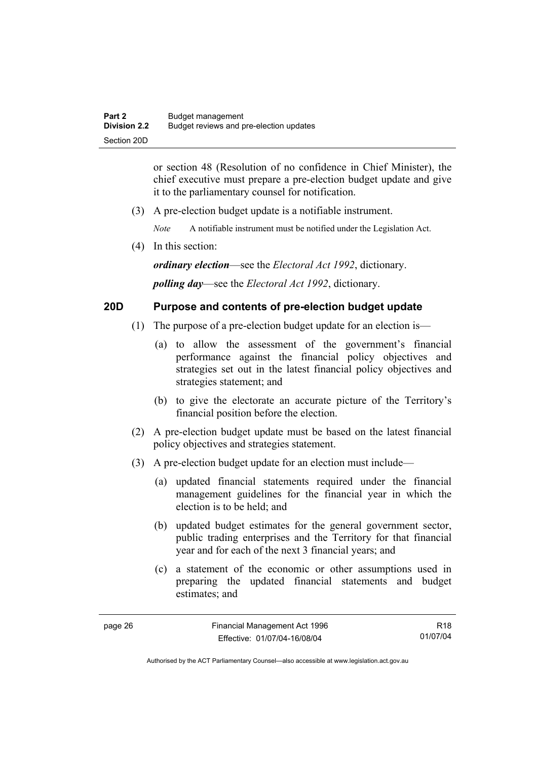or section 48 (Resolution of no confidence in Chief Minister), the chief executive must prepare a pre-election budget update and give it to the parliamentary counsel for notification.

(3) A pre-election budget update is a notifiable instrument.

*Note* A notifiable instrument must be notified under the Legislation Act.

(4) In this section:

*ordinary election*—see the *Electoral Act 1992*, dictionary.

*polling day*—see the *Electoral Act 1992*, dictionary.

#### **20D Purpose and contents of pre-election budget update**

- (1) The purpose of a pre-election budget update for an election is—
	- (a) to allow the assessment of the government's financial performance against the financial policy objectives and strategies set out in the latest financial policy objectives and strategies statement; and
	- (b) to give the electorate an accurate picture of the Territory's financial position before the election.
- (2) A pre-election budget update must be based on the latest financial policy objectives and strategies statement.
- (3) A pre-election budget update for an election must include—
	- (a) updated financial statements required under the financial management guidelines for the financial year in which the election is to be held; and
	- (b) updated budget estimates for the general government sector, public trading enterprises and the Territory for that financial year and for each of the next 3 financial years; and
	- (c) a statement of the economic or other assumptions used in preparing the updated financial statements and budget estimates; and

R18 01/07/04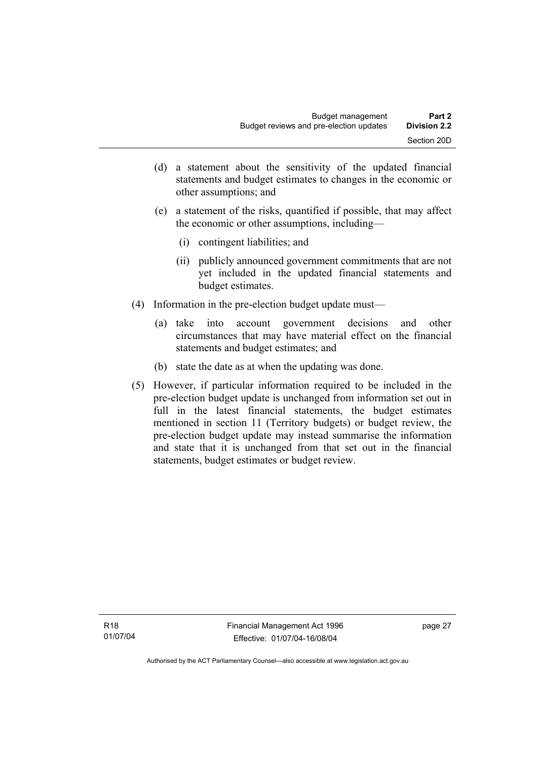- (d) a statement about the sensitivity of the updated financial statements and budget estimates to changes in the economic or other assumptions; and
- (e) a statement of the risks, quantified if possible, that may affect the economic or other assumptions, including—
	- (i) contingent liabilities; and
	- (ii) publicly announced government commitments that are not yet included in the updated financial statements and budget estimates.
- (4) Information in the pre-election budget update must—
	- (a) take into account government decisions and other circumstances that may have material effect on the financial statements and budget estimates; and
	- (b) state the date as at when the updating was done.
- (5) However, if particular information required to be included in the pre-election budget update is unchanged from information set out in full in the latest financial statements, the budget estimates mentioned in section 11 (Territory budgets) or budget review, the pre-election budget update may instead summarise the information and state that it is unchanged from that set out in the financial statements, budget estimates or budget review.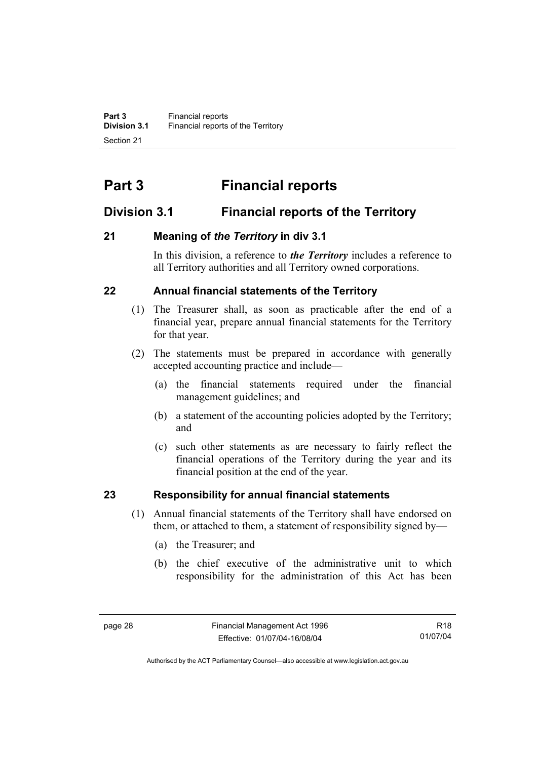# **Part 3 Financial reports**

# **Division 3.1 Financial reports of the Territory**

### **21 Meaning of** *the Territory* **in div 3.1**

In this division, a reference to *the Territory* includes a reference to all Territory authorities and all Territory owned corporations.

### **22 Annual financial statements of the Territory**

- (1) The Treasurer shall, as soon as practicable after the end of a financial year, prepare annual financial statements for the Territory for that year.
- (2) The statements must be prepared in accordance with generally accepted accounting practice and include—
	- (a) the financial statements required under the financial management guidelines; and
	- (b) a statement of the accounting policies adopted by the Territory; and
	- (c) such other statements as are necessary to fairly reflect the financial operations of the Territory during the year and its financial position at the end of the year.

# **23 Responsibility for annual financial statements**

- (1) Annual financial statements of the Territory shall have endorsed on them, or attached to them, a statement of responsibility signed by—
	- (a) the Treasurer; and
	- (b) the chief executive of the administrative unit to which responsibility for the administration of this Act has been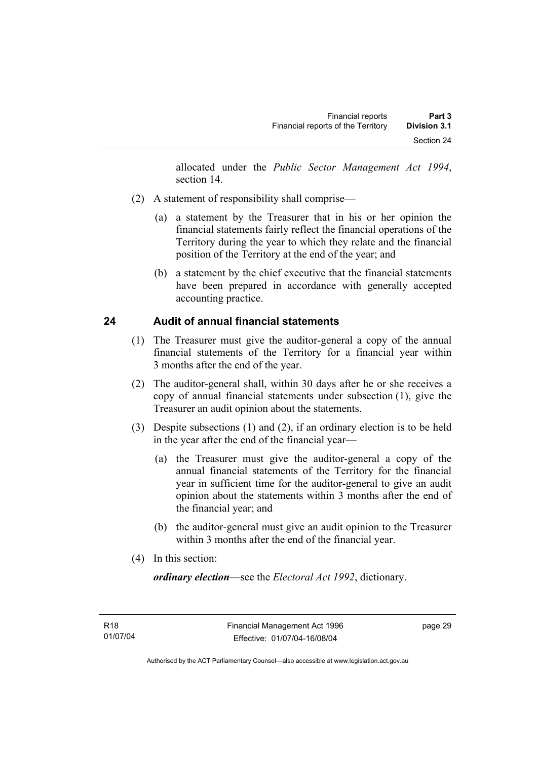allocated under the *Public Sector Management Act 1994*, section 14.

- (2) A statement of responsibility shall comprise—
	- (a) a statement by the Treasurer that in his or her opinion the financial statements fairly reflect the financial operations of the Territory during the year to which they relate and the financial position of the Territory at the end of the year; and
	- (b) a statement by the chief executive that the financial statements have been prepared in accordance with generally accepted accounting practice.

## **24 Audit of annual financial statements**

- (1) The Treasurer must give the auditor-general a copy of the annual financial statements of the Territory for a financial year within 3 months after the end of the year.
- (2) The auditor-general shall, within 30 days after he or she receives a copy of annual financial statements under subsection (1), give the Treasurer an audit opinion about the statements.
- (3) Despite subsections (1) and (2), if an ordinary election is to be held in the year after the end of the financial year—
	- (a) the Treasurer must give the auditor-general a copy of the annual financial statements of the Territory for the financial year in sufficient time for the auditor-general to give an audit opinion about the statements within 3 months after the end of the financial year; and
	- (b) the auditor-general must give an audit opinion to the Treasurer within 3 months after the end of the financial year.
- (4) In this section:

*ordinary election*—see the *Electoral Act 1992*, dictionary.

page 29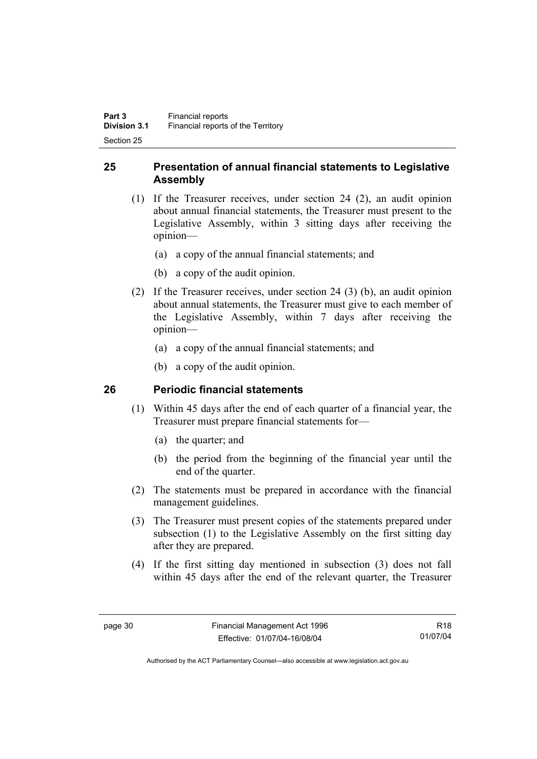## **25 Presentation of annual financial statements to Legislative Assembly**

- (1) If the Treasurer receives, under section 24 (2), an audit opinion about annual financial statements, the Treasurer must present to the Legislative Assembly, within 3 sitting days after receiving the opinion—
	- (a) a copy of the annual financial statements; and
	- (b) a copy of the audit opinion.
- (2) If the Treasurer receives, under section 24 (3) (b), an audit opinion about annual statements, the Treasurer must give to each member of the Legislative Assembly, within 7 days after receiving the opinion—
	- (a) a copy of the annual financial statements; and
	- (b) a copy of the audit opinion.

## **26 Periodic financial statements**

- (1) Within 45 days after the end of each quarter of a financial year, the Treasurer must prepare financial statements for—
	- (a) the quarter; and
	- (b) the period from the beginning of the financial year until the end of the quarter.
- (2) The statements must be prepared in accordance with the financial management guidelines.
- (3) The Treasurer must present copies of the statements prepared under subsection (1) to the Legislative Assembly on the first sitting day after they are prepared.
- (4) If the first sitting day mentioned in subsection (3) does not fall within 45 days after the end of the relevant quarter, the Treasurer

R18 01/07/04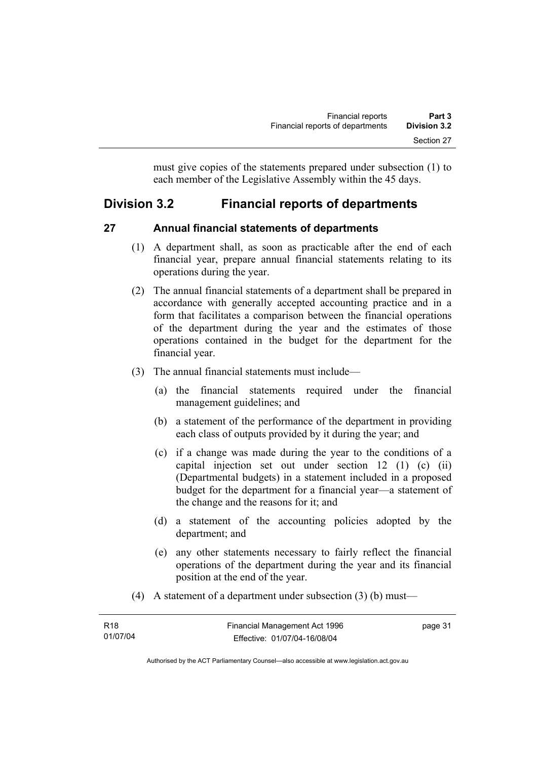must give copies of the statements prepared under subsection (1) to each member of the Legislative Assembly within the 45 days.

# **Division 3.2 Financial reports of departments**

#### **27 Annual financial statements of departments**

- (1) A department shall, as soon as practicable after the end of each financial year, prepare annual financial statements relating to its operations during the year.
- (2) The annual financial statements of a department shall be prepared in accordance with generally accepted accounting practice and in a form that facilitates a comparison between the financial operations of the department during the year and the estimates of those operations contained in the budget for the department for the financial year.
- (3) The annual financial statements must include—
	- (a) the financial statements required under the financial management guidelines; and
	- (b) a statement of the performance of the department in providing each class of outputs provided by it during the year; and
	- (c) if a change was made during the year to the conditions of a capital injection set out under section 12 (1) (c) (ii) (Departmental budgets) in a statement included in a proposed budget for the department for a financial year—a statement of the change and the reasons for it; and
	- (d) a statement of the accounting policies adopted by the department; and
	- (e) any other statements necessary to fairly reflect the financial operations of the department during the year and its financial position at the end of the year.
- (4) A statement of a department under subsection (3) (b) must—

| R18      | Financial Management Act 1996 | page 31 |
|----------|-------------------------------|---------|
| 01/07/04 | Effective: 01/07/04-16/08/04  |         |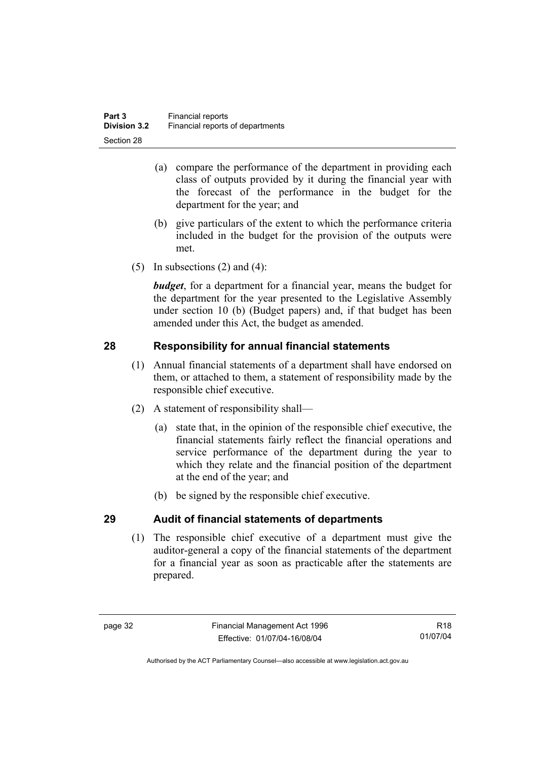- (a) compare the performance of the department in providing each class of outputs provided by it during the financial year with the forecast of the performance in the budget for the department for the year; and
- (b) give particulars of the extent to which the performance criteria included in the budget for the provision of the outputs were met.
- (5) In subsections  $(2)$  and  $(4)$ :

*budget*, for a department for a financial year, means the budget for the department for the year presented to the Legislative Assembly under section 10 (b) (Budget papers) and, if that budget has been amended under this Act, the budget as amended.

## **28 Responsibility for annual financial statements**

- (1) Annual financial statements of a department shall have endorsed on them, or attached to them, a statement of responsibility made by the responsible chief executive.
- (2) A statement of responsibility shall—
	- (a) state that, in the opinion of the responsible chief executive, the financial statements fairly reflect the financial operations and service performance of the department during the year to which they relate and the financial position of the department at the end of the year; and
	- (b) be signed by the responsible chief executive.

## **29 Audit of financial statements of departments**

 (1) The responsible chief executive of a department must give the auditor-general a copy of the financial statements of the department for a financial year as soon as practicable after the statements are prepared.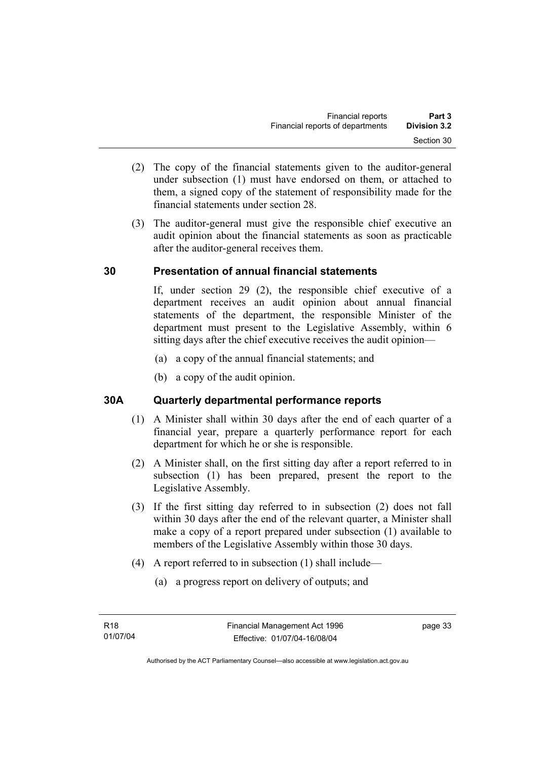- (2) The copy of the financial statements given to the auditor-general under subsection (1) must have endorsed on them, or attached to them, a signed copy of the statement of responsibility made for the financial statements under section 28.
- (3) The auditor-general must give the responsible chief executive an audit opinion about the financial statements as soon as practicable after the auditor-general receives them.

## **30 Presentation of annual financial statements**

If, under section 29 (2), the responsible chief executive of a department receives an audit opinion about annual financial statements of the department, the responsible Minister of the department must present to the Legislative Assembly, within 6 sitting days after the chief executive receives the audit opinion—

- (a) a copy of the annual financial statements; and
- (b) a copy of the audit opinion.

## **30A Quarterly departmental performance reports**

- (1) A Minister shall within 30 days after the end of each quarter of a financial year, prepare a quarterly performance report for each department for which he or she is responsible.
- (2) A Minister shall, on the first sitting day after a report referred to in subsection (1) has been prepared, present the report to the Legislative Assembly.
- (3) If the first sitting day referred to in subsection (2) does not fall within 30 days after the end of the relevant quarter, a Minister shall make a copy of a report prepared under subsection (1) available to members of the Legislative Assembly within those 30 days.
- (4) A report referred to in subsection (1) shall include—
	- (a) a progress report on delivery of outputs; and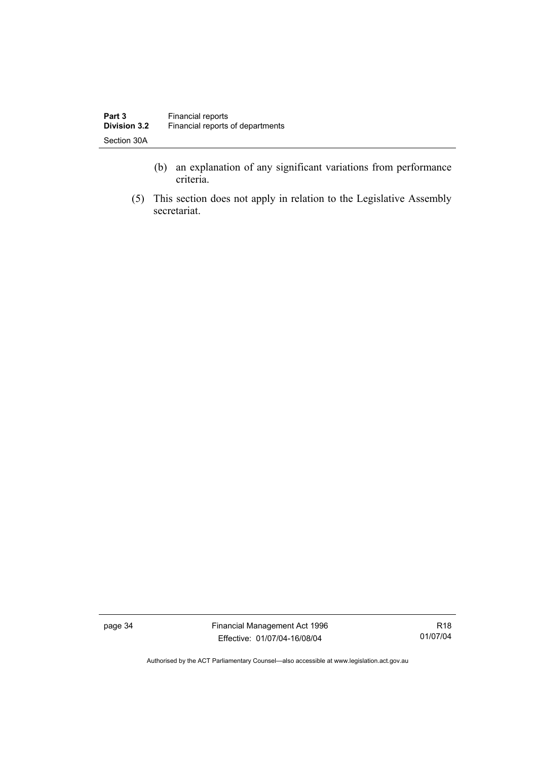- (b) an explanation of any significant variations from performance criteria.
- (5) This section does not apply in relation to the Legislative Assembly secretariat.

page 34 Financial Management Act 1996 Effective: 01/07/04-16/08/04

R18 01/07/04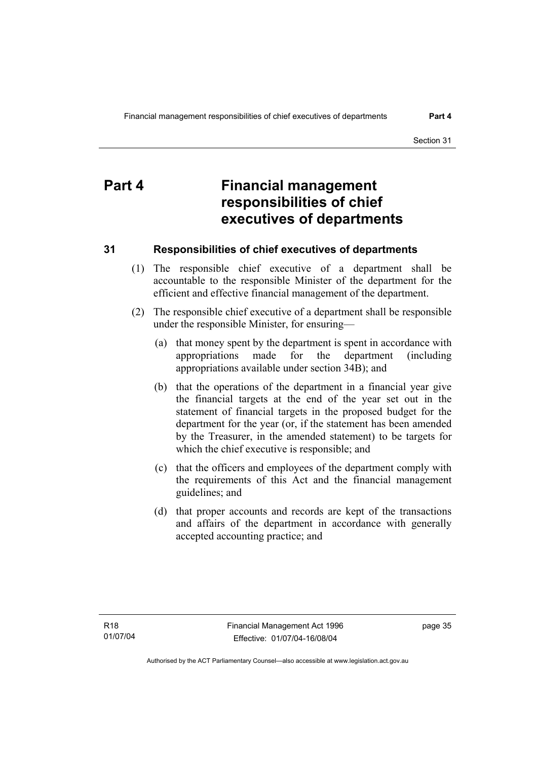# **Part 4 Financial management responsibilities of chief executives of departments**

## **31 Responsibilities of chief executives of departments**

- (1) The responsible chief executive of a department shall be accountable to the responsible Minister of the department for the efficient and effective financial management of the department.
- (2) The responsible chief executive of a department shall be responsible under the responsible Minister, for ensuring—
	- (a) that money spent by the department is spent in accordance with appropriations made for the department (including appropriations available under section 34B); and
	- (b) that the operations of the department in a financial year give the financial targets at the end of the year set out in the statement of financial targets in the proposed budget for the department for the year (or, if the statement has been amended by the Treasurer, in the amended statement) to be targets for which the chief executive is responsible; and
	- (c) that the officers and employees of the department comply with the requirements of this Act and the financial management guidelines; and
	- (d) that proper accounts and records are kept of the transactions and affairs of the department in accordance with generally accepted accounting practice; and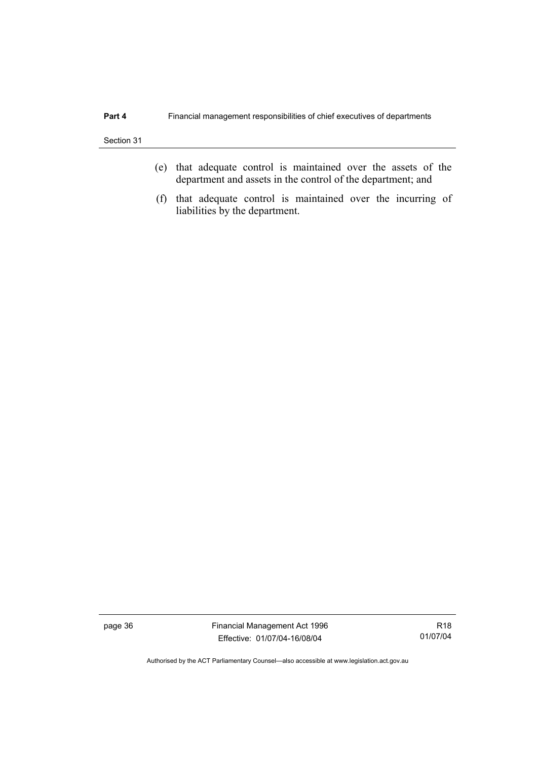- (e) that adequate control is maintained over the assets of the department and assets in the control of the department; and
- (f) that adequate control is maintained over the incurring of liabilities by the department.

page 36 Financial Management Act 1996 Effective: 01/07/04-16/08/04

R18 01/07/04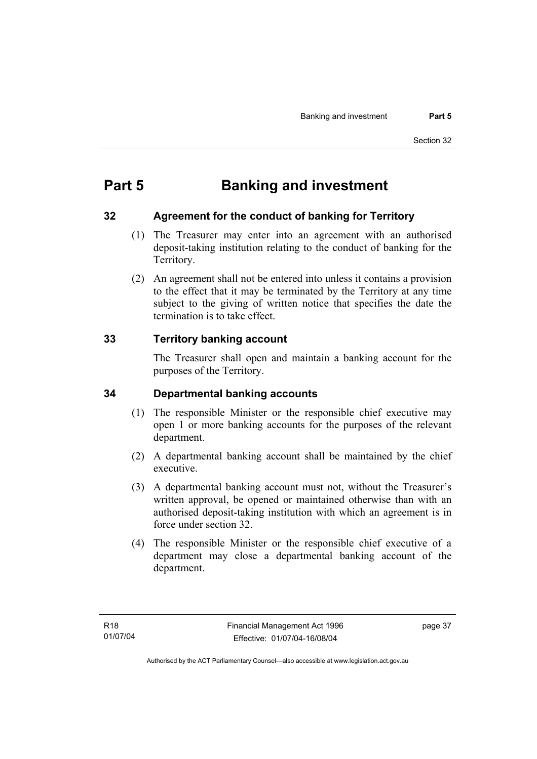# **Part 5 Banking and investment**

#### **32 Agreement for the conduct of banking for Territory**

- (1) The Treasurer may enter into an agreement with an authorised deposit-taking institution relating to the conduct of banking for the Territory.
- (2) An agreement shall not be entered into unless it contains a provision to the effect that it may be terminated by the Territory at any time subject to the giving of written notice that specifies the date the termination is to take effect.

## **33 Territory banking account**

The Treasurer shall open and maintain a banking account for the purposes of the Territory.

## **34 Departmental banking accounts**

- (1) The responsible Minister or the responsible chief executive may open 1 or more banking accounts for the purposes of the relevant department.
- (2) A departmental banking account shall be maintained by the chief executive.
- (3) A departmental banking account must not, without the Treasurer's written approval, be opened or maintained otherwise than with an authorised deposit-taking institution with which an agreement is in force under section 32.
- (4) The responsible Minister or the responsible chief executive of a department may close a departmental banking account of the department.

page 37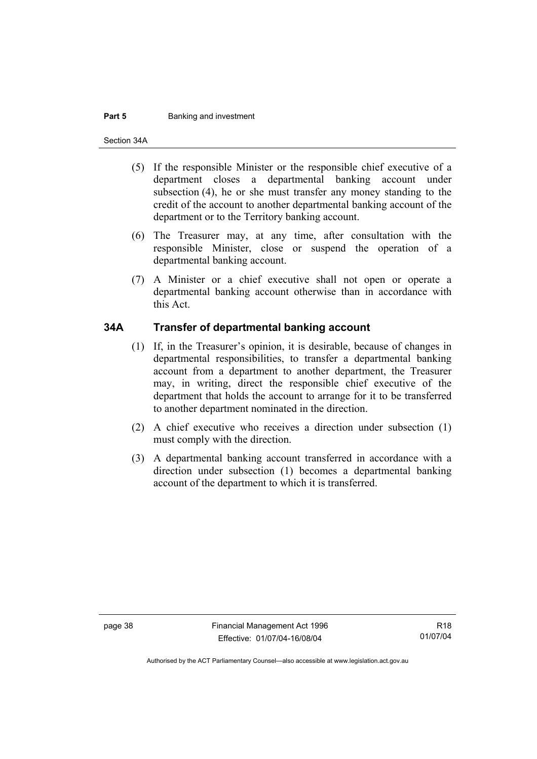#### **Part 5 Banking and investment**

Section 34A

- (5) If the responsible Minister or the responsible chief executive of a department closes a departmental banking account under subsection (4), he or she must transfer any money standing to the credit of the account to another departmental banking account of the department or to the Territory banking account.
- (6) The Treasurer may, at any time, after consultation with the responsible Minister, close or suspend the operation of a departmental banking account.
- (7) A Minister or a chief executive shall not open or operate a departmental banking account otherwise than in accordance with this Act.

#### **34A Transfer of departmental banking account**

- (1) If, in the Treasurer's opinion, it is desirable, because of changes in departmental responsibilities, to transfer a departmental banking account from a department to another department, the Treasurer may, in writing, direct the responsible chief executive of the department that holds the account to arrange for it to be transferred to another department nominated in the direction.
- (2) A chief executive who receives a direction under subsection (1) must comply with the direction.
- (3) A departmental banking account transferred in accordance with a direction under subsection (1) becomes a departmental banking account of the department to which it is transferred.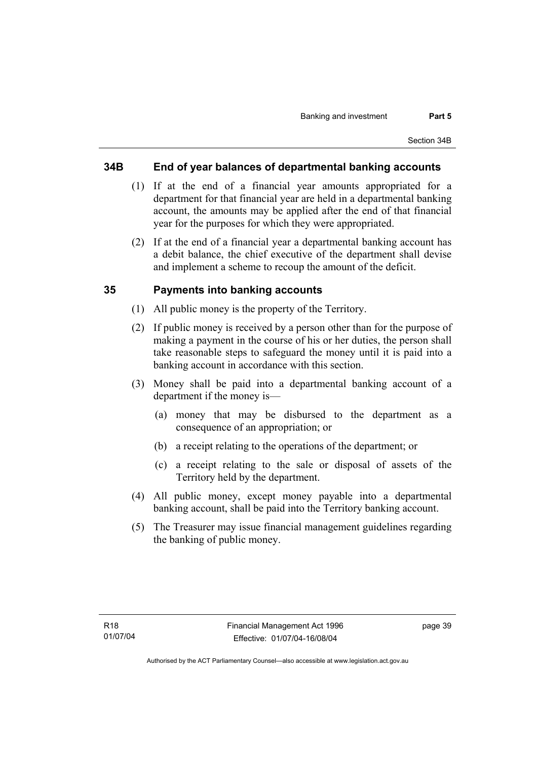#### **34B End of year balances of departmental banking accounts**

- (1) If at the end of a financial year amounts appropriated for a department for that financial year are held in a departmental banking account, the amounts may be applied after the end of that financial year for the purposes for which they were appropriated.
- (2) If at the end of a financial year a departmental banking account has a debit balance, the chief executive of the department shall devise and implement a scheme to recoup the amount of the deficit.

#### **35 Payments into banking accounts**

- (1) All public money is the property of the Territory.
- (2) If public money is received by a person other than for the purpose of making a payment in the course of his or her duties, the person shall take reasonable steps to safeguard the money until it is paid into a banking account in accordance with this section.
- (3) Money shall be paid into a departmental banking account of a department if the money is—
	- (a) money that may be disbursed to the department as a consequence of an appropriation; or
	- (b) a receipt relating to the operations of the department; or
	- (c) a receipt relating to the sale or disposal of assets of the Territory held by the department.
- (4) All public money, except money payable into a departmental banking account, shall be paid into the Territory banking account.
- (5) The Treasurer may issue financial management guidelines regarding the banking of public money.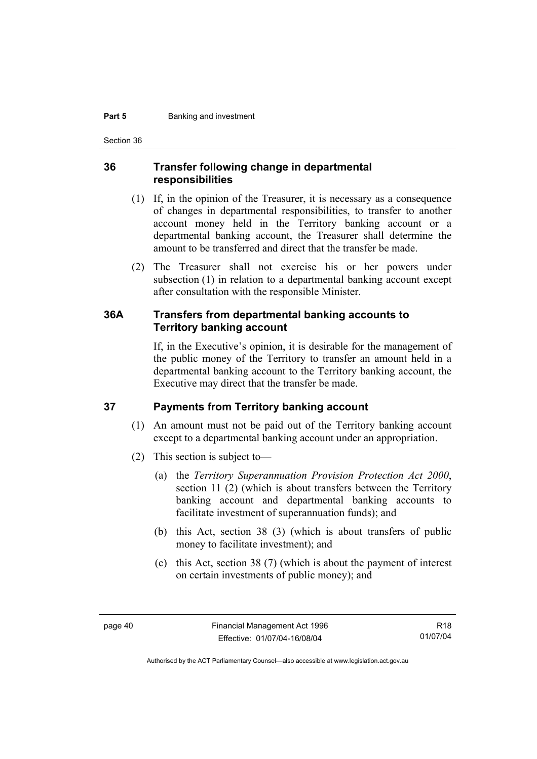#### **Part 5 Banking and investment**

Section 36

#### **36 Transfer following change in departmental responsibilities**

- (1) If, in the opinion of the Treasurer, it is necessary as a consequence of changes in departmental responsibilities, to transfer to another account money held in the Territory banking account or a departmental banking account, the Treasurer shall determine the amount to be transferred and direct that the transfer be made.
- (2) The Treasurer shall not exercise his or her powers under subsection (1) in relation to a departmental banking account except after consultation with the responsible Minister.

#### **36A Transfers from departmental banking accounts to Territory banking account**

If, in the Executive's opinion, it is desirable for the management of the public money of the Territory to transfer an amount held in a departmental banking account to the Territory banking account, the Executive may direct that the transfer be made.

#### **37 Payments from Territory banking account**

- (1) An amount must not be paid out of the Territory banking account except to a departmental banking account under an appropriation.
- (2) This section is subject to—
	- (a) the *Territory Superannuation Provision Protection Act 2000*, section 11 (2) (which is about transfers between the Territory banking account and departmental banking accounts to facilitate investment of superannuation funds); and
	- (b) this Act, section 38 (3) (which is about transfers of public money to facilitate investment); and
	- (c) this Act, section 38 (7) (which is about the payment of interest on certain investments of public money); and

R18 01/07/04

Authorised by the ACT Parliamentary Counsel—also accessible at www.legislation.act.gov.au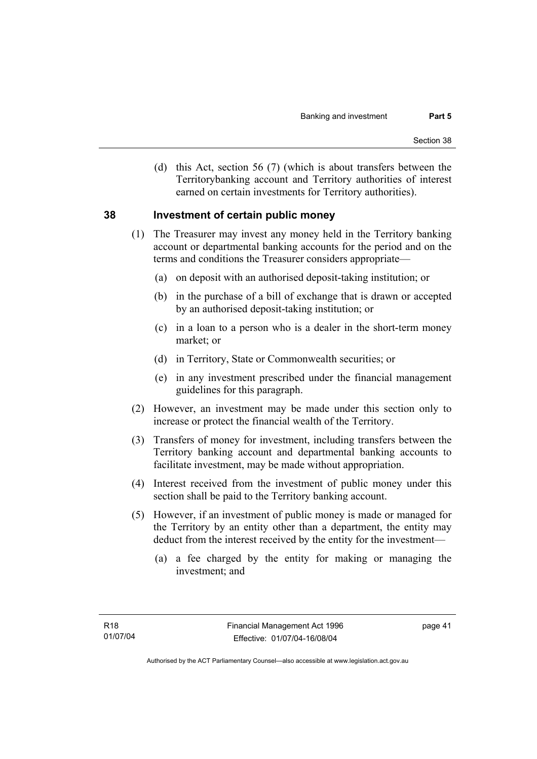(d) this Act, section 56 (7) (which is about transfers between the Territorybanking account and Territory authorities of interest earned on certain investments for Territory authorities).

#### **38 Investment of certain public money**

- (1) The Treasurer may invest any money held in the Territory banking account or departmental banking accounts for the period and on the terms and conditions the Treasurer considers appropriate—
	- (a) on deposit with an authorised deposit-taking institution; or
	- (b) in the purchase of a bill of exchange that is drawn or accepted by an authorised deposit-taking institution; or
	- (c) in a loan to a person who is a dealer in the short-term money market; or
	- (d) in Territory, State or Commonwealth securities; or
	- (e) in any investment prescribed under the financial management guidelines for this paragraph.
- (2) However, an investment may be made under this section only to increase or protect the financial wealth of the Territory.
- (3) Transfers of money for investment, including transfers between the Territory banking account and departmental banking accounts to facilitate investment, may be made without appropriation.
- (4) Interest received from the investment of public money under this section shall be paid to the Territory banking account.
- (5) However, if an investment of public money is made or managed for the Territory by an entity other than a department, the entity may deduct from the interest received by the entity for the investment—
	- (a) a fee charged by the entity for making or managing the investment; and

page 41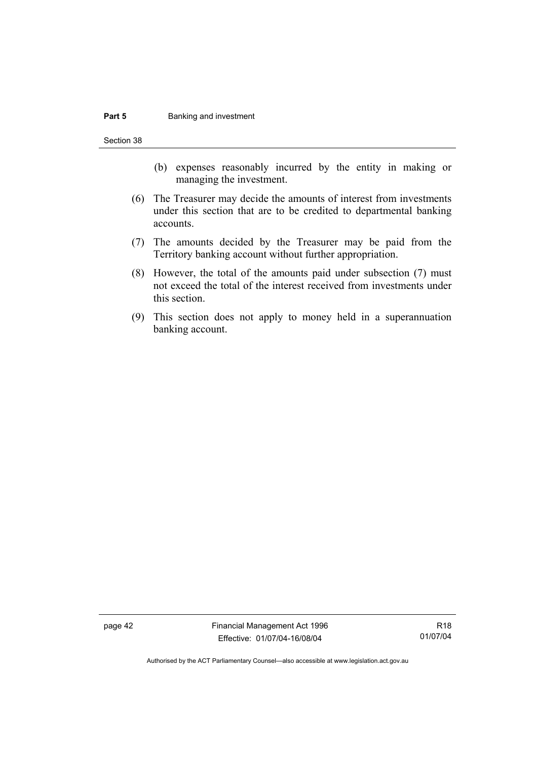#### **Part 5 Banking and investment**

Section 38

- (b) expenses reasonably incurred by the entity in making or managing the investment.
- (6) The Treasurer may decide the amounts of interest from investments under this section that are to be credited to departmental banking accounts.
- (7) The amounts decided by the Treasurer may be paid from the Territory banking account without further appropriation.
- (8) However, the total of the amounts paid under subsection (7) must not exceed the total of the interest received from investments under this section.
- (9) This section does not apply to money held in a superannuation banking account.

page 42 Financial Management Act 1996 Effective: 01/07/04-16/08/04

R18 01/07/04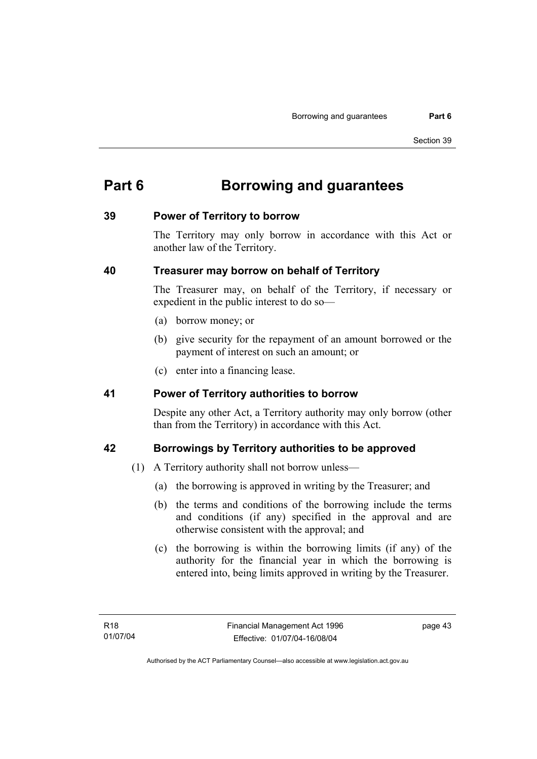# **Part 6 Borrowing and guarantees**

#### **39 Power of Territory to borrow**

The Territory may only borrow in accordance with this Act or another law of the Territory.

#### **40 Treasurer may borrow on behalf of Territory**

The Treasurer may, on behalf of the Territory, if necessary or expedient in the public interest to do so—

- (a) borrow money; or
- (b) give security for the repayment of an amount borrowed or the payment of interest on such an amount; or
- (c) enter into a financing lease.

#### **41 Power of Territory authorities to borrow**

Despite any other Act, a Territory authority may only borrow (other than from the Territory) in accordance with this Act.

## **42 Borrowings by Territory authorities to be approved**

- (1) A Territory authority shall not borrow unless—
	- (a) the borrowing is approved in writing by the Treasurer; and
	- (b) the terms and conditions of the borrowing include the terms and conditions (if any) specified in the approval and are otherwise consistent with the approval; and
	- (c) the borrowing is within the borrowing limits (if any) of the authority for the financial year in which the borrowing is entered into, being limits approved in writing by the Treasurer.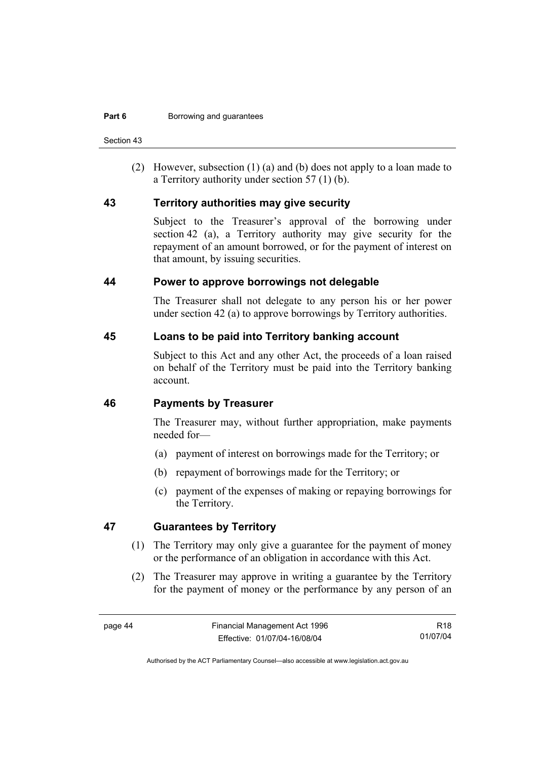Section 43

 (2) However, subsection (1) (a) and (b) does not apply to a loan made to a Territory authority under section 57 (1) (b).

#### **43 Territory authorities may give security**

Subject to the Treasurer's approval of the borrowing under section 42 (a), a Territory authority may give security for the repayment of an amount borrowed, or for the payment of interest on that amount, by issuing securities.

#### **44 Power to approve borrowings not delegable**

The Treasurer shall not delegate to any person his or her power under section 42 (a) to approve borrowings by Territory authorities.

#### **45 Loans to be paid into Territory banking account**

Subject to this Act and any other Act, the proceeds of a loan raised on behalf of the Territory must be paid into the Territory banking account.

#### **46 Payments by Treasurer**

The Treasurer may, without further appropriation, make payments needed for—

- (a) payment of interest on borrowings made for the Territory; or
- (b) repayment of borrowings made for the Territory; or
- (c) payment of the expenses of making or repaying borrowings for the Territory.

#### **47 Guarantees by Territory**

- (1) The Territory may only give a guarantee for the payment of money or the performance of an obligation in accordance with this Act.
- (2) The Treasurer may approve in writing a guarantee by the Territory for the payment of money or the performance by any person of an

R18 01/07/04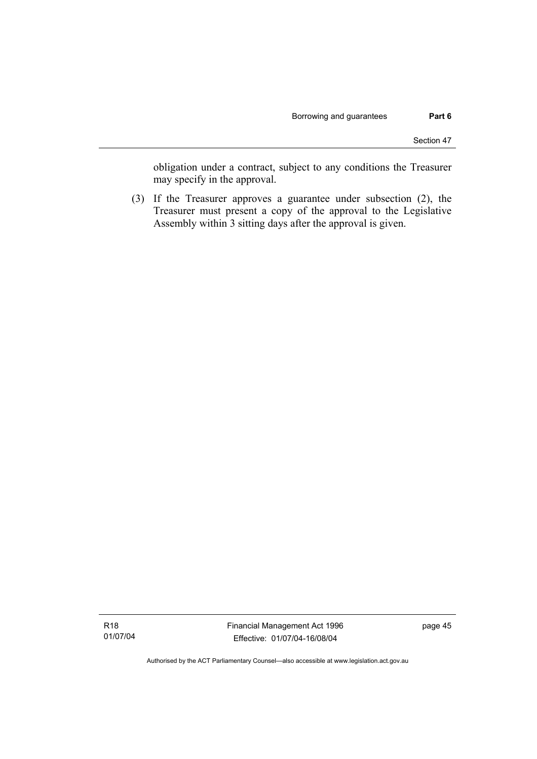obligation under a contract, subject to any conditions the Treasurer may specify in the approval.

 (3) If the Treasurer approves a guarantee under subsection (2), the Treasurer must present a copy of the approval to the Legislative Assembly within 3 sitting days after the approval is given.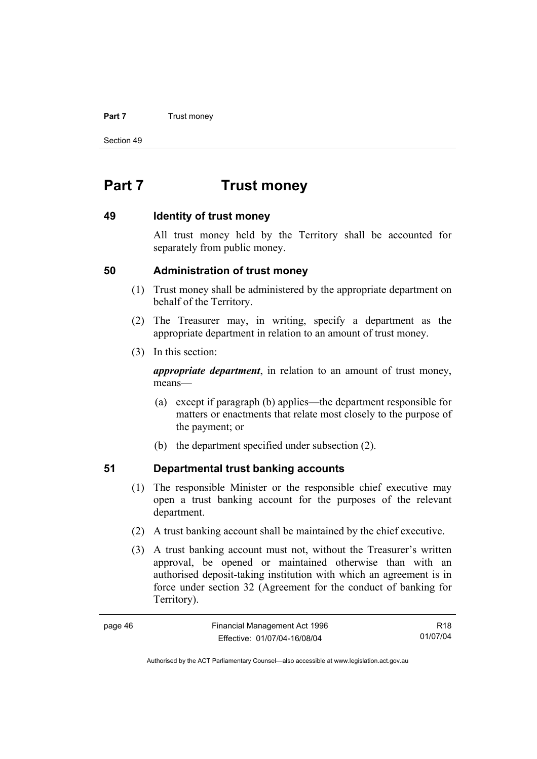#### **Part 7 Trust money**

Section 49

# **Part 7 Trust money**

#### **49 Identity of trust money**

All trust money held by the Territory shall be accounted for separately from public money.

#### **50 Administration of trust money**

- (1) Trust money shall be administered by the appropriate department on behalf of the Territory.
- (2) The Treasurer may, in writing, specify a department as the appropriate department in relation to an amount of trust money.
- (3) In this section:

*appropriate department*, in relation to an amount of trust money, means—

- (a) except if paragraph (b) applies—the department responsible for matters or enactments that relate most closely to the purpose of the payment; or
- (b) the department specified under subsection (2).

## **51 Departmental trust banking accounts**

- (1) The responsible Minister or the responsible chief executive may open a trust banking account for the purposes of the relevant department.
- (2) A trust banking account shall be maintained by the chief executive.
- (3) A trust banking account must not, without the Treasurer's written approval, be opened or maintained otherwise than with an authorised deposit-taking institution with which an agreement is in force under section 32 (Agreement for the conduct of banking for Territory).

| page 46 | Financial Management Act 1996 | R18      |
|---------|-------------------------------|----------|
|         | Effective: 01/07/04-16/08/04  | 01/07/04 |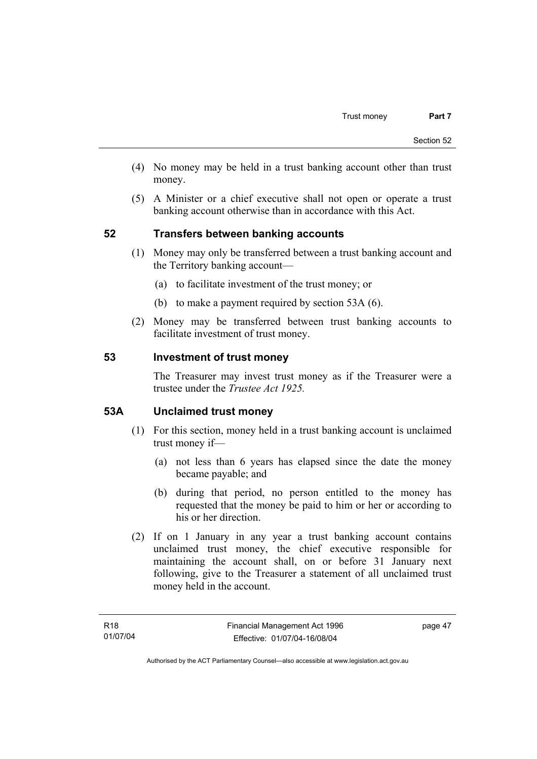- (4) No money may be held in a trust banking account other than trust money.
- (5) A Minister or a chief executive shall not open or operate a trust banking account otherwise than in accordance with this Act.

#### **52 Transfers between banking accounts**

- (1) Money may only be transferred between a trust banking account and the Territory banking account—
	- (a) to facilitate investment of the trust money; or
	- (b) to make a payment required by section 53A (6).
- (2) Money may be transferred between trust banking accounts to facilitate investment of trust money.

#### **53 Investment of trust money**

The Treasurer may invest trust money as if the Treasurer were a trustee under the *Trustee Act 1925.*

#### **53A Unclaimed trust money**

- (1) For this section, money held in a trust banking account is unclaimed trust money if—
	- (a) not less than 6 years has elapsed since the date the money became payable; and
	- (b) during that period, no person entitled to the money has requested that the money be paid to him or her or according to his or her direction.
- (2) If on 1 January in any year a trust banking account contains unclaimed trust money, the chief executive responsible for maintaining the account shall, on or before 31 January next following, give to the Treasurer a statement of all unclaimed trust money held in the account.

page 47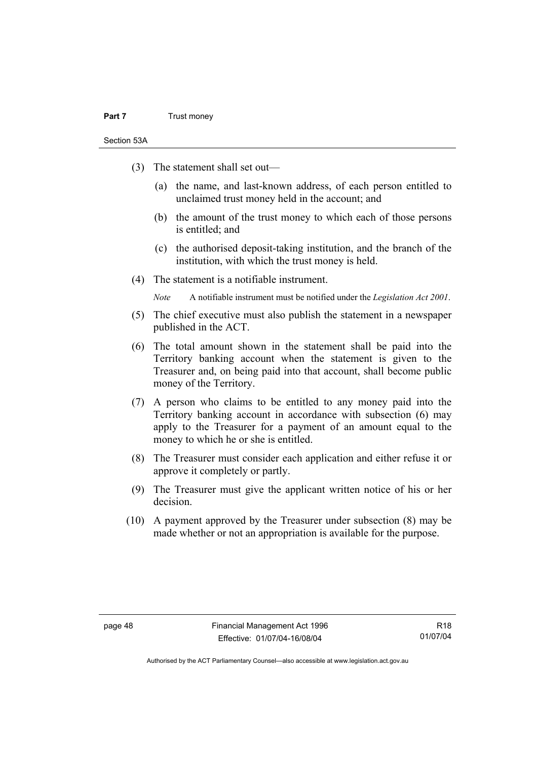#### **Part 7** Trust money

Section 53A

- (3) The statement shall set out—
	- (a) the name, and last-known address, of each person entitled to unclaimed trust money held in the account; and
	- (b) the amount of the trust money to which each of those persons is entitled; and
	- (c) the authorised deposit-taking institution, and the branch of the institution, with which the trust money is held.
- (4) The statement is a notifiable instrument.

*Note* A notifiable instrument must be notified under the *Legislation Act 2001*.

- (5) The chief executive must also publish the statement in a newspaper published in the ACT.
- (6) The total amount shown in the statement shall be paid into the Territory banking account when the statement is given to the Treasurer and, on being paid into that account, shall become public money of the Territory.
- (7) A person who claims to be entitled to any money paid into the Territory banking account in accordance with subsection (6) may apply to the Treasurer for a payment of an amount equal to the money to which he or she is entitled.
- (8) The Treasurer must consider each application and either refuse it or approve it completely or partly.
- (9) The Treasurer must give the applicant written notice of his or her decision.
- (10) A payment approved by the Treasurer under subsection (8) may be made whether or not an appropriation is available for the purpose.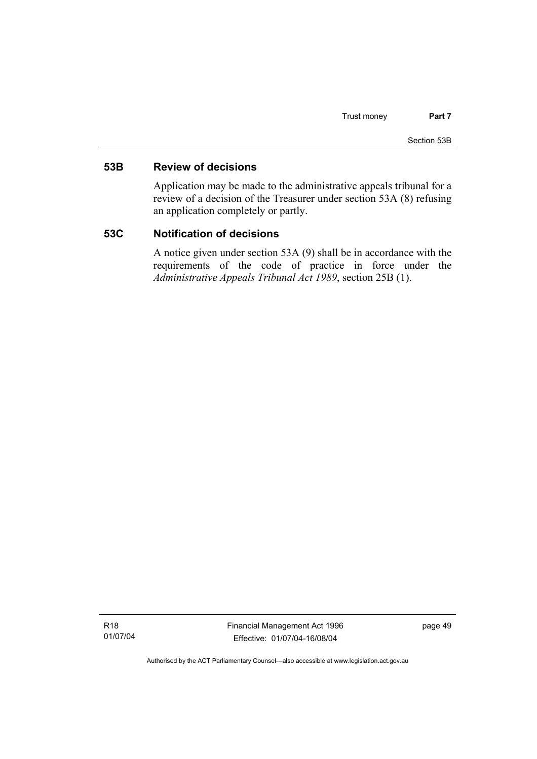#### **53B Review of decisions**

Application may be made to the administrative appeals tribunal for a review of a decision of the Treasurer under section 53A (8) refusing an application completely or partly.

#### **53C Notification of decisions**

A notice given under section 53A (9) shall be in accordance with the requirements of the code of practice in force under the *Administrative Appeals Tribunal Act 1989*, section 25B (1).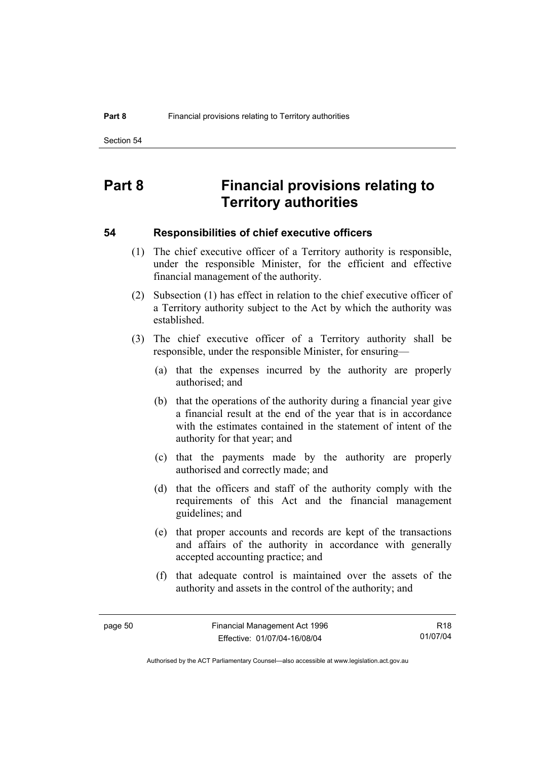# **Part 8 Financial provisions relating to Territory authorities**

#### **54 Responsibilities of chief executive officers**

- (1) The chief executive officer of a Territory authority is responsible, under the responsible Minister, for the efficient and effective financial management of the authority.
- (2) Subsection (1) has effect in relation to the chief executive officer of a Territory authority subject to the Act by which the authority was established.
- (3) The chief executive officer of a Territory authority shall be responsible, under the responsible Minister, for ensuring—
	- (a) that the expenses incurred by the authority are properly authorised; and
	- (b) that the operations of the authority during a financial year give a financial result at the end of the year that is in accordance with the estimates contained in the statement of intent of the authority for that year; and
	- (c) that the payments made by the authority are properly authorised and correctly made; and
	- (d) that the officers and staff of the authority comply with the requirements of this Act and the financial management guidelines; and
	- (e) that proper accounts and records are kept of the transactions and affairs of the authority in accordance with generally accepted accounting practice; and
	- (f) that adequate control is maintained over the assets of the authority and assets in the control of the authority; and

R18 01/07/04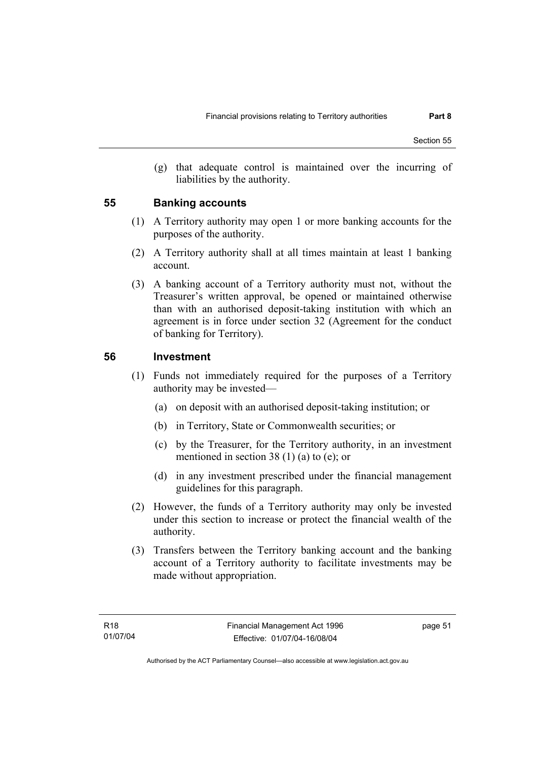(g) that adequate control is maintained over the incurring of liabilities by the authority.

#### **55 Banking accounts**

- (1) A Territory authority may open 1 or more banking accounts for the purposes of the authority.
- (2) A Territory authority shall at all times maintain at least 1 banking account.
- (3) A banking account of a Territory authority must not, without the Treasurer's written approval, be opened or maintained otherwise than with an authorised deposit-taking institution with which an agreement is in force under section 32 (Agreement for the conduct of banking for Territory).

#### **56 Investment**

- (1) Funds not immediately required for the purposes of a Territory authority may be invested—
	- (a) on deposit with an authorised deposit-taking institution; or
	- (b) in Territory, State or Commonwealth securities; or
	- (c) by the Treasurer, for the Territory authority, in an investment mentioned in section 38 (1) (a) to (e); or
	- (d) in any investment prescribed under the financial management guidelines for this paragraph.
- (2) However, the funds of a Territory authority may only be invested under this section to increase or protect the financial wealth of the authority.
- (3) Transfers between the Territory banking account and the banking account of a Territory authority to facilitate investments may be made without appropriation.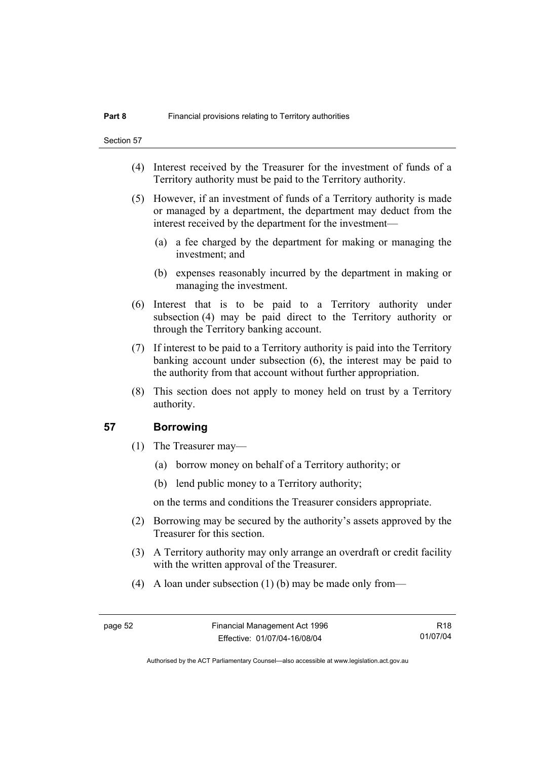- (4) Interest received by the Treasurer for the investment of funds of a Territory authority must be paid to the Territory authority.
- (5) However, if an investment of funds of a Territory authority is made or managed by a department, the department may deduct from the interest received by the department for the investment—
	- (a) a fee charged by the department for making or managing the investment; and
	- (b) expenses reasonably incurred by the department in making or managing the investment.
- (6) Interest that is to be paid to a Territory authority under subsection (4) may be paid direct to the Territory authority or through the Territory banking account.
- (7) If interest to be paid to a Territory authority is paid into the Territory banking account under subsection (6), the interest may be paid to the authority from that account without further appropriation.
- (8) This section does not apply to money held on trust by a Territory authority.

#### **57 Borrowing**

- (1) The Treasurer may—
	- (a) borrow money on behalf of a Territory authority; or
	- (b) lend public money to a Territory authority;

on the terms and conditions the Treasurer considers appropriate.

- (2) Borrowing may be secured by the authority's assets approved by the Treasurer for this section.
- (3) A Territory authority may only arrange an overdraft or credit facility with the written approval of the Treasurer.
- (4) A loan under subsection (1) (b) may be made only from—

R18 01/07/04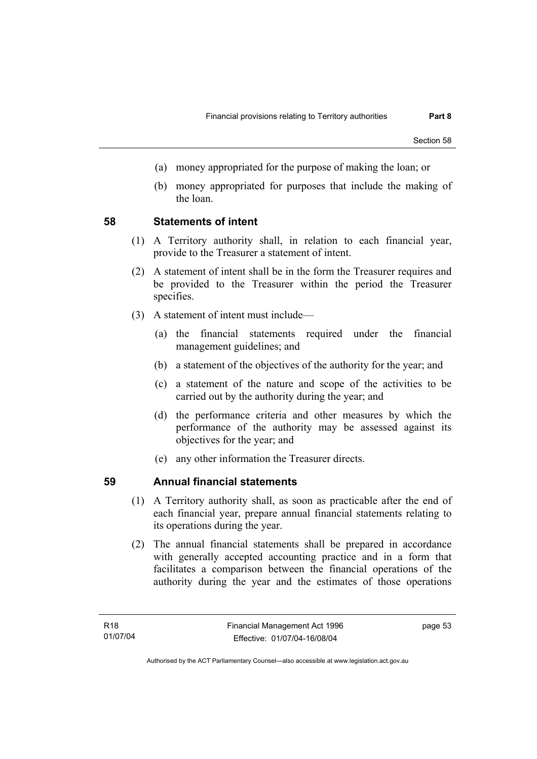- (a) money appropriated for the purpose of making the loan; or
- (b) money appropriated for purposes that include the making of the loan.

#### **58 Statements of intent**

- (1) A Territory authority shall, in relation to each financial year, provide to the Treasurer a statement of intent.
- (2) A statement of intent shall be in the form the Treasurer requires and be provided to the Treasurer within the period the Treasurer specifies.
- (3) A statement of intent must include—
	- (a) the financial statements required under the financial management guidelines; and
	- (b) a statement of the objectives of the authority for the year; and
	- (c) a statement of the nature and scope of the activities to be carried out by the authority during the year; and
	- (d) the performance criteria and other measures by which the performance of the authority may be assessed against its objectives for the year; and
	- (e) any other information the Treasurer directs.

#### **59 Annual financial statements**

- (1) A Territory authority shall, as soon as practicable after the end of each financial year, prepare annual financial statements relating to its operations during the year.
- (2) The annual financial statements shall be prepared in accordance with generally accepted accounting practice and in a form that facilitates a comparison between the financial operations of the authority during the year and the estimates of those operations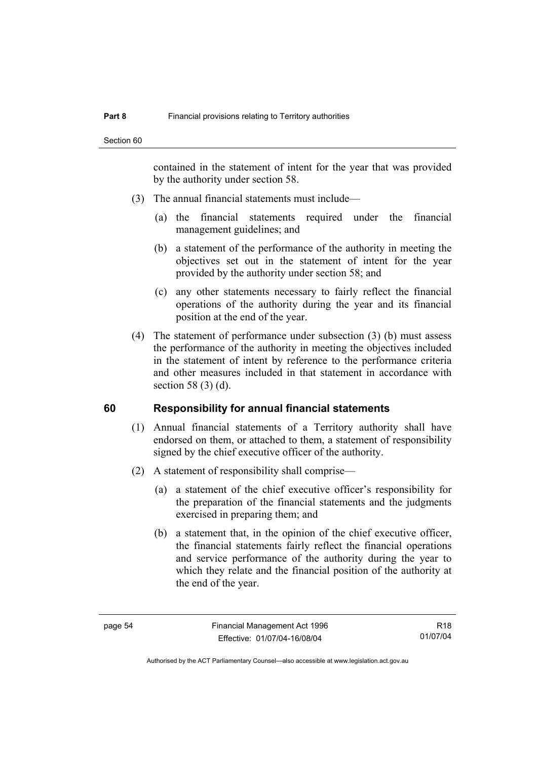contained in the statement of intent for the year that was provided by the authority under section 58.

- (3) The annual financial statements must include—
	- (a) the financial statements required under the financial management guidelines; and
	- (b) a statement of the performance of the authority in meeting the objectives set out in the statement of intent for the year provided by the authority under section 58; and
	- (c) any other statements necessary to fairly reflect the financial operations of the authority during the year and its financial position at the end of the year.
- (4) The statement of performance under subsection (3) (b) must assess the performance of the authority in meeting the objectives included in the statement of intent by reference to the performance criteria and other measures included in that statement in accordance with section 58 (3) (d).

#### **60 Responsibility for annual financial statements**

- (1) Annual financial statements of a Territory authority shall have endorsed on them, or attached to them, a statement of responsibility signed by the chief executive officer of the authority.
- (2) A statement of responsibility shall comprise—
	- (a) a statement of the chief executive officer's responsibility for the preparation of the financial statements and the judgments exercised in preparing them; and
	- (b) a statement that, in the opinion of the chief executive officer, the financial statements fairly reflect the financial operations and service performance of the authority during the year to which they relate and the financial position of the authority at the end of the year.

R18 01/07/04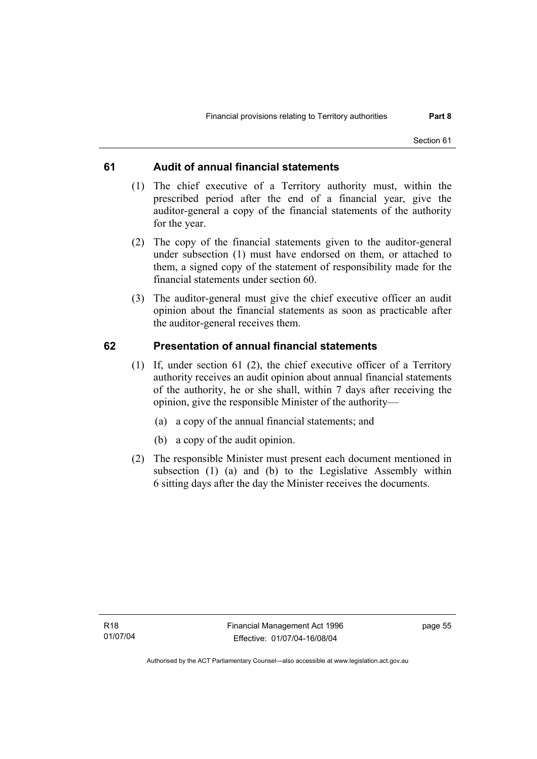#### **61 Audit of annual financial statements**

- (1) The chief executive of a Territory authority must, within the prescribed period after the end of a financial year, give the auditor-general a copy of the financial statements of the authority for the year.
- (2) The copy of the financial statements given to the auditor-general under subsection (1) must have endorsed on them, or attached to them, a signed copy of the statement of responsibility made for the financial statements under section 60.
- (3) The auditor-general must give the chief executive officer an audit opinion about the financial statements as soon as practicable after the auditor-general receives them.

#### **62 Presentation of annual financial statements**

- (1) If, under section 61 (2), the chief executive officer of a Territory authority receives an audit opinion about annual financial statements of the authority, he or she shall, within 7 days after receiving the opinion, give the responsible Minister of the authority—
	- (a) a copy of the annual financial statements; and
	- (b) a copy of the audit opinion.
- (2) The responsible Minister must present each document mentioned in subsection (1) (a) and (b) to the Legislative Assembly within 6 sitting days after the day the Minister receives the documents.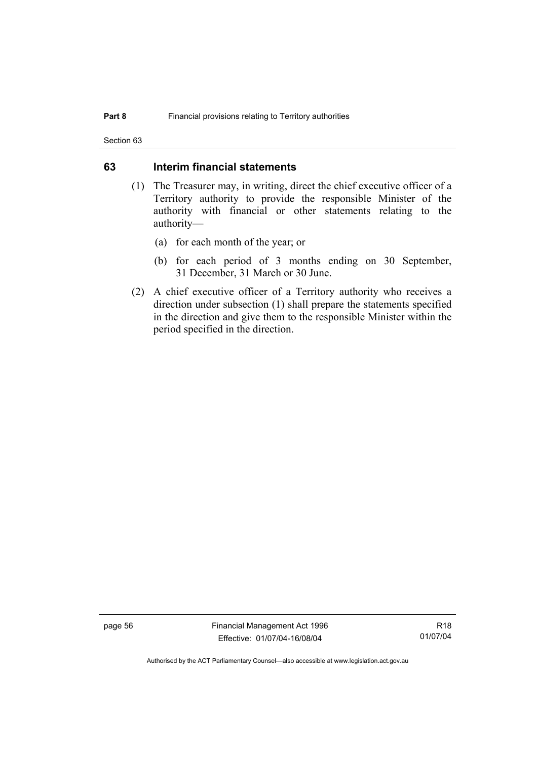Section 63

#### **63 Interim financial statements**

- (1) The Treasurer may, in writing, direct the chief executive officer of a Territory authority to provide the responsible Minister of the authority with financial or other statements relating to the authority—
	- (a) for each month of the year; or
	- (b) for each period of 3 months ending on 30 September, 31 December, 31 March or 30 June.
- (2) A chief executive officer of a Territory authority who receives a direction under subsection (1) shall prepare the statements specified in the direction and give them to the responsible Minister within the period specified in the direction.

page 56 Financial Management Act 1996 Effective: 01/07/04-16/08/04

R18 01/07/04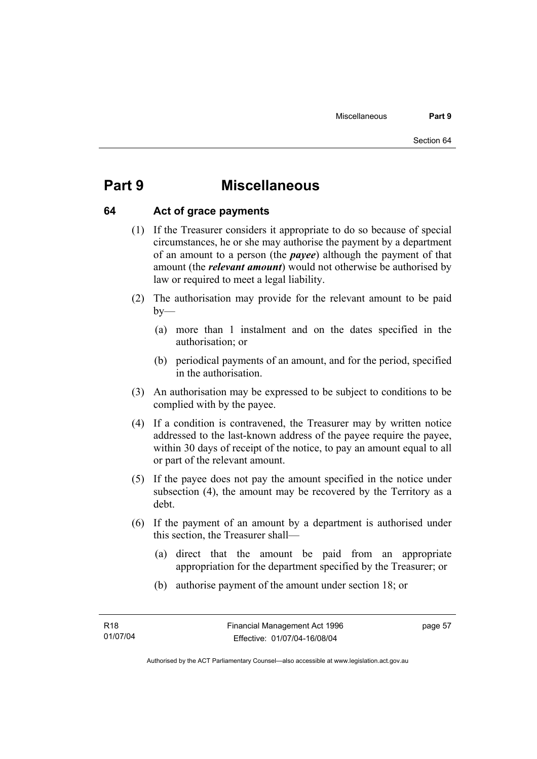# **Part 9 Miscellaneous**

#### **64 Act of grace payments**

- (1) If the Treasurer considers it appropriate to do so because of special circumstances, he or she may authorise the payment by a department of an amount to a person (the *payee*) although the payment of that amount (the *relevant amount*) would not otherwise be authorised by law or required to meet a legal liability.
- (2) The authorisation may provide for the relevant amount to be paid  $by-$ 
	- (a) more than 1 instalment and on the dates specified in the authorisation; or
	- (b) periodical payments of an amount, and for the period, specified in the authorisation.
- (3) An authorisation may be expressed to be subject to conditions to be complied with by the payee.
- (4) If a condition is contravened, the Treasurer may by written notice addressed to the last-known address of the payee require the payee, within 30 days of receipt of the notice, to pay an amount equal to all or part of the relevant amount.
- (5) If the payee does not pay the amount specified in the notice under subsection (4), the amount may be recovered by the Territory as a debt.
- (6) If the payment of an amount by a department is authorised under this section, the Treasurer shall—
	- (a) direct that the amount be paid from an appropriate appropriation for the department specified by the Treasurer; or
	- (b) authorise payment of the amount under section 18; or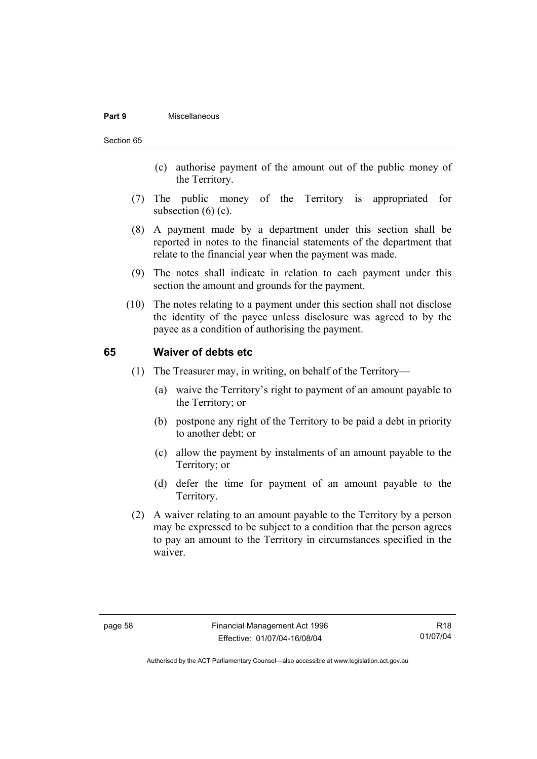#### **Part 9** Miscellaneous

#### Section 65

- (c) authorise payment of the amount out of the public money of the Territory.
- (7) The public money of the Territory is appropriated for subsection  $(6)$   $(c)$ .
- (8) A payment made by a department under this section shall be reported in notes to the financial statements of the department that relate to the financial year when the payment was made.
- (9) The notes shall indicate in relation to each payment under this section the amount and grounds for the payment.
- (10) The notes relating to a payment under this section shall not disclose the identity of the payee unless disclosure was agreed to by the payee as a condition of authorising the payment.

#### **65 Waiver of debts etc**

- (1) The Treasurer may, in writing, on behalf of the Territory—
	- (a) waive the Territory's right to payment of an amount payable to the Territory; or
	- (b) postpone any right of the Territory to be paid a debt in priority to another debt; or
	- (c) allow the payment by instalments of an amount payable to the Territory; or
	- (d) defer the time for payment of an amount payable to the Territory.
- (2) A waiver relating to an amount payable to the Territory by a person may be expressed to be subject to a condition that the person agrees to pay an amount to the Territory in circumstances specified in the waiver.

R18 01/07/04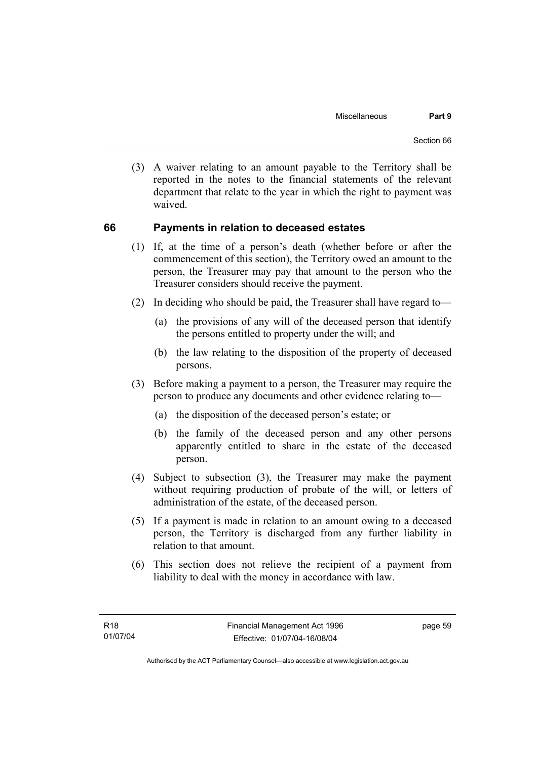(3) A waiver relating to an amount payable to the Territory shall be reported in the notes to the financial statements of the relevant department that relate to the year in which the right to payment was waived.

#### **66 Payments in relation to deceased estates**

- (1) If, at the time of a person's death (whether before or after the commencement of this section), the Territory owed an amount to the person, the Treasurer may pay that amount to the person who the Treasurer considers should receive the payment.
- (2) In deciding who should be paid, the Treasurer shall have regard to—
	- (a) the provisions of any will of the deceased person that identify the persons entitled to property under the will; and
	- (b) the law relating to the disposition of the property of deceased persons.
- (3) Before making a payment to a person, the Treasurer may require the person to produce any documents and other evidence relating to—
	- (a) the disposition of the deceased person's estate; or
	- (b) the family of the deceased person and any other persons apparently entitled to share in the estate of the deceased person.
- (4) Subject to subsection (3), the Treasurer may make the payment without requiring production of probate of the will, or letters of administration of the estate, of the deceased person.
- (5) If a payment is made in relation to an amount owing to a deceased person, the Territory is discharged from any further liability in relation to that amount.
- (6) This section does not relieve the recipient of a payment from liability to deal with the money in accordance with law.

page 59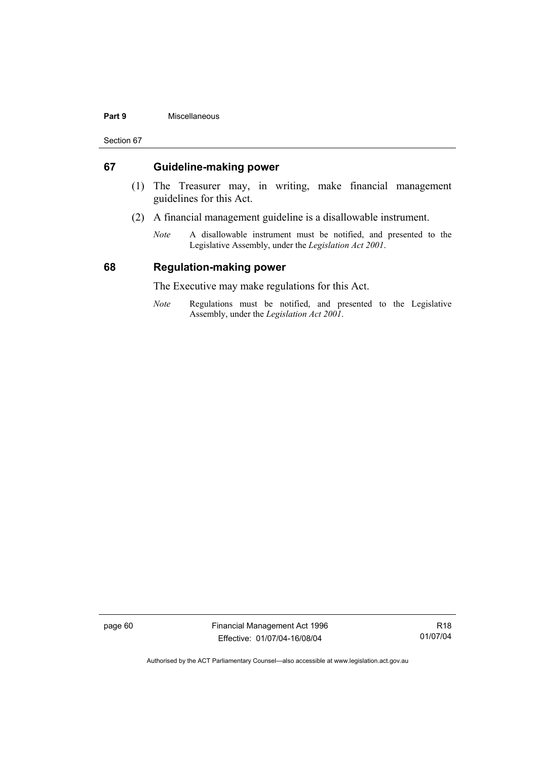#### **Part 9** Miscellaneous

Section 67

#### **67 Guideline-making power**

- (1) The Treasurer may, in writing, make financial management guidelines for this Act.
- (2) A financial management guideline is a disallowable instrument.
	- *Note* A disallowable instrument must be notified, and presented to the Legislative Assembly, under the *Legislation Act 2001*.

#### **68 Regulation-making power**

The Executive may make regulations for this Act.

*Note* Regulations must be notified, and presented to the Legislative Assembly, under the *Legislation Act 2001*.

page 60 Financial Management Act 1996 Effective: 01/07/04-16/08/04

R18 01/07/04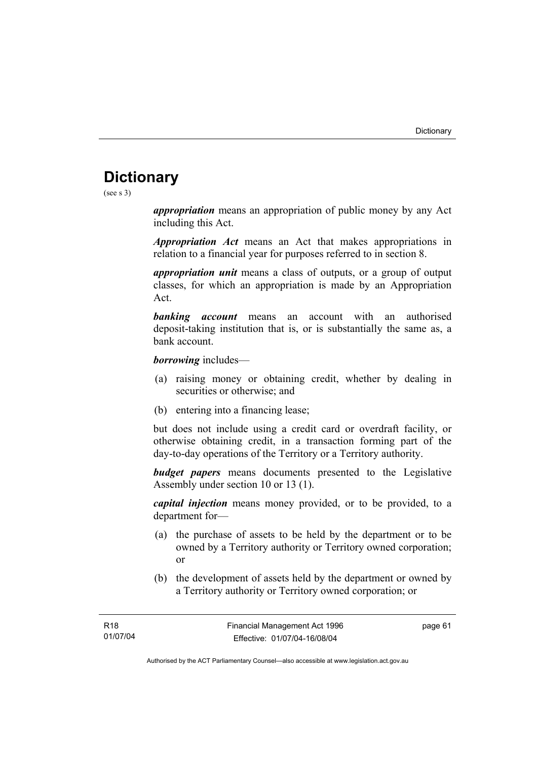# **Dictionary**

(see s 3)

*appropriation* means an appropriation of public money by any Act including this Act.

*Appropriation Act* means an Act that makes appropriations in relation to a financial year for purposes referred to in section 8.

*appropriation unit* means a class of outputs, or a group of output classes, for which an appropriation is made by an Appropriation Act.

*banking account* means an account with an authorised deposit-taking institution that is, or is substantially the same as, a bank account.

*borrowing* includes—

- (a) raising money or obtaining credit, whether by dealing in securities or otherwise; and
- (b) entering into a financing lease;

but does not include using a credit card or overdraft facility, or otherwise obtaining credit, in a transaction forming part of the day-to-day operations of the Territory or a Territory authority.

*budget papers* means documents presented to the Legislative Assembly under section 10 or 13 (1).

*capital injection* means money provided, or to be provided, to a department for—

- (a) the purchase of assets to be held by the department or to be owned by a Territory authority or Territory owned corporation; or
- (b) the development of assets held by the department or owned by a Territory authority or Territory owned corporation; or

page 61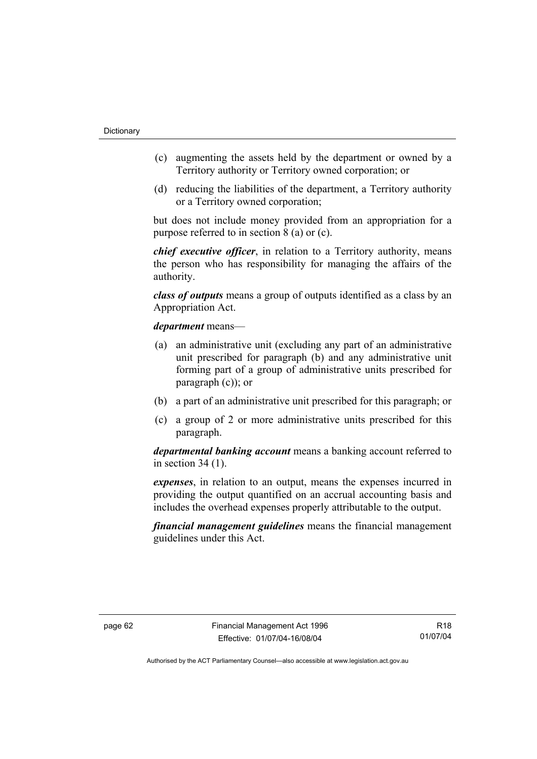- (c) augmenting the assets held by the department or owned by a Territory authority or Territory owned corporation; or
- (d) reducing the liabilities of the department, a Territory authority or a Territory owned corporation;

but does not include money provided from an appropriation for a purpose referred to in section 8 (a) or (c).

*chief executive officer*, in relation to a Territory authority, means the person who has responsibility for managing the affairs of the authority.

*class of outputs* means a group of outputs identified as a class by an Appropriation Act.

*department* means—

- (a) an administrative unit (excluding any part of an administrative unit prescribed for paragraph (b) and any administrative unit forming part of a group of administrative units prescribed for paragraph (c)); or
- (b) a part of an administrative unit prescribed for this paragraph; or
- (c) a group of 2 or more administrative units prescribed for this paragraph.

*departmental banking account* means a banking account referred to in section 34 (1).

*expenses*, in relation to an output, means the expenses incurred in providing the output quantified on an accrual accounting basis and includes the overhead expenses properly attributable to the output.

*financial management guidelines* means the financial management guidelines under this Act.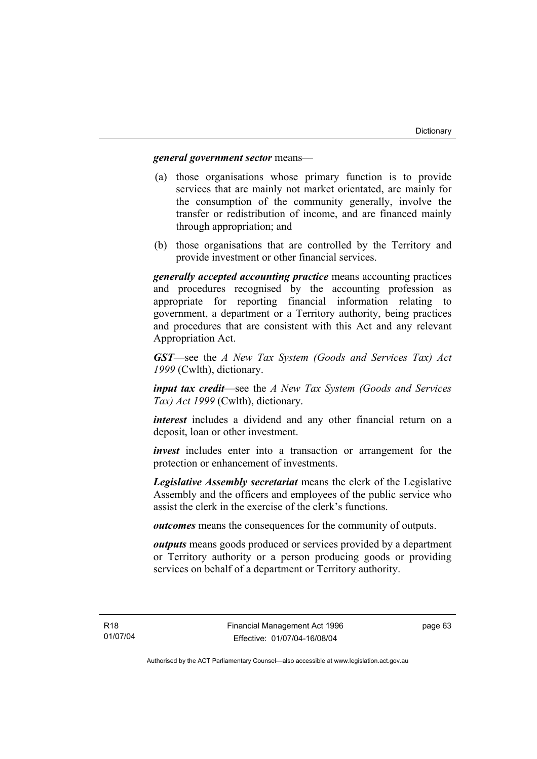#### *general government sector* means—

- (a) those organisations whose primary function is to provide services that are mainly not market orientated, are mainly for the consumption of the community generally, involve the transfer or redistribution of income, and are financed mainly through appropriation; and
- (b) those organisations that are controlled by the Territory and provide investment or other financial services.

*generally accepted accounting practice* means accounting practices and procedures recognised by the accounting profession as appropriate for reporting financial information relating to government, a department or a Territory authority, being practices and procedures that are consistent with this Act and any relevant Appropriation Act.

*GST*—see the *A New Tax System (Goods and Services Tax) Act 1999* (Cwlth), dictionary.

*input tax credit*—see the *A New Tax System (Goods and Services Tax) Act 1999* (Cwlth), dictionary.

*interest* includes a dividend and any other financial return on a deposit, loan or other investment.

*invest* includes enter into a transaction or arrangement for the protection or enhancement of investments.

*Legislative Assembly secretariat* means the clerk of the Legislative Assembly and the officers and employees of the public service who assist the clerk in the exercise of the clerk's functions.

*outcomes* means the consequences for the community of outputs.

*outputs* means goods produced or services provided by a department or Territory authority or a person producing goods or providing services on behalf of a department or Territory authority.

page 63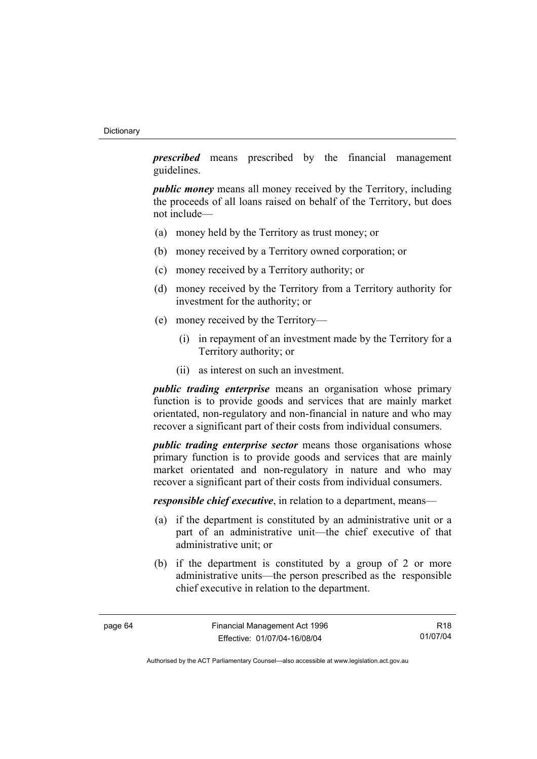*prescribed* means prescribed by the financial management guidelines.

*public money* means all money received by the Territory, including the proceeds of all loans raised on behalf of the Territory, but does not include—

- (a) money held by the Territory as trust money; or
- (b) money received by a Territory owned corporation; or
- (c) money received by a Territory authority; or
- (d) money received by the Territory from a Territory authority for investment for the authority; or
- (e) money received by the Territory—
	- (i) in repayment of an investment made by the Territory for a Territory authority; or
	- (ii) as interest on such an investment.

*public trading enterprise* means an organisation whose primary function is to provide goods and services that are mainly market orientated, non-regulatory and non-financial in nature and who may recover a significant part of their costs from individual consumers.

*public trading enterprise sector* means those organisations whose primary function is to provide goods and services that are mainly market orientated and non-regulatory in nature and who may recover a significant part of their costs from individual consumers.

*responsible chief executive*, in relation to a department, means—

- (a) if the department is constituted by an administrative unit or a part of an administrative unit—the chief executive of that administrative unit; or
- (b) if the department is constituted by a group of 2 or more administrative units—the person prescribed as the responsible chief executive in relation to the department.

R18 01/07/04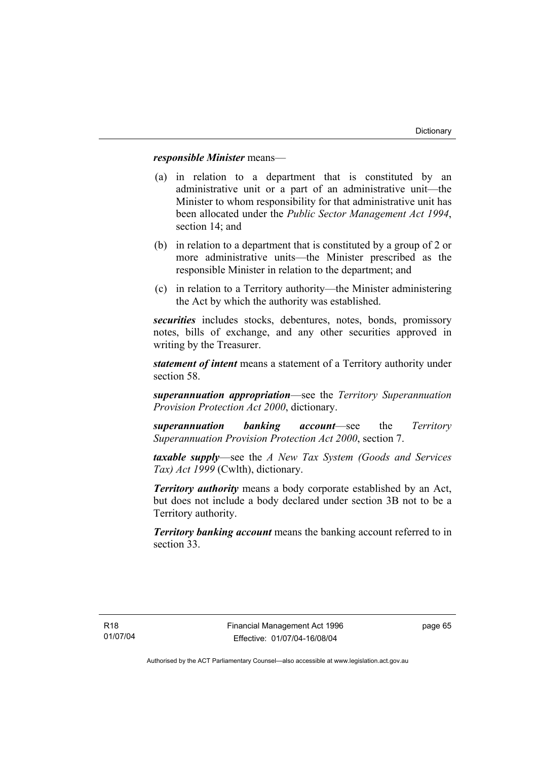# *responsible Minister* means—

- (a) in relation to a department that is constituted by an administrative unit or a part of an administrative unit—the Minister to whom responsibility for that administrative unit has been allocated under the *Public Sector Management Act 1994*, section 14; and
- (b) in relation to a department that is constituted by a group of 2 or more administrative units—the Minister prescribed as the responsible Minister in relation to the department; and
- (c) in relation to a Territory authority—the Minister administering the Act by which the authority was established.

*securities* includes stocks, debentures, notes, bonds, promissory notes, bills of exchange, and any other securities approved in writing by the Treasurer.

*statement of intent* means a statement of a Territory authority under section 58.

*superannuation appropriation*—see the *Territory Superannuation Provision Protection Act 2000*, dictionary.

*superannuation banking account*—see the *Territory Superannuation Provision Protection Act 2000*, section 7.

*taxable supply*—see the *A New Tax System (Goods and Services Tax) Act 1999* (Cwlth), dictionary.

*Territory authority* means a body corporate established by an Act, but does not include a body declared under section 3B not to be a Territory authority.

*Territory banking account* means the banking account referred to in section 33.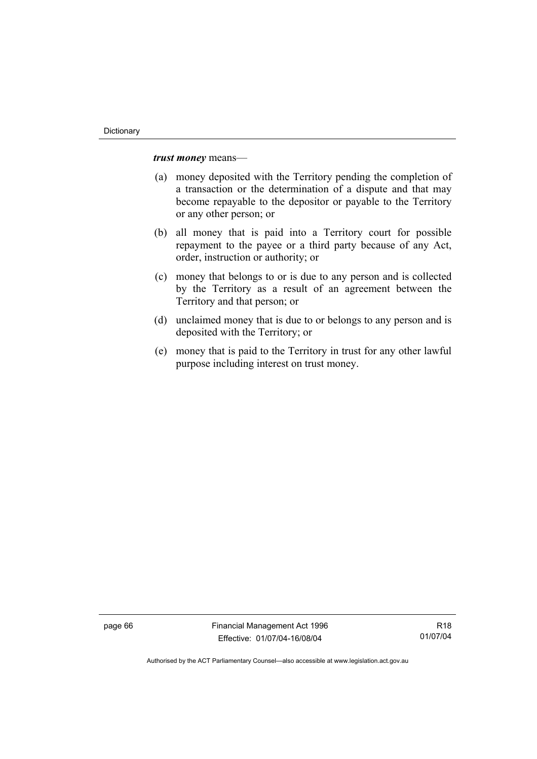*trust money* means—

- (a) money deposited with the Territory pending the completion of a transaction or the determination of a dispute and that may become repayable to the depositor or payable to the Territory or any other person; or
- (b) all money that is paid into a Territory court for possible repayment to the payee or a third party because of any Act, order, instruction or authority; or
- (c) money that belongs to or is due to any person and is collected by the Territory as a result of an agreement between the Territory and that person; or
- (d) unclaimed money that is due to or belongs to any person and is deposited with the Territory; or
- (e) money that is paid to the Territory in trust for any other lawful purpose including interest on trust money.

page 66 Financial Management Act 1996 Effective: 01/07/04-16/08/04

R18 01/07/04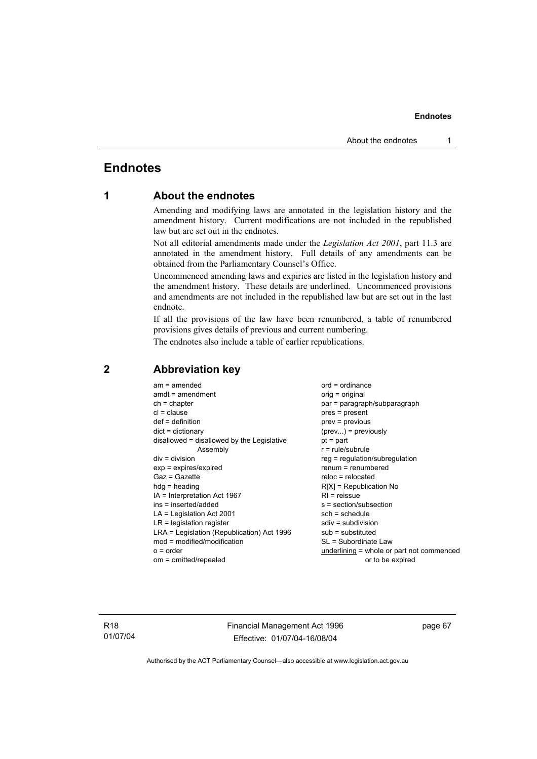# **Endnotes**

# **1 About the endnotes**

Amending and modifying laws are annotated in the legislation history and the amendment history. Current modifications are not included in the republished law but are set out in the endnotes.

Not all editorial amendments made under the *Legislation Act 2001*, part 11.3 are annotated in the amendment history. Full details of any amendments can be obtained from the Parliamentary Counsel's Office.

Uncommenced amending laws and expiries are listed in the legislation history and the amendment history. These details are underlined. Uncommenced provisions and amendments are not included in the republished law but are set out in the last endnote.

If all the provisions of the law have been renumbered, a table of renumbered provisions gives details of previous and current numbering.

The endnotes also include a table of earlier republications.

| $am = amended$                             | $ord = ordinance$                         |
|--------------------------------------------|-------------------------------------------|
| $amdt = amendment$                         | orig = original                           |
| $ch = chapter$                             | par = paragraph/subparagraph              |
| $cl = clause$                              | $pres = present$                          |
| $def = definition$                         | $prev = previous$                         |
| $dict = dictionary$                        | $(\text{prev})$ = previously              |
| disallowed = disallowed by the Legislative | $pt = part$                               |
| Assembly                                   | $r = rule/subrule$                        |
| $div = division$                           | $reg = regulation/subregulation$          |
| $exp = expires/expired$                    | $renum = renumbered$                      |
| $Gaz = Gazette$                            | $reloc = relocated$                       |
| $hdg = heading$                            | $R[X]$ = Republication No                 |
| $IA = Interpretation Act 1967$             | $RI =$ reissue                            |
| $ins = inserted/added$                     | s = section/subsection                    |
| $LA =$ Legislation Act 2001                | $sch = schedule$                          |
| $LR =$ legislation register                | $sdiv = subdivision$                      |
| LRA = Legislation (Republication) Act 1996 | $sub =$ substituted                       |
| $mod = modified/modification$              | SL = Subordinate Law                      |
| $o = order$                                | underlining = whole or part not commenced |
| om = omitted/repealed                      | or to be expired                          |
|                                            |                                           |

# **2 Abbreviation key**

R18 01/07/04 Financial Management Act 1996 Effective: 01/07/04-16/08/04

page 67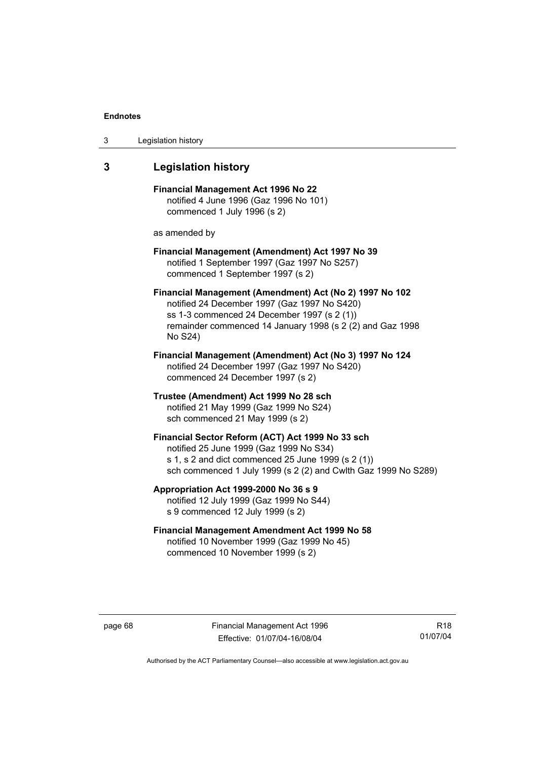| 3 | Legislation history |  |
|---|---------------------|--|
|---|---------------------|--|

# **3 Legislation history**

**Financial Management Act 1996 No 22**  notified 4 June 1996 (Gaz 1996 No 101) commenced 1 July 1996 (s 2)

as amended by

# **Financial Management (Amendment) Act 1997 No 39**  notified 1 September 1997 (Gaz 1997 No S257) commenced 1 September 1997 (s 2)

**Financial Management (Amendment) Act (No 2) 1997 No 102**  notified 24 December 1997 (Gaz 1997 No S420) ss 1-3 commenced 24 December 1997 (s 2 (1)) remainder commenced 14 January 1998 (s 2 (2) and Gaz 1998 No S24)

**Financial Management (Amendment) Act (No 3) 1997 No 124**  notified 24 December 1997 (Gaz 1997 No S420) commenced 24 December 1997 (s 2)

**Trustee (Amendment) Act 1999 No 28 sch**  notified 21 May 1999 (Gaz 1999 No S24) sch commenced 21 May 1999 (s 2)

# **Financial Sector Reform (ACT) Act 1999 No 33 sch**  notified 25 June 1999 (Gaz 1999 No S34) s 1, s 2 and dict commenced 25 June 1999 (s 2 (1)) sch commenced 1 July 1999 (s 2 (2) and Cwlth Gaz 1999 No S289)

**Appropriation Act 1999-2000 No 36 s 9**  notified 12 July 1999 (Gaz 1999 No S44) s 9 commenced 12 July 1999 (s 2)

# **Financial Management Amendment Act 1999 No 58**  notified 10 November 1999 (Gaz 1999 No 45) commenced 10 November 1999 (s 2)

page 68 Financial Management Act 1996 Effective: 01/07/04-16/08/04

R18 01/07/04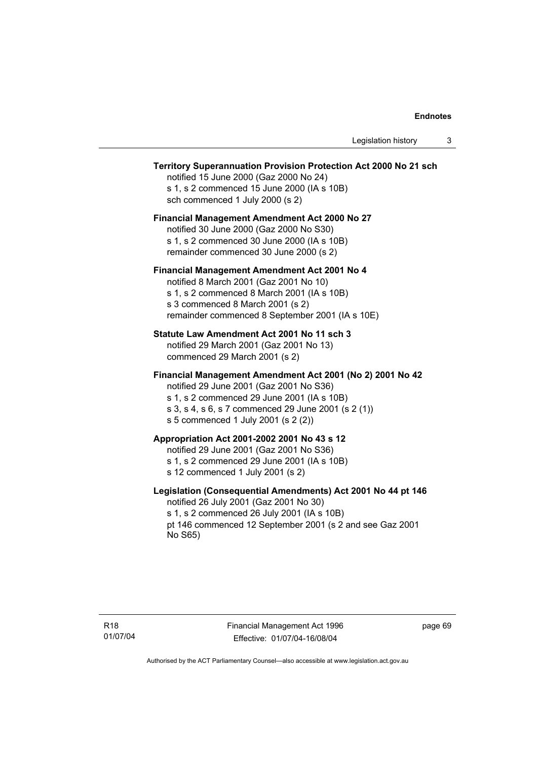# **Territory Superannuation Provision Protection Act 2000 No 21 sch**

notified 15 June 2000 (Gaz 2000 No 24) s 1, s 2 commenced 15 June 2000 (IA s 10B) sch commenced 1 July 2000 (s 2)

# **Financial Management Amendment Act 2000 No 27**

notified 30 June 2000 (Gaz 2000 No S30) s 1, s 2 commenced 30 June 2000 (IA s 10B) remainder commenced 30 June 2000 (s 2)

## **Financial Management Amendment Act 2001 No 4**

notified 8 March 2001 (Gaz 2001 No 10) s 1, s 2 commenced 8 March 2001 (IA s 10B) s 3 commenced 8 March 2001 (s 2) remainder commenced 8 September 2001 (IA s 10E)

## **Statute Law Amendment Act 2001 No 11 sch 3**

notified 29 March 2001 (Gaz 2001 No 13) commenced 29 March 2001 (s 2)

## **Financial Management Amendment Act 2001 (No 2) 2001 No 42**

notified 29 June 2001 (Gaz 2001 No S36)

- s 1, s 2 commenced 29 June 2001 (IA s 10B)
- s 3, s 4, s 6, s 7 commenced 29 June 2001 (s 2 (1))
- s 5 commenced 1 July 2001 (s 2 (2))

# **Appropriation Act 2001-2002 2001 No 43 s 12**

notified 29 June 2001 (Gaz 2001 No S36)

- s 1, s 2 commenced 29 June 2001 (IA s 10B)
- s 12 commenced 1 July 2001 (s 2)

# **Legislation (Consequential Amendments) Act 2001 No 44 pt 146**

notified 26 July 2001 (Gaz 2001 No 30) s 1, s 2 commenced 26 July 2001 (IA s 10B) pt 146 commenced 12 September 2001 (s 2 and see Gaz 2001 No S65)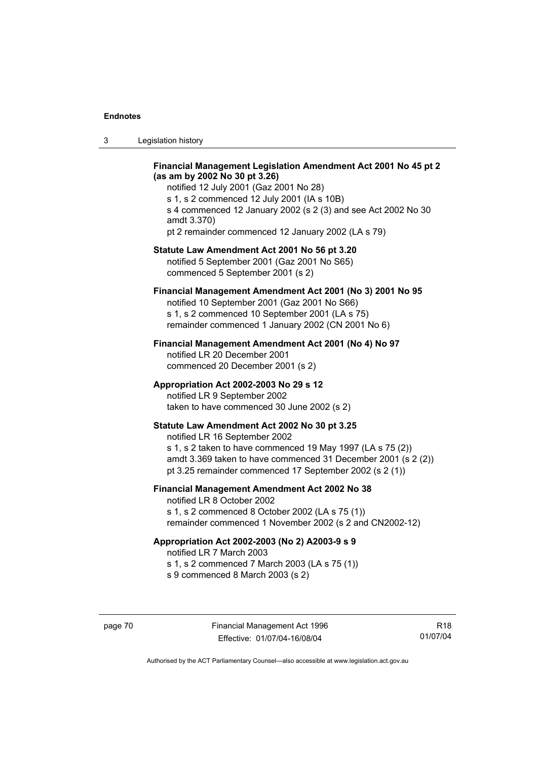| -3 | Legislation history |  |
|----|---------------------|--|
|----|---------------------|--|

# **Financial Management Legislation Amendment Act 2001 No 45 pt 2 (as am by 2002 No 30 pt 3.26)**

notified 12 July 2001 (Gaz 2001 No 28) s 1, s 2 commenced 12 July 2001 (IA s 10B) s 4 commenced 12 January 2002 (s 2 (3) and see Act 2002 No 30 amdt 3.370) pt 2 remainder commenced 12 January 2002 (LA s 79)

## **Statute Law Amendment Act 2001 No 56 pt 3.20**

notified 5 September 2001 (Gaz 2001 No S65) commenced 5 September 2001 (s 2)

# **Financial Management Amendment Act 2001 (No 3) 2001 No 95**

notified 10 September 2001 (Gaz 2001 No S66) s 1, s 2 commenced 10 September 2001 (LA s 75) remainder commenced 1 January 2002 (CN 2001 No 6)

## **Financial Management Amendment Act 2001 (No 4) No 97**

notified LR 20 December 2001 commenced 20 December 2001 (s 2)

## **Appropriation Act 2002-2003 No 29 s 12**

notified LR 9 September 2002 taken to have commenced 30 June 2002 (s 2)

## **Statute Law Amendment Act 2002 No 30 pt 3.25**

notified LR 16 September 2002 s 1, s 2 taken to have commenced 19 May 1997 (LA s 75 (2)) amdt 3.369 taken to have commenced 31 December 2001 (s 2 (2)) pt 3.25 remainder commenced 17 September 2002 (s 2 (1))

# **Financial Management Amendment Act 2002 No 38**

notified LR 8 October 2002 s 1, s 2 commenced 8 October 2002 (LA s 75 (1)) remainder commenced 1 November 2002 (s 2 and CN2002-12)

## **Appropriation Act 2002-2003 (No 2) A2003-9 s 9**

notified LR 7 March 2003

s 1, s 2 commenced 7 March 2003 (LA s 75 (1))

s 9 commenced 8 March 2003 (s 2)

R18 01/07/04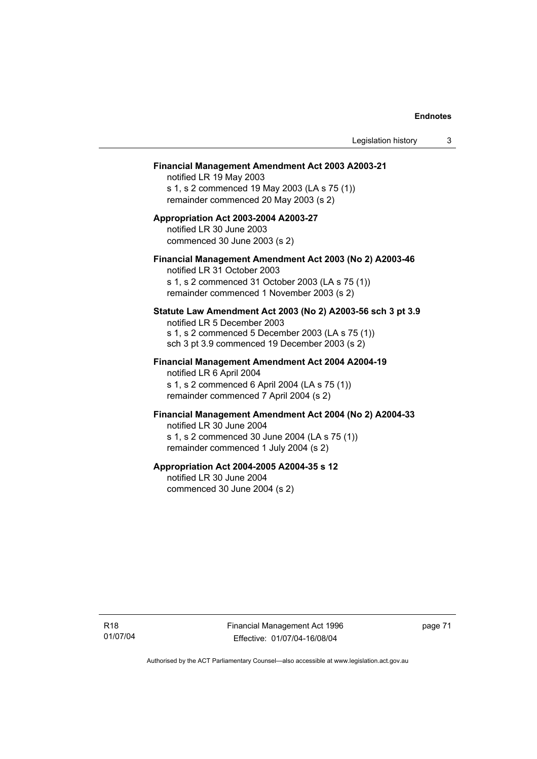#### **Financial Management Amendment Act 2003 A2003-21**

notified LR 19 May 2003 s 1, s 2 commenced 19 May 2003 (LA s 75 (1)) remainder commenced 20 May 2003 (s 2)

## **Appropriation Act 2003-2004 A2003-27**  notified LR 30 June 2003 commenced 30 June 2003 (s 2)

## **Financial Management Amendment Act 2003 (No 2) A2003-46**

notified LR 31 October 2003 s 1, s 2 commenced 31 October 2003 (LA s 75 (1)) remainder commenced 1 November 2003 (s 2)

# **Statute Law Amendment Act 2003 (No 2) A2003-56 sch 3 pt 3.9**

notified LR 5 December 2003 s 1, s 2 commenced 5 December 2003 (LA s 75 (1)) sch 3 pt 3.9 commenced 19 December 2003 (s 2)

# **Financial Management Amendment Act 2004 A2004-19**  notified LR 6 April 2004

s 1, s 2 commenced 6 April 2004 (LA s 75 (1)) remainder commenced 7 April 2004 (s 2)

# **Financial Management Amendment Act 2004 (No 2) A2004-33**

notified LR 30 June 2004 s 1, s 2 commenced 30 June 2004 (LA s 75 (1)) remainder commenced 1 July 2004 (s 2)

## **Appropriation Act 2004-2005 A2004-35 s 12**

notified LR 30 June 2004 commenced 30 June 2004 (s 2)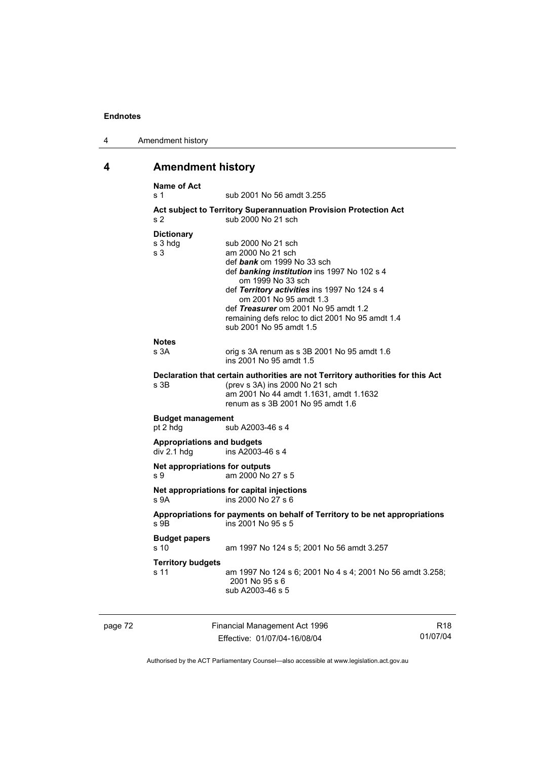| 4 | Amendment history |
|---|-------------------|
|---|-------------------|

# **4 Amendment history**

|         | <b>Name of Act</b><br>s 1                        | sub 2001 No 56 amdt 3.255                                                                                                                                                                                                                                                                                                                  |                 |
|---------|--------------------------------------------------|--------------------------------------------------------------------------------------------------------------------------------------------------------------------------------------------------------------------------------------------------------------------------------------------------------------------------------------------|-----------------|
|         | s <sub>2</sub>                                   | Act subject to Territory Superannuation Provision Protection Act<br>sub 2000 No 21 sch                                                                                                                                                                                                                                                     |                 |
|         | <b>Dictionary</b><br>s 3 hdg<br>s <sub>3</sub>   | sub 2000 No 21 sch<br>am 2000 No 21 sch<br>def bank om 1999 No 33 sch<br>def banking institution ins 1997 No 102 s 4<br>om 1999 No 33 sch<br>def Territory activities ins 1997 No 124 s 4<br>om 2001 No 95 amdt 1.3<br>def Treasurer om 2001 No 95 amdt 1.2<br>remaining defs reloc to dict 2001 No 95 amdt 1.4<br>sub 2001 No 95 amdt 1.5 |                 |
|         | <b>Notes</b><br>s 3A                             | orig s 3A renum as s 3B 2001 No 95 amdt 1.6<br>ins 2001 No 95 amdt 1.5                                                                                                                                                                                                                                                                     |                 |
|         | s 3B                                             | Declaration that certain authorities are not Territory authorities for this Act<br>(prev s 3A) ins 2000 No 21 sch<br>am 2001 No 44 amdt 1.1631, amdt 1.1632<br>renum as s 3B 2001 No 95 amdt 1.6                                                                                                                                           |                 |
|         | <b>Budget management</b><br>pt 2 hdg             | sub A2003-46 s 4                                                                                                                                                                                                                                                                                                                           |                 |
|         | <b>Appropriations and budgets</b><br>div 2.1 hdg | ins A2003-46 s 4                                                                                                                                                                                                                                                                                                                           |                 |
|         | Net appropriations for outputs<br>S <sub>9</sub> | am 2000 No 27 s 5                                                                                                                                                                                                                                                                                                                          |                 |
|         | S <sub>9A</sub>                                  | Net appropriations for capital injections<br>ins 2000 No 27 s 6                                                                                                                                                                                                                                                                            |                 |
|         | s 9B                                             | Appropriations for payments on behalf of Territory to be net appropriations<br>ins 2001 No 95 s 5                                                                                                                                                                                                                                          |                 |
|         | <b>Budget papers</b><br>s 10                     | am 1997 No 124 s 5; 2001 No 56 amdt 3.257                                                                                                                                                                                                                                                                                                  |                 |
|         | <b>Territory budgets</b><br>s 11                 | am 1997 No 124 s 6; 2001 No 4 s 4; 2001 No 56 amdt 3.258;<br>2001 No 95 s 6<br>sub A2003-46 s 5                                                                                                                                                                                                                                            |                 |
| page 72 |                                                  | Financial Management Act 1996                                                                                                                                                                                                                                                                                                              | R <sub>18</sub> |

Effective: 01/07/04-16/08/04

R18 01/07/04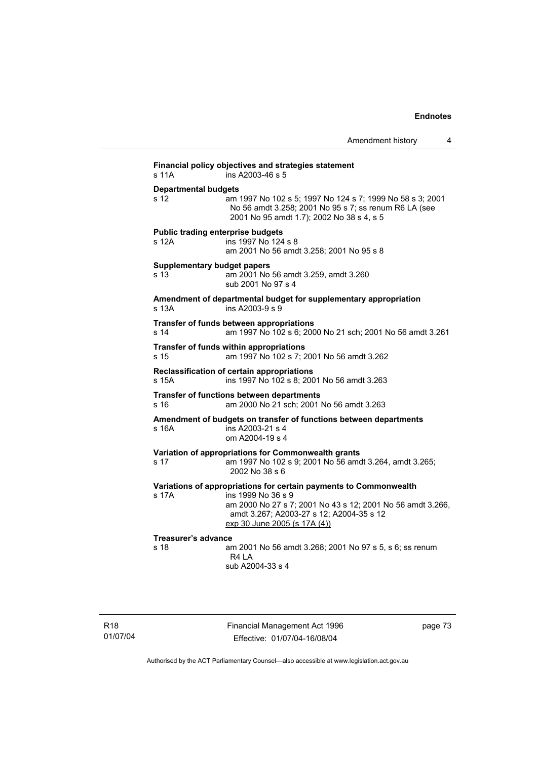Amendment history 4 **Financial policy objectives and strategies statement**  s 11A ins A2003-46 s 5 **Departmental budgets** s 12 am 1997 No 102 s 5; 1997 No 124 s 7; 1999 No 58 s 3; 2001 No 56 amdt 3.258; 2001 No 95 s 7; ss renum R6 LA (see 2001 No 95 amdt 1.7); 2002 No 38 s 4, s 5 **Public trading enterprise budgets** s 12A ins 1997 No 124 s 8 am 2001 No 56 amdt 3.258; 2001 No 95 s 8 **Supplementary budget papers**  s 13 am 2001 No 56 amdt 3.259, amdt 3.260 sub 2001 No 97 s 4 **Amendment of departmental budget for supplementary appropriation**  s 13A ins A2003-9 s 9 **Transfer of funds between appropriations** s 14 am 1997 No 102 s 6; 2000 No 21 sch; 2001 No 56 amdt 3.261 **Transfer of funds within appropriations** s 15 am 1997 No 102 s 7; 2001 No 56 amdt 3.262 **Reclassification of certain appropriations**<br>s 15A ins 1997 No 102 s 8: 200 ins 1997 No 102 s 8; 2001 No 56 amdt 3.263 **Transfer of functions between departments** s 16 am 2000 No 21 sch; 2001 No 56 amdt 3.263 **Amendment of budgets on transfer of functions between departments**  s 16A ins A2003-21 s 4 om A2004-19 s 4 **Variation of appropriations for Commonwealth grants** s 17 am 1997 No 102 s 9; 2001 No 56 amdt 3.264, amdt 3.265; 2002 No 38 s 6 **Variations of appropriations for certain payments to Commonwealth** s 17A ins 1999 No 36 s 9 am 2000 No 27 s 7; 2001 No 43 s 12; 2001 No 56 amdt 3.266, amdt 3.267; A2003-27 s 12; A2004-35 s 12 exp 30 June 2005 (s 17A (4)) **Treasurer's advance**  am 2001 No 56 amdt 3.268; 2001 No 97 s 5, s 6; ss renum R4 LA sub A2004-33 s 4

Financial Management Act 1996 Effective: 01/07/04-16/08/04

page 73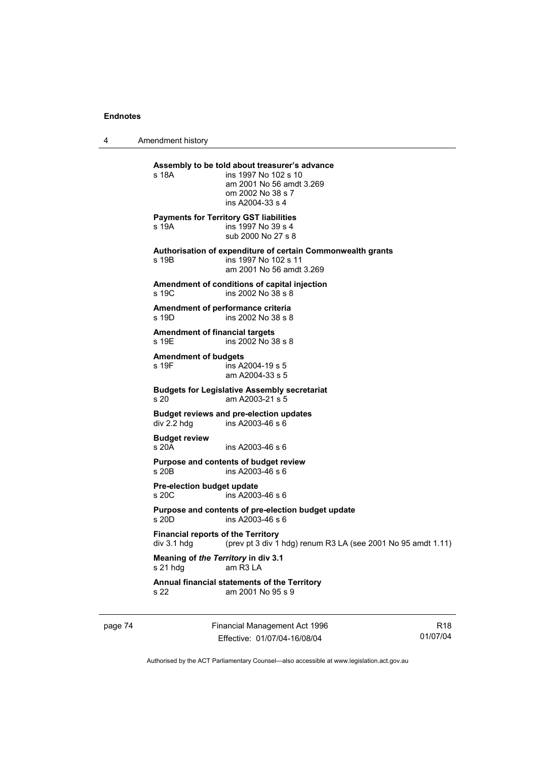4 Amendment history

| s 18A                                                        | Assembly to be told about treasurer's advance<br>ins 1997 No 102 s 10<br>am 2001 No 56 amdt 3.269<br>om 2002 No 38 s 7<br>ins A2004-33 s 4 |
|--------------------------------------------------------------|--------------------------------------------------------------------------------------------------------------------------------------------|
| s 19A                                                        | <b>Payments for Territory GST liabilities</b><br>ins 1997 No 39 s 4<br>sub 2000 No 27 s 8                                                  |
| s 19B                                                        | Authorisation of expenditure of certain Commonwealth grants<br>ins 1997 No 102 s 11<br>am 2001 No 56 amdt 3.269                            |
| s 19C                                                        | Amendment of conditions of capital injection<br>ins 2002 No 38 s 8                                                                         |
| Amendment of performance criteria<br>$s$ 19D                 | ins 2002 No 38 s 8                                                                                                                         |
| <b>Amendment of financial targets</b><br>s 19E               | ins 2002 No 38 s 8                                                                                                                         |
| <b>Amendment of budgets</b><br>s 19F                         | ins A2004-19 s 5<br>am A2004-33 s 5                                                                                                        |
| s 20                                                         | <b>Budgets for Legislative Assembly secretariat</b><br>am A2003-21 s 5                                                                     |
| div 2.2 hdg                                                  | <b>Budget reviews and pre-election updates</b><br>ins A2003-46 s 6                                                                         |
| <b>Budget review</b><br>s 20A                                | ins A2003-46 s 6                                                                                                                           |
| s 20 <sub>B</sub>                                            | Purpose and contents of budget review<br>ins A2003-46 s 6                                                                                  |
| <b>Pre-election budget update</b><br>s 20C                   | ins A2003-46 s 6                                                                                                                           |
| s20D                                                         | Purpose and contents of pre-election budget update<br>ins A2003-46 s 6                                                                     |
| <b>Financial reports of the Territory</b><br>$div$ 3.1 $hdq$ | (prev pt 3 div 1 hdg) renum R3 LA (see 2001 No 95 amdt 1.11)                                                                               |
| Meaning of the Territory in div 3.1<br>s 21 hdg              | am R3 LA                                                                                                                                   |
| s 22                                                         | Annual financial statements of the Territory<br>am 2001 No 95 s 9                                                                          |
|                                                              |                                                                                                                                            |

page 74 Financial Management Act 1996 Effective: 01/07/04-16/08/04

R18 01/07/04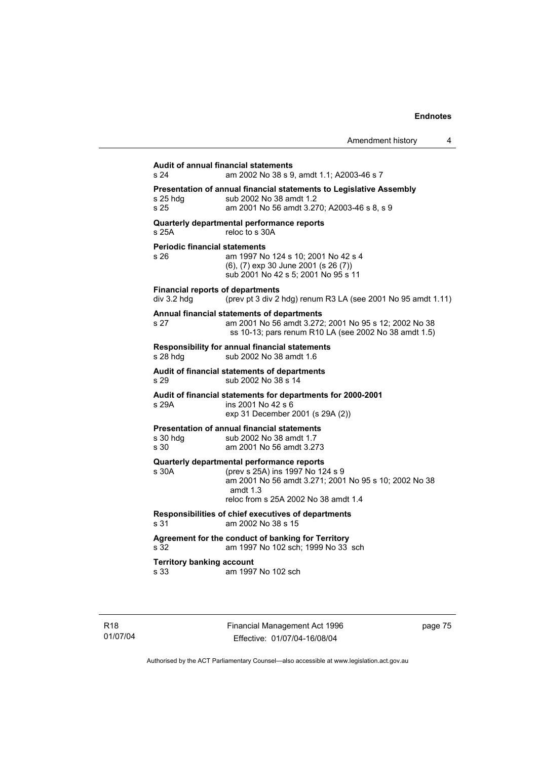| Audit of annual financial statements<br>s 24           | am 2002 No 38 s 9, amdt 1.1; A2003-46 s 7                                                                                                                                                     |
|--------------------------------------------------------|-----------------------------------------------------------------------------------------------------------------------------------------------------------------------------------------------|
| s 25 hda<br>s 25                                       | Presentation of annual financial statements to Legislative Assembly<br>sub 2002 No 38 amdt 1.2<br>am 2001 No 56 amdt 3.270; A2003-46 s 8, s 9                                                 |
| s <sub>25A</sub>                                       | Quarterly departmental performance reports<br>reloc to s 30A                                                                                                                                  |
| <b>Periodic financial statements</b><br>s 26           | am 1997 No 124 s 10; 2001 No 42 s 4<br>(6), (7) exp 30 June 2001 (s 26 (7))<br>sub 2001 No 42 s 5; 2001 No 95 s 11                                                                            |
| <b>Financial reports of departments</b><br>div 3.2 hdg | (prev pt 3 div 2 hdg) renum R3 LA (see 2001 No 95 amdt 1.11)                                                                                                                                  |
| s 27                                                   | Annual financial statements of departments<br>am 2001 No 56 amdt 3.272; 2001 No 95 s 12; 2002 No 38<br>ss 10-13; pars renum R10 LA (see 2002 No 38 amdt 1.5)                                  |
| s 28 hdg                                               | Responsibility for annual financial statements<br>sub 2002 No 38 amdt 1.6                                                                                                                     |
| s 29                                                   | Audit of financial statements of departments<br>sub 2002 No 38 s 14                                                                                                                           |
| s 29A                                                  | Audit of financial statements for departments for 2000-2001<br>ins 2001 No 42 s 6<br>exp 31 December 2001 (s 29A (2))                                                                         |
| s 30 hdg<br>s 30                                       | <b>Presentation of annual financial statements</b><br>sub 2002 No 38 amdt 1.7<br>am 2001 No 56 amdt 3.273                                                                                     |
| s 30A                                                  | Quarterly departmental performance reports<br>(prev s 25A) ins 1997 No 124 s 9<br>am 2001 No 56 amdt 3.271; 2001 No 95 s 10; 2002 No 38<br>amdt $1.3$<br>reloc from s 25A 2002 No 38 amdt 1.4 |
| s <sub>31</sub>                                        | Responsibilities of chief executives of departments<br>am 2002 No 38 s 15                                                                                                                     |
| s 32                                                   | Agreement for the conduct of banking for Territory<br>am 1997 No 102 sch; 1999 No 33 sch                                                                                                      |
| <b>Territory banking account</b><br>s 33               | am 1997 No 102 sch                                                                                                                                                                            |

page 75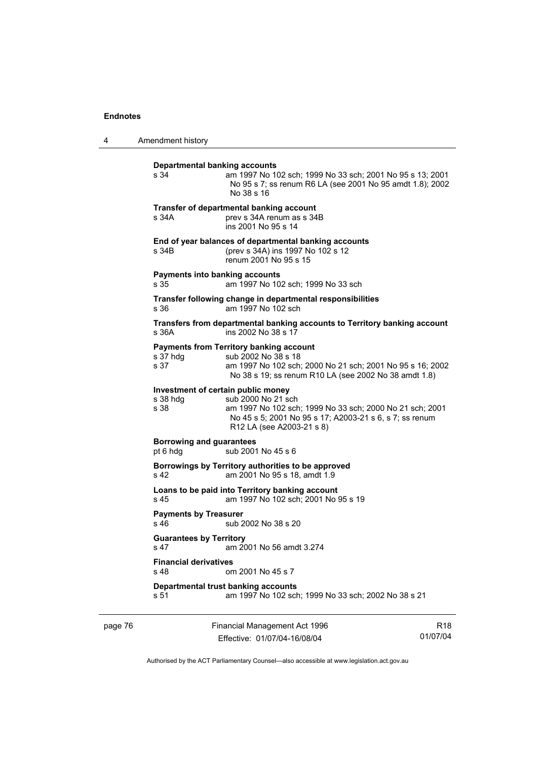4 Amendment history

| <b>Departmental banking accounts</b><br>s 34           | am 1997 No 102 sch; 1999 No 33 sch; 2001 No 95 s 13; 2001<br>No 95 s 7; ss renum R6 LA (see 2001 No 95 amdt 1.8); 2002<br>No 38 s 16                                                        |
|--------------------------------------------------------|---------------------------------------------------------------------------------------------------------------------------------------------------------------------------------------------|
| s 34A                                                  | Transfer of departmental banking account<br>prev s 34A renum as s 34B<br>ins 2001 No 95 s 14                                                                                                |
| s 34B                                                  | End of year balances of departmental banking accounts<br>(prev s 34A) ins 1997 No 102 s 12<br>renum 2001 No 95 s 15                                                                         |
| Payments into banking accounts<br>s 35                 | am 1997 No 102 sch; 1999 No 33 sch                                                                                                                                                          |
| s 36                                                   | Transfer following change in departmental responsibilities<br>am 1997 No 102 sch                                                                                                            |
| s.36A                                                  | Transfers from departmental banking accounts to Territory banking account<br>ins 2002 No 38 s 17                                                                                            |
| s 37 hdg<br>s 37                                       | <b>Payments from Territory banking account</b><br>sub 2002 No 38 s 18<br>am 1997 No 102 sch; 2000 No 21 sch; 2001 No 95 s 16; 2002<br>No 38 s 19; ss renum R10 LA (see 2002 No 38 amdt 1.8) |
| Investment of certain public money<br>s 38 hdg<br>s 38 | sub 2000 No 21 sch<br>am 1997 No 102 sch; 1999 No 33 sch; 2000 No 21 sch; 2001<br>No 45 s 5; 2001 No 95 s 17; A2003-21 s 6, s 7; ss renum<br>R12 LA (see A2003-21 s 8)                      |
| <b>Borrowing and guarantees</b><br>pt 6 hdg            | sub 2001 No 45 s 6                                                                                                                                                                          |
| s 42                                                   | Borrowings by Territory authorities to be approved<br>am 2001 No 95 s 18, amdt 1.9                                                                                                          |
| s 45                                                   | Loans to be paid into Territory banking account<br>am 1997 No 102 sch; 2001 No 95 s 19                                                                                                      |
| <b>Payments by Treasurer</b><br>$s$ 46                 | sub 2002 No 38 s 20                                                                                                                                                                         |
| <b>Guarantees by Territory</b><br>s <sub>47</sub>      | am 2001 No 56 amdt 3.274                                                                                                                                                                    |
| <b>Financial derivatives</b><br>s <sub>48</sub>        | om 2001 No 45 s 7                                                                                                                                                                           |
| s 51                                                   | Departmental trust banking accounts<br>am 1997 No 102 sch; 1999 No 33 sch; 2002 No 38 s 21                                                                                                  |
|                                                        |                                                                                                                                                                                             |

page 76 Financial Management Act 1996 Effective: 01/07/04-16/08/04

R18 01/07/04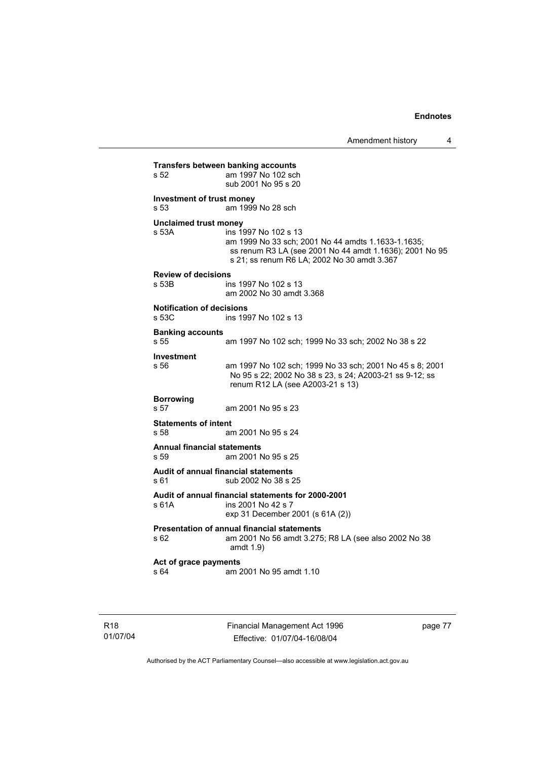**Transfers between banking accounts**<br>s 52 am 1997 No 102 sch am 1997 No 102 sch sub 2001 No 95 s 20 **Investment of trust money**  s 53 am 1999 No 28 sch **Unclaimed trust money**  s 53A ins 1997 No 102 s 13 am 1999 No 33 sch; 2001 No 44 amdts 1.1633-1.1635; ss renum R3 LA (see 2001 No 44 amdt 1.1636); 2001 No 95 s 21; ss renum R6 LA; 2002 No 30 amdt 3.367 **Review of decisions**  ins 1997 No 102 s 13 am 2002 No 30 amdt 3.368 **Notification of decisions**  s 53C ins 1997 No 102 s 13 **Banking accounts**  am 1997 No 102 sch; 1999 No 33 sch; 2002 No 38 s 22 **Investment**  s 56 am 1997 No 102 sch; 1999 No 33 sch; 2001 No 45 s 8; 2001 No 95 s 22; 2002 No 38 s 23, s 24; A2003-21 ss 9-12; ss renum R12 LA (see A2003-21 s 13) **Borrowing**  s 57 am 2001 No 95 s 23 **Statements of intent**  s 58 am 2001 No 95 s 24 **Annual financial statements**  s 59 am 2001 No 95 s 25 **Audit of annual financial statements**  s 61 sub 2002 No 38 s 25 **Audit of annual financial statements for 2000-2001**  s 61A ins 2001 No 42 s 7 exp 31 December 2001 (s 61A (2)) **Presentation of annual financial statements**  s 62 am 2001 No 56 amdt 3.275; R8 LA (see also 2002 No 38 amdt 1.9) **Act of grace payments**  s 64 am 2001 No 95 amdt 1.10

R18 01/07/04 Financial Management Act 1996 Effective: 01/07/04-16/08/04

page 77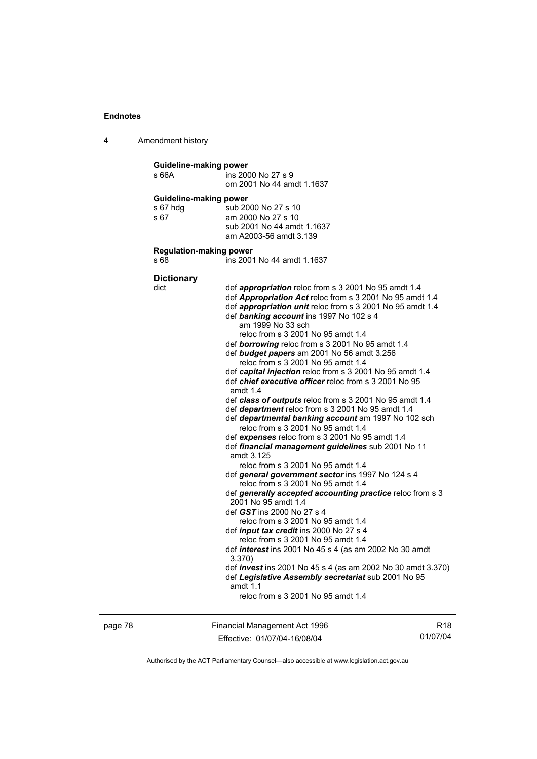4 Amendment history

| <b>Guideline-making power</b><br>s 66A     | ins 2000 No 27 s 9<br>om 2001 No 44 amdt 1.1637                                                                                                                                                                                                                                                                                                                                                                                                                                                                                                                                                                                                                                                                                                                                                                                                                                                                                                                                                                                                                                                                                                                                                                                                                                                                                                                                                                                                                                                                                                              |
|--------------------------------------------|--------------------------------------------------------------------------------------------------------------------------------------------------------------------------------------------------------------------------------------------------------------------------------------------------------------------------------------------------------------------------------------------------------------------------------------------------------------------------------------------------------------------------------------------------------------------------------------------------------------------------------------------------------------------------------------------------------------------------------------------------------------------------------------------------------------------------------------------------------------------------------------------------------------------------------------------------------------------------------------------------------------------------------------------------------------------------------------------------------------------------------------------------------------------------------------------------------------------------------------------------------------------------------------------------------------------------------------------------------------------------------------------------------------------------------------------------------------------------------------------------------------------------------------------------------------|
| Guideline-making power<br>s 67 hdg<br>s 67 | sub 2000 No 27 s 10<br>am 2000 No 27 s 10<br>sub 2001 No 44 amdt 1.1637<br>am A2003-56 amdt 3.139                                                                                                                                                                                                                                                                                                                                                                                                                                                                                                                                                                                                                                                                                                                                                                                                                                                                                                                                                                                                                                                                                                                                                                                                                                                                                                                                                                                                                                                            |
| <b>Regulation-making power</b><br>s 68     | ins 2001 No 44 amdt 1.1637                                                                                                                                                                                                                                                                                                                                                                                                                                                                                                                                                                                                                                                                                                                                                                                                                                                                                                                                                                                                                                                                                                                                                                                                                                                                                                                                                                                                                                                                                                                                   |
| <b>Dictionary</b><br>dict                  | def appropriation reloc from s 3 2001 No 95 amdt 1.4<br>def <b>Appropriation Act</b> reloc from s 3 2001 No 95 amdt 1.4<br>def appropriation unit reloc from s 3 2001 No 95 amdt 1.4<br>def banking account ins 1997 No 102 s 4<br>am 1999 No 33 sch<br>reloc from s 3 2001 No 95 amdt 1.4<br>def borrowing reloc from s 3 2001 No 95 amdt 1.4<br>def budget papers am 2001 No 56 amdt 3.256<br>reloc from s 3 2001 No 95 amdt 1.4<br>def capital injection reloc from s 3 2001 No 95 amdt 1.4<br>def <i>chief executive officer</i> reloc from s 3 2001 No 95<br>amdt $1.4$<br>def class of outputs reloc from s 3 2001 No 95 amdt 1.4<br>def department reloc from s 3 2001 No 95 amdt 1.4<br>def departmental banking account am 1997 No 102 sch<br>reloc from s 3 2001 No 95 amdt 1.4<br>def expenses reloc from s 3 2001 No 95 amdt 1.4<br>def financial management guidelines sub 2001 No 11<br>amdt 3.125<br>reloc from s 3 2001 No 95 amdt 1.4<br>def general government sector ins 1997 No 124 s 4<br>reloc from s 3 2001 No 95 amdt 1.4<br>def generally accepted accounting practice reloc from s 3<br>2001 No 95 amdt 1.4<br>def GST ins 2000 No 27 s 4<br>reloc from s 3 2001 No 95 amdt 1.4<br>def <i>input tax credit</i> ins 2000 No 27 s 4<br>reloc from s 3 2001 No 95 amdt 1.4<br>def <i>interest</i> ins 2001 No 45 s 4 (as am 2002 No 30 amdt<br>3.370<br>def <i>invest</i> ins 2001 No 45 s 4 (as am 2002 No 30 amdt 3.370)<br>def Legislative Assembly secretariat sub 2001 No 95<br>amdt $1.1$<br>reloc from s 3 2001 No 95 amdt 1.4 |

page 78 Financial Management Act 1996 Effective: 01/07/04-16/08/04

R18 01/07/04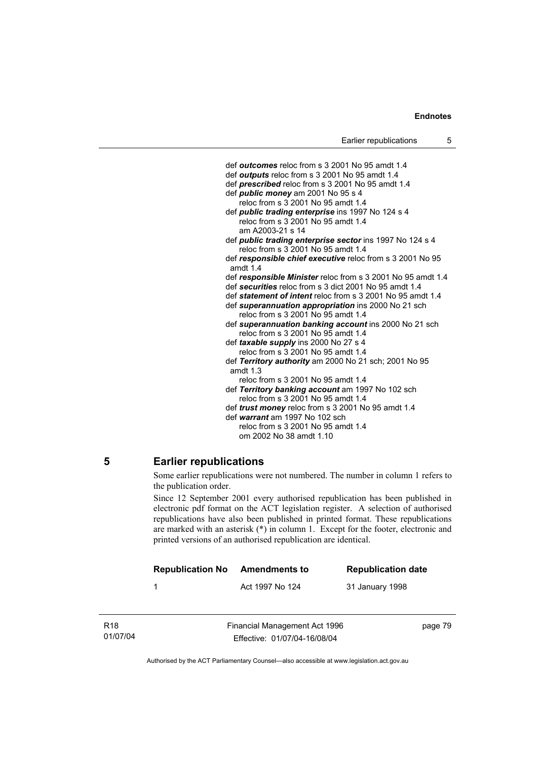def *outcomes* reloc from s 3 2001 No 95 amdt 1.4 def *outputs* reloc from s 3 2001 No 95 amdt 1.4 def *prescribed* reloc from s 3 2001 No 95 amdt 1.4 def *public money* am 2001 No 95 s 4 reloc from  $s$  3 2001 No 95 amdt 1.4 def *public trading enterprise* ins 1997 No 124 s 4 reloc from s 3 2001 No 95 amdt 1.4 am A2003-21 s 14 def *public trading enterprise sector* ins 1997 No 124 s 4 reloc from s 3 2001 No 95 amdt 1.4 def *responsible chief executive* reloc from s 3 2001 No 95 amdt 1.4 def *responsible Minister* reloc from s 3 2001 No 95 amdt 1.4 def *securities* reloc from s 3 dict 2001 No 95 amdt 1.4 def *statement of intent* reloc from s 3 2001 No 95 amdt 1.4 def *superannuation appropriation* ins 2000 No 21 sch reloc from s 3 2001 No 95 amdt 1.4 def *superannuation banking account* ins 2000 No 21 sch reloc from s 3 2001 No 95 amdt 1.4 def *taxable supply* ins 2000 No 27 s 4 reloc from  $\dot{s}$  3 2001 No 95 amdt 1.4 def *Territory authority* am 2000 No 21 sch; 2001 No 95 amdt 1.3 reloc from s 3 2001 No 95 amdt 1.4 def *Territory banking account* am 1997 No 102 sch reloc from s 3 2001 No 95 amdt 1.4 def *trust money* reloc from s 3 2001 No 95 amdt 1.4 def *warrant* am 1997 No 102 sch reloc from s 3 2001 No 95 amdt 1.4 om 2002 No 38 amdt 1.10

# **5 Earlier republications**

Some earlier republications were not numbered. The number in column 1 refers to the publication order.

Since 12 September 2001 every authorised republication has been published in electronic pdf format on the ACT legislation register. A selection of authorised republications have also been published in printed format. These republications are marked with an asterisk (\*) in column 1. Except for the footer, electronic and printed versions of an authorised republication are identical.

| <b>Republication No</b> | Amendments to   | <b>Republication date</b> |
|-------------------------|-----------------|---------------------------|
|                         | Act 1997 No 124 | 31 January 1998           |
|                         |                 |                           |

R18 01/07/04 Financial Management Act 1996 Effective: 01/07/04-16/08/04

page 79